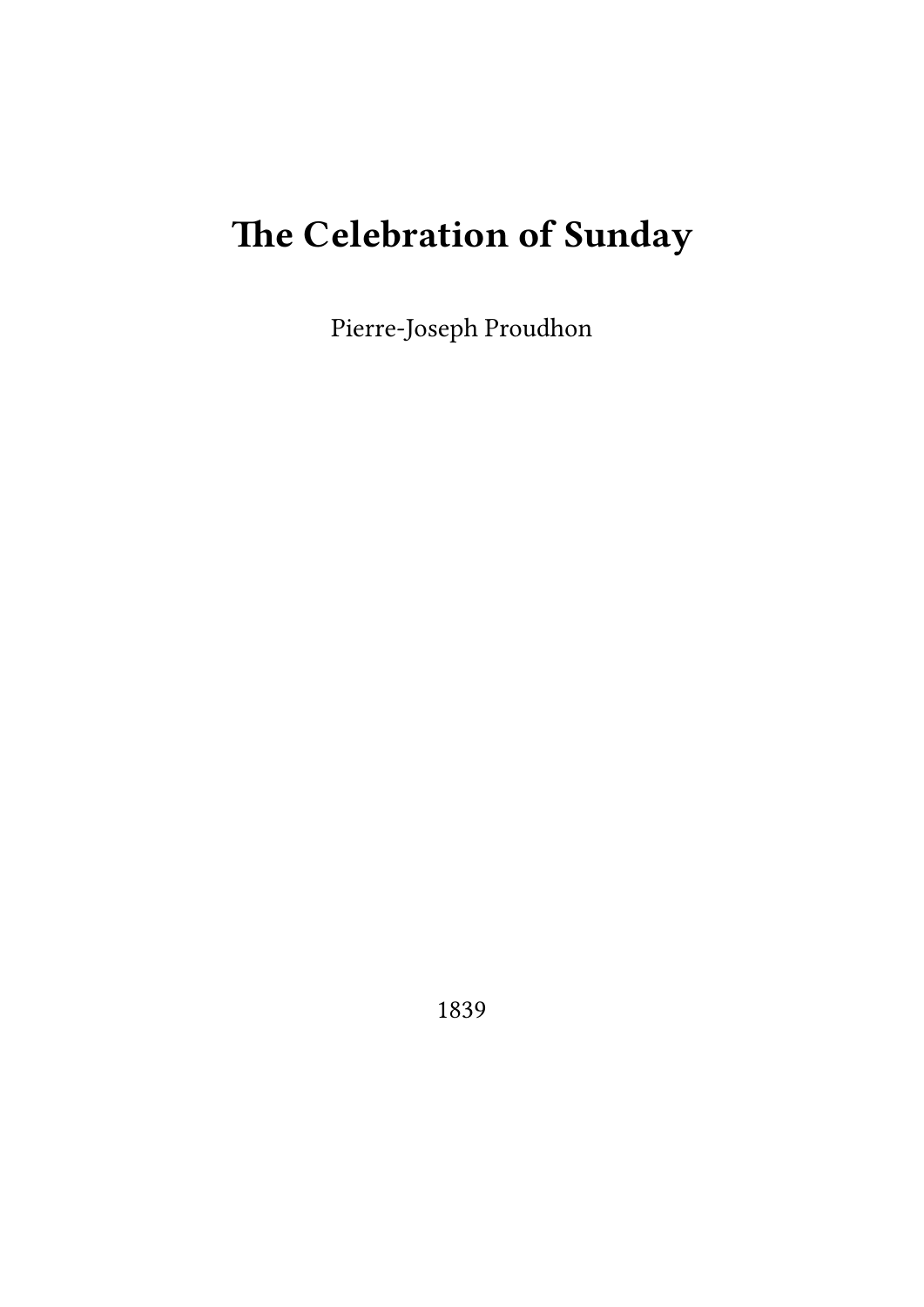# **The Celebration of Sunday**

Pierre-Joseph Proudhon

1839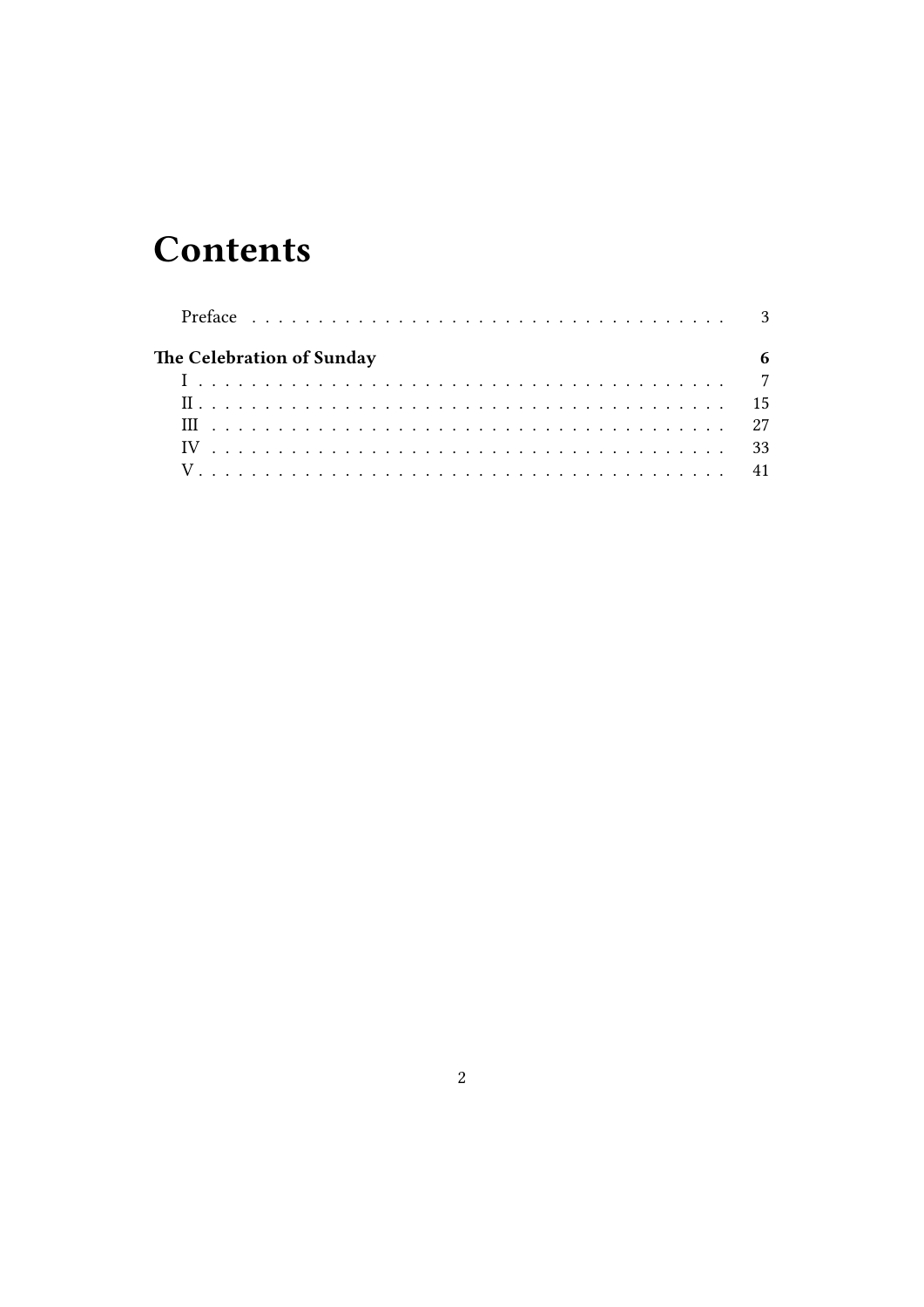## **Contents**

| The Celebration of Sunday |  |  |  |
|---------------------------|--|--|--|
|                           |  |  |  |
|                           |  |  |  |
|                           |  |  |  |
|                           |  |  |  |
|                           |  |  |  |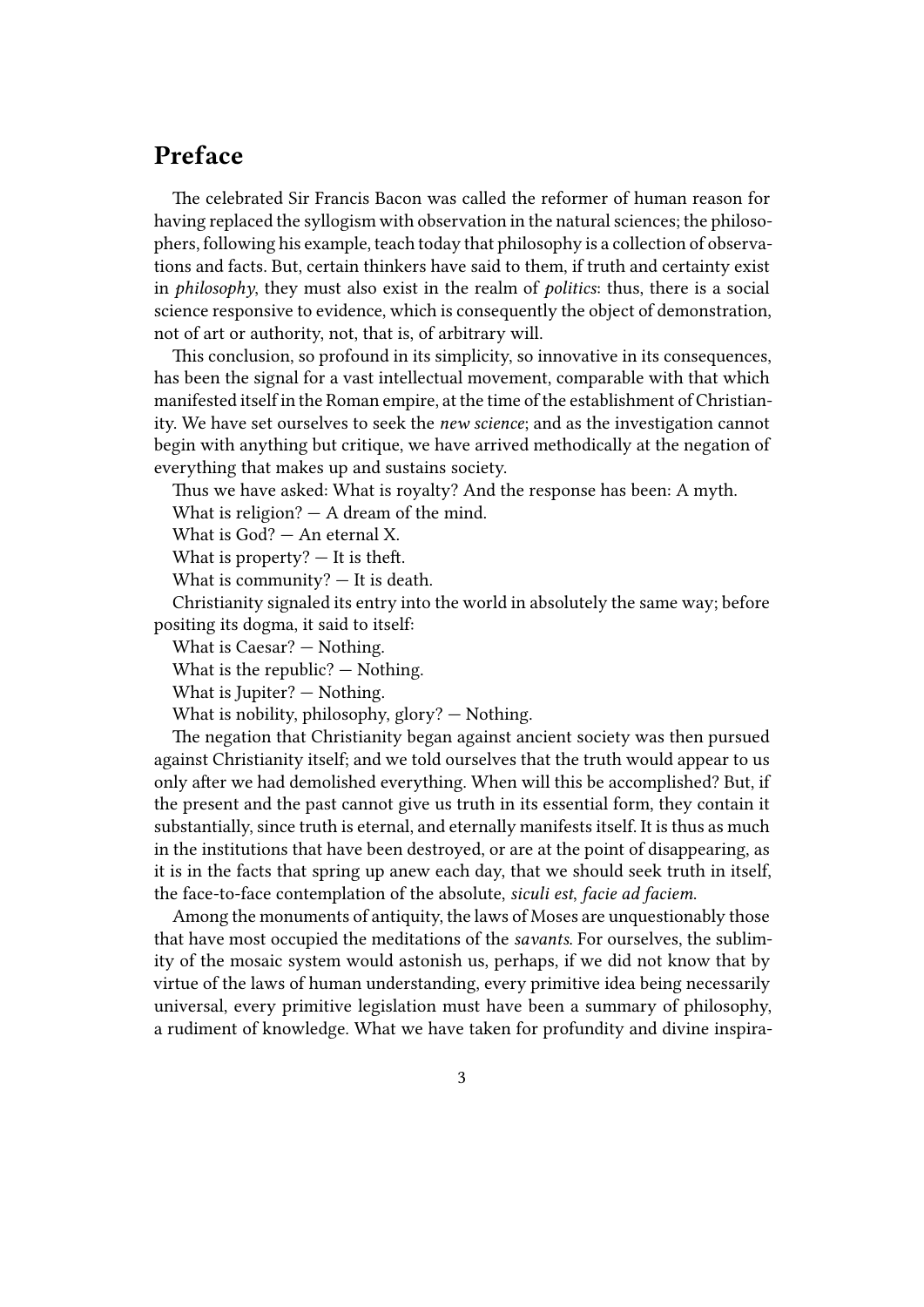### <span id="page-2-0"></span>**Preface**

The celebrated Sir Francis Bacon was called the reformer of human reason for having replaced the syllogism with observation in the natural sciences; the philosophers, following his example, teach today that philosophy is a collection of observations and facts. But, certain thinkers have said to them, if truth and certainty exist in *philosophy*, they must also exist in the realm of *politics*: thus, there is a social science responsive to evidence, which is consequently the object of demonstration, not of art or authority, not, that is, of arbitrary will.

This conclusion, so profound in its simplicity, so innovative in its consequences, has been the signal for a vast intellectual movement, comparable with that which manifested itself in the Roman empire, at the time of the establishment of Christianity. We have set ourselves to seek the *new science*; and as the investigation cannot begin with anything but critique, we have arrived methodically at the negation of everything that makes up and sustains society.

Thus we have asked: What is royalty? And the response has been: A myth.

What is religion? — A dream of the mind.

What is God? — An eternal X.

What is property?  $-$  It is theft.

What is community? — It is death.

Christianity signaled its entry into the world in absolutely the same way; before positing its dogma, it said to itself:

What is Caesar? — Nothing.

What is the republic? — Nothing.

What is Jupiter? — Nothing.

What is nobility, philosophy, glory? — Nothing.

The negation that Christianity began against ancient society was then pursued against Christianity itself; and we told ourselves that the truth would appear to us only after we had demolished everything. When will this be accomplished? But, if the present and the past cannot give us truth in its essential form, they contain it substantially, since truth is eternal, and eternally manifests itself. It is thus as much in the institutions that have been destroyed, or are at the point of disappearing, as it is in the facts that spring up anew each day, that we should seek truth in itself, the face-to-face contemplation of the absolute, *siculi est*, *facie ad faciem*.

Among the monuments of antiquity, the laws of Moses are unquestionably those that have most occupied the meditations of the *savants*. For ourselves, the sublimity of the mosaic system would astonish us, perhaps, if we did not know that by virtue of the laws of human understanding, every primitive idea being necessarily universal, every primitive legislation must have been a summary of philosophy, a rudiment of knowledge. What we have taken for profundity and divine inspira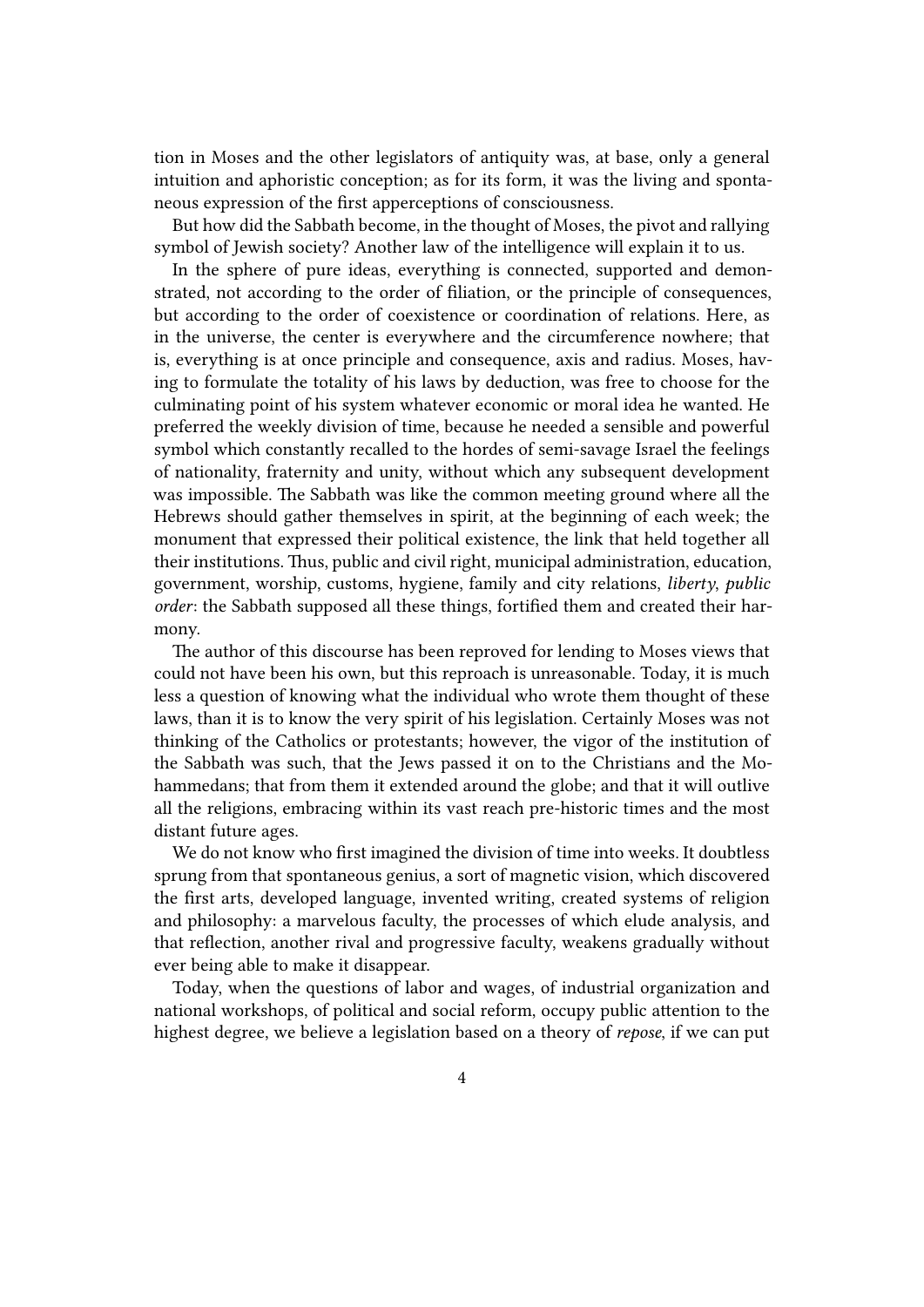tion in Moses and the other legislators of antiquity was, at base, only a general intuition and aphoristic conception; as for its form, it was the living and spontaneous expression of the first apperceptions of consciousness.

But how did the Sabbath become, in the thought of Moses, the pivot and rallying symbol of Jewish society? Another law of the intelligence will explain it to us.

In the sphere of pure ideas, everything is connected, supported and demonstrated, not according to the order of filiation, or the principle of consequences, but according to the order of coexistence or coordination of relations. Here, as in the universe, the center is everywhere and the circumference nowhere; that is, everything is at once principle and consequence, axis and radius. Moses, having to formulate the totality of his laws by deduction, was free to choose for the culminating point of his system whatever economic or moral idea he wanted. He preferred the weekly division of time, because he needed a sensible and powerful symbol which constantly recalled to the hordes of semi-savage Israel the feelings of nationality, fraternity and unity, without which any subsequent development was impossible. The Sabbath was like the common meeting ground where all the Hebrews should gather themselves in spirit, at the beginning of each week; the monument that expressed their political existence, the link that held together all their institutions. Thus, public and civil right, municipal administration, education, government, worship, customs, hygiene, family and city relations, *liberty*, *public order*: the Sabbath supposed all these things, fortified them and created their harmony.

The author of this discourse has been reproved for lending to Moses views that could not have been his own, but this reproach is unreasonable. Today, it is much less a question of knowing what the individual who wrote them thought of these laws, than it is to know the very spirit of his legislation. Certainly Moses was not thinking of the Catholics or protestants; however, the vigor of the institution of the Sabbath was such, that the Jews passed it on to the Christians and the Mohammedans; that from them it extended around the globe; and that it will outlive all the religions, embracing within its vast reach pre-historic times and the most distant future ages.

We do not know who first imagined the division of time into weeks. It doubtless sprung from that spontaneous genius, a sort of magnetic vision, which discovered the first arts, developed language, invented writing, created systems of religion and philosophy: a marvelous faculty, the processes of which elude analysis, and that reflection, another rival and progressive faculty, weakens gradually without ever being able to make it disappear.

Today, when the questions of labor and wages, of industrial organization and national workshops, of political and social reform, occupy public attention to the highest degree, we believe a legislation based on a theory of *repose*, if we can put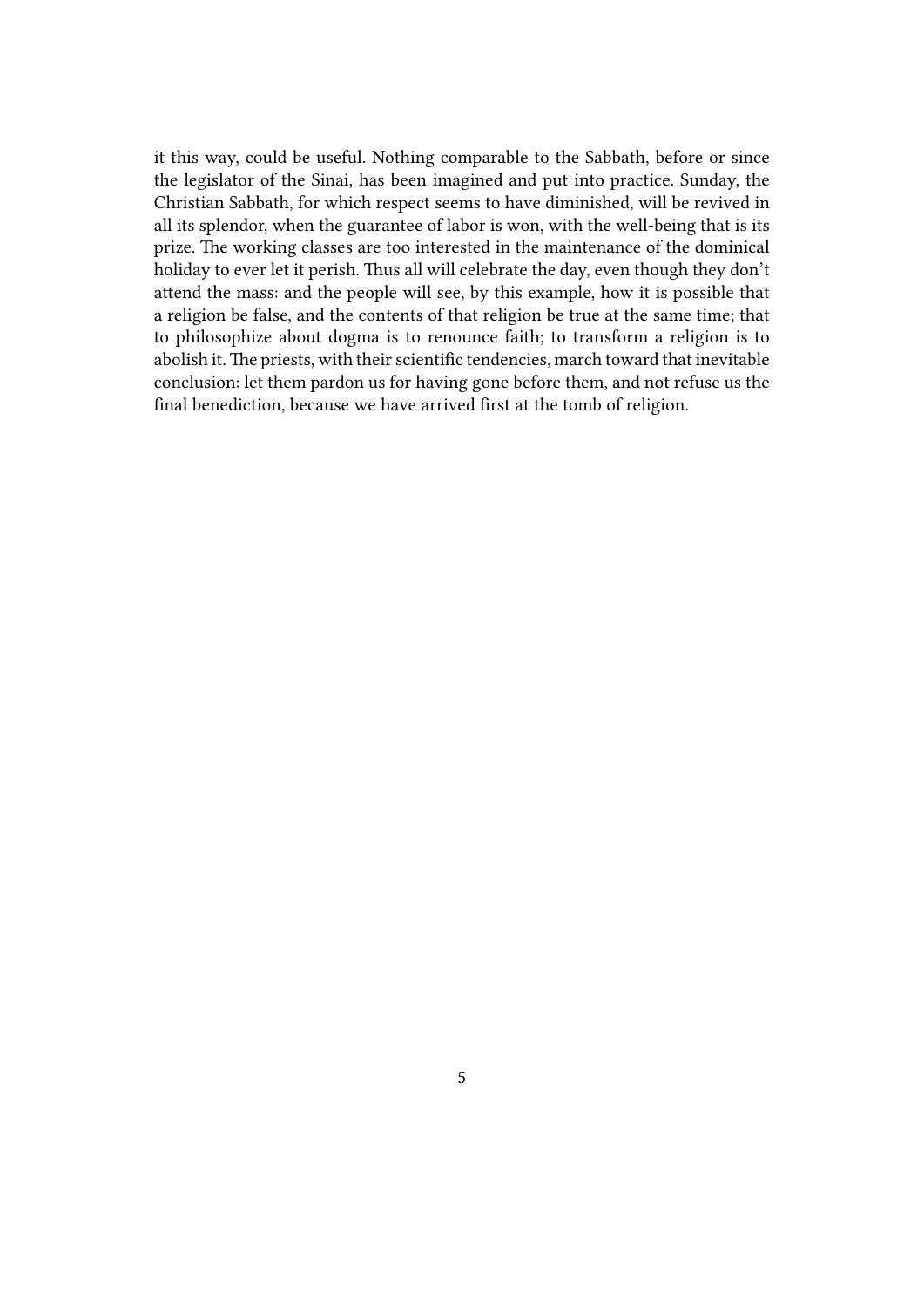it this way, could be useful. Nothing comparable to the Sabbath, before or since the legislator of the Sinai, has been imagined and put into practice. Sunday, the Christian Sabbath, for which respect seems to have diminished, will be revived in all its splendor, when the guarantee of labor is won, with the well-being that is its prize. The working classes are too interested in the maintenance of the dominical holiday to ever let it perish. Thus all will celebrate the day, even though they don't attend the mass: and the people will see, by this example, how it is possible that a religion be false, and the contents of that religion be true at the same time; that to philosophize about dogma is to renounce faith; to transform a religion is to abolish it. The priests, with their scientific tendencies, march toward that inevitable conclusion: let them pardon us for having gone before them, and not refuse us the final benediction, because we have arrived first at the tomb of religion.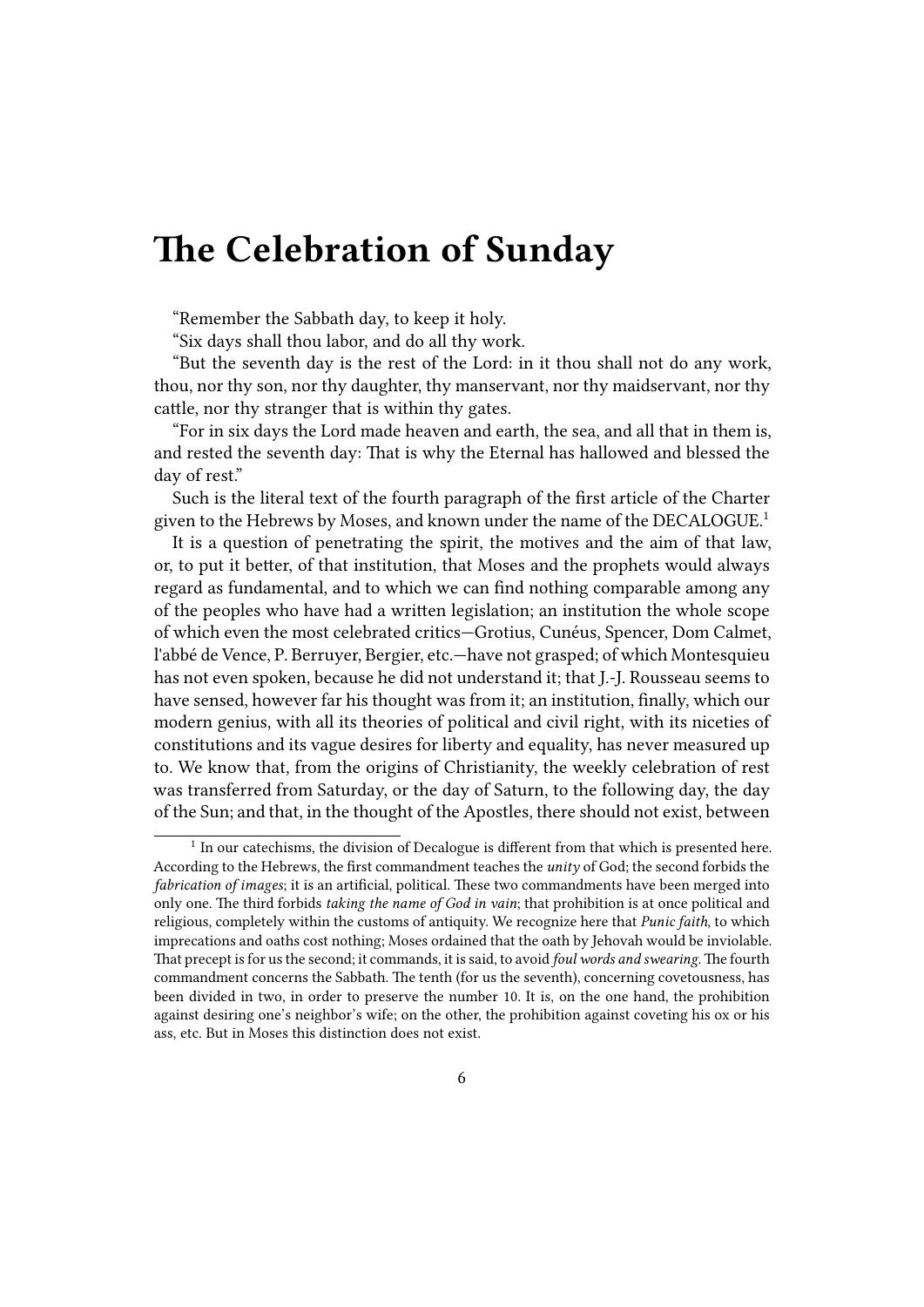## <span id="page-5-0"></span>**The Celebration of Sunday**

"Remember the Sabbath day, to keep it holy.

"Six days shall thou labor, and do all thy work.

"But the seventh day is the rest of the Lord: in it thou shall not do any work, thou, nor thy son, nor thy daughter, thy manservant, nor thy maidservant, nor thy cattle, nor thy stranger that is within thy gates.

"For in six days the Lord made heaven and earth, the sea, and all that in them is, and rested the seventh day: That is why the Eternal has hallowed and blessed the day of rest."

Such is the literal text of the fourth paragraph of the first article of the Charter given to the Hebrews by Moses, and known under the name of the DECALOGUE.<sup>1</sup>

It is a question of penetrating the spirit, the motives and the aim of that law, or, to put it better, of that institution, that Moses and the prophets would always regard as fundamental, and to which we can find nothing comparable among any of the peoples who have had a written legislation; an institution the whole scope of which even the most celebrated critics—Grotius, Cunéus, Spencer, Dom Calmet, l'abbé de Vence, P. Berruyer, Bergier, etc.—have not grasped; of which Montesquieu has not even spoken, because he did not understand it; that J.-J. Rousseau seems to have sensed, however far his thought was from it; an institution, finally, which our modern genius, with all its theories of political and civil right, with its niceties of constitutions and its vague desires for liberty and equality, has never measured up to. We know that, from the origins of Christianity, the weekly celebration of rest was transferred from Saturday, or the day of Saturn, to the following day, the day of the Sun; and that, in the thought of the Apostles, there should not exist, between

 $<sup>1</sup>$  In our catechisms, the division of Decalogue is different from that which is presented here.</sup> According to the Hebrews, the first commandment teaches the *unity* of God; the second forbids the *fabrication of images*; it is an artificial, political. These two commandments have been merged into only one. The third forbids *taking the name of God in vain*; that prohibition is at once political and religious, completely within the customs of antiquity. We recognize here that *Punic faith*, to which imprecations and oaths cost nothing; Moses ordained that the oath by Jehovah would be inviolable. That precept is for us the second; it commands, it is said, to avoid *foul words and swearing*.The fourth commandment concerns the Sabbath. The tenth (for us the seventh), concerning covetousness, has been divided in two, in order to preserve the number 10. It is, on the one hand, the prohibition against desiring one's neighbor's wife; on the other, the prohibition against coveting his ox or his ass, etc. But in Moses this distinction does not exist.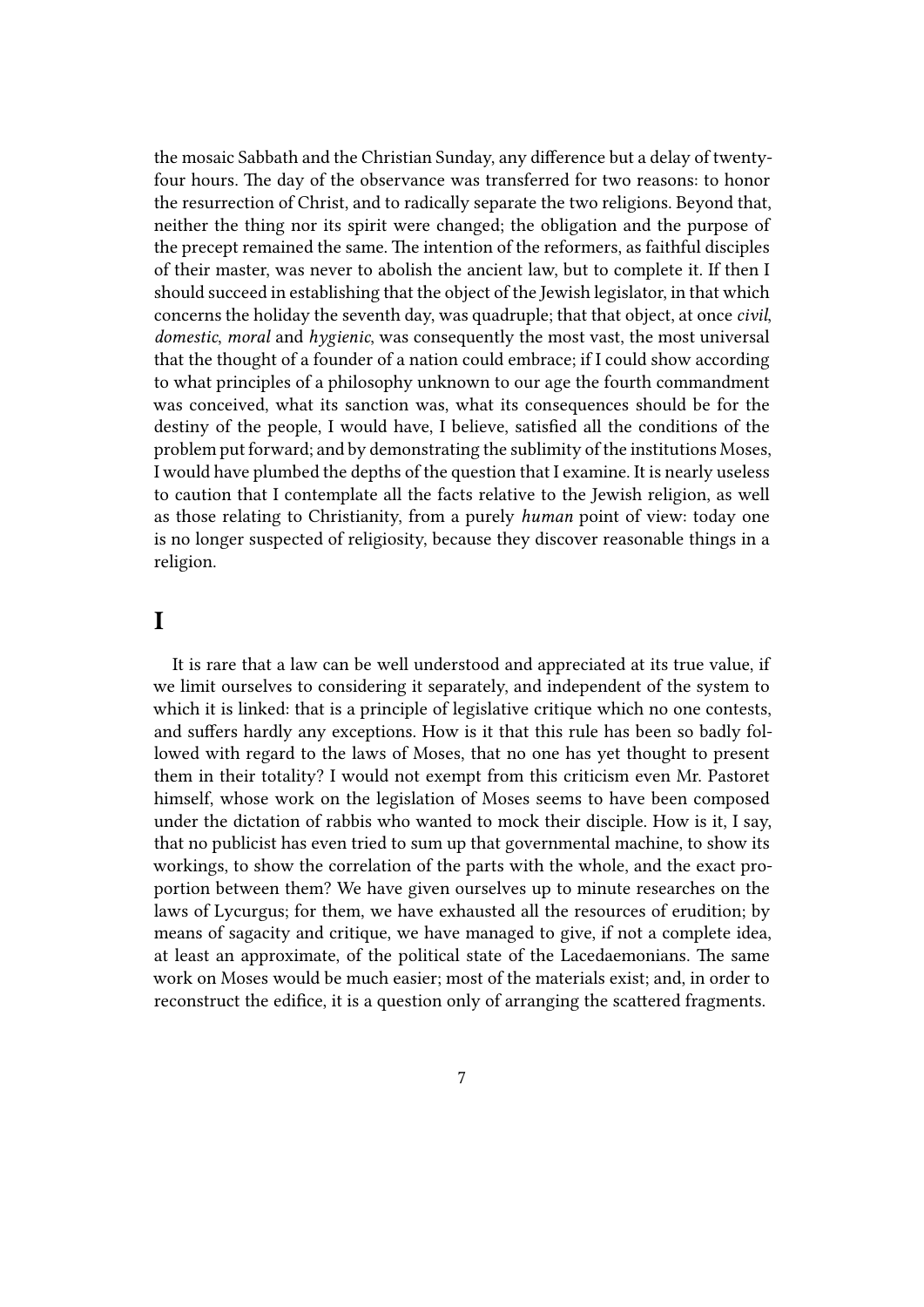the mosaic Sabbath and the Christian Sunday, any difference but a delay of twentyfour hours. The day of the observance was transferred for two reasons: to honor the resurrection of Christ, and to radically separate the two religions. Beyond that, neither the thing nor its spirit were changed; the obligation and the purpose of the precept remained the same. The intention of the reformers, as faithful disciples of their master, was never to abolish the ancient law, but to complete it. If then I should succeed in establishing that the object of the Jewish legislator, in that which concerns the holiday the seventh day, was quadruple; that that object, at once *civil*, *domestic*, *moral* and *hygienic*, was consequently the most vast, the most universal that the thought of a founder of a nation could embrace; if I could show according to what principles of a philosophy unknown to our age the fourth commandment was conceived, what its sanction was, what its consequences should be for the destiny of the people, I would have, I believe, satisfied all the conditions of the problem put forward; and by demonstrating the sublimity of the institutions Moses, I would have plumbed the depths of the question that I examine. It is nearly useless to caution that I contemplate all the facts relative to the Jewish religion, as well as those relating to Christianity, from a purely *human* point of view: today one is no longer suspected of religiosity, because they discover reasonable things in a religion.

### <span id="page-6-0"></span>**I**

It is rare that a law can be well understood and appreciated at its true value, if we limit ourselves to considering it separately, and independent of the system to which it is linked: that is a principle of legislative critique which no one contests, and suffers hardly any exceptions. How is it that this rule has been so badly followed with regard to the laws of Moses, that no one has yet thought to present them in their totality? I would not exempt from this criticism even Mr. Pastoret himself, whose work on the legislation of Moses seems to have been composed under the dictation of rabbis who wanted to mock their disciple. How is it, I say, that no publicist has even tried to sum up that governmental machine, to show its workings, to show the correlation of the parts with the whole, and the exact proportion between them? We have given ourselves up to minute researches on the laws of Lycurgus; for them, we have exhausted all the resources of erudition; by means of sagacity and critique, we have managed to give, if not a complete idea, at least an approximate, of the political state of the Lacedaemonians. The same work on Moses would be much easier; most of the materials exist; and, in order to reconstruct the edifice, it is a question only of arranging the scattered fragments.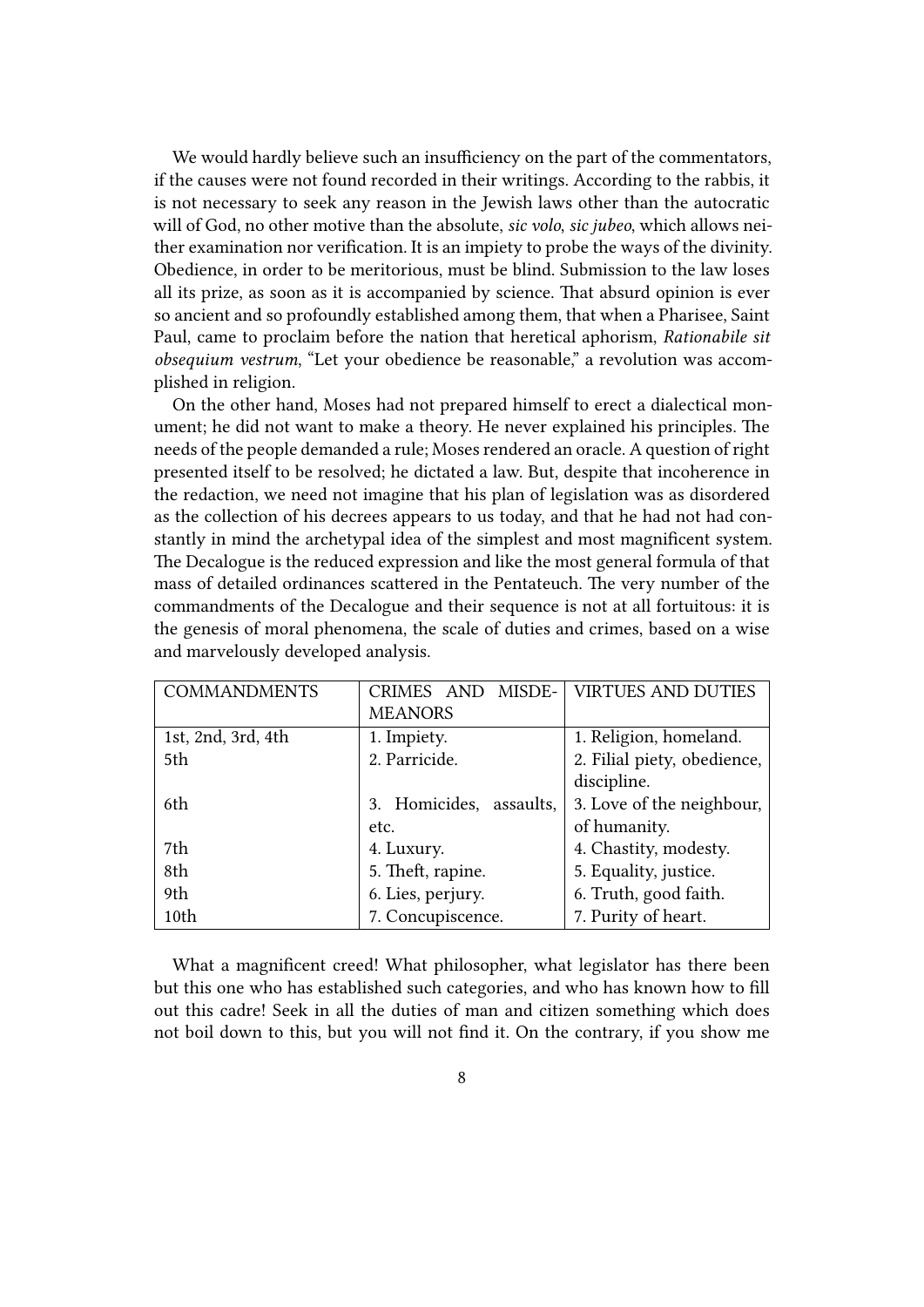We would hardly believe such an insufficiency on the part of the commentators, if the causes were not found recorded in their writings. According to the rabbis, it is not necessary to seek any reason in the Jewish laws other than the autocratic will of God, no other motive than the absolute, *sic volo*, *sic jubeo*, which allows neither examination nor verification. It is an impiety to probe the ways of the divinity. Obedience, in order to be meritorious, must be blind. Submission to the law loses all its prize, as soon as it is accompanied by science. That absurd opinion is ever so ancient and so profoundly established among them, that when a Pharisee, Saint Paul, came to proclaim before the nation that heretical aphorism, *Rationabile sit obsequium vestrum*, "Let your obedience be reasonable," a revolution was accomplished in religion.

On the other hand, Moses had not prepared himself to erect a dialectical monument; he did not want to make a theory. He never explained his principles. The needs of the people demanded a rule; Moses rendered an oracle. A question of right presented itself to be resolved; he dictated a law. But, despite that incoherence in the redaction, we need not imagine that his plan of legislation was as disordered as the collection of his decrees appears to us today, and that he had not had constantly in mind the archetypal idea of the simplest and most magnificent system. The Decalogue is the reduced expression and like the most general formula of that mass of detailed ordinances scattered in the Pentateuch. The very number of the commandments of the Decalogue and their sequence is not at all fortuitous: it is the genesis of moral phenomena, the scale of duties and crimes, based on a wise and marvelously developed analysis.

| <b>COMMANDMENTS</b> | CRIMES AND MISDE-   VIRTUES AND DUTIES |                             |  |
|---------------------|----------------------------------------|-----------------------------|--|
|                     | <b>MEANORS</b>                         |                             |  |
| 1st, 2nd, 3rd, 4th  | 1. Impiety.                            | 1. Religion, homeland.      |  |
| 5th                 | 2. Parricide.                          | 2. Filial piety, obedience, |  |
|                     |                                        | discipline.                 |  |
| 6th                 | 3. Homicides, assaults,                | 3. Love of the neighbour,   |  |
|                     | etc.                                   | of humanity.                |  |
| 7th                 | 4. Luxury.                             | 4. Chastity, modesty.       |  |
| 8th                 | 5. Theft, rapine.                      | 5. Equality, justice.       |  |
| 9th                 | 6. Lies, perjury.                      | 6. Truth, good faith.       |  |
| 10th                | 7. Concupiscence.                      | 7. Purity of heart.         |  |

What a magnificent creed! What philosopher, what legislator has there been but this one who has established such categories, and who has known how to fill out this cadre! Seek in all the duties of man and citizen something which does not boil down to this, but you will not find it. On the contrary, if you show me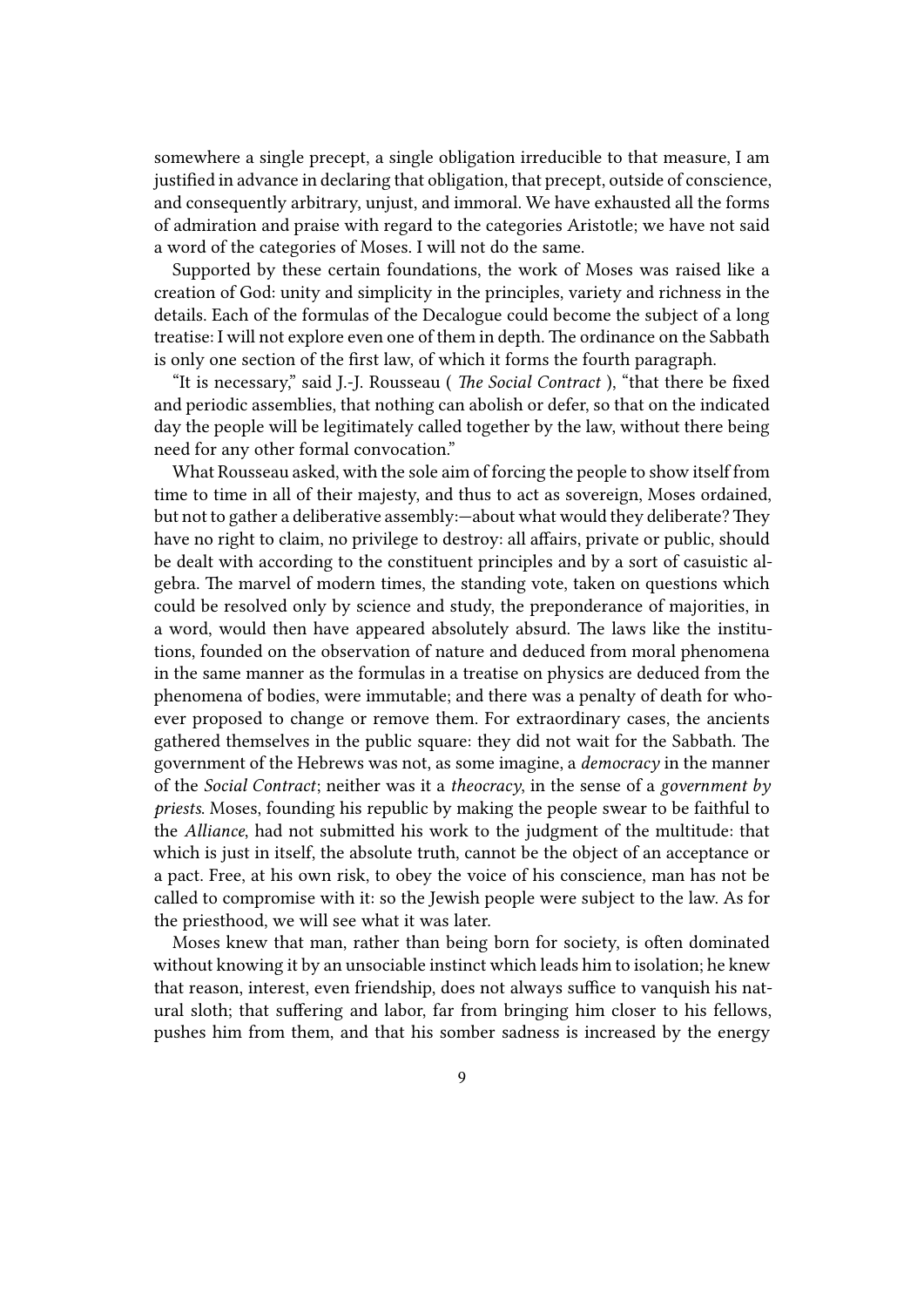somewhere a single precept, a single obligation irreducible to that measure, I am justified in advance in declaring that obligation, that precept, outside of conscience, and consequently arbitrary, unjust, and immoral. We have exhausted all the forms of admiration and praise with regard to the categories Aristotle; we have not said a word of the categories of Moses. I will not do the same.

Supported by these certain foundations, the work of Moses was raised like a creation of God: unity and simplicity in the principles, variety and richness in the details. Each of the formulas of the Decalogue could become the subject of a long treatise: I will not explore even one of them in depth. The ordinance on the Sabbath is only one section of the first law, of which it forms the fourth paragraph.

"It is necessary," said J.-J. Rousseau ( *The Social Contract* ), "that there be fixed and periodic assemblies, that nothing can abolish or defer, so that on the indicated day the people will be legitimately called together by the law, without there being need for any other formal convocation."

What Rousseau asked, with the sole aim of forcing the people to show itself from time to time in all of their majesty, and thus to act as sovereign, Moses ordained, but not to gather a deliberative assembly: - about what would they deliberate? They have no right to claim, no privilege to destroy: all affairs, private or public, should be dealt with according to the constituent principles and by a sort of casuistic algebra. The marvel of modern times, the standing vote, taken on questions which could be resolved only by science and study, the preponderance of majorities, in a word, would then have appeared absolutely absurd. The laws like the institutions, founded on the observation of nature and deduced from moral phenomena in the same manner as the formulas in a treatise on physics are deduced from the phenomena of bodies, were immutable; and there was a penalty of death for whoever proposed to change or remove them. For extraordinary cases, the ancients gathered themselves in the public square: they did not wait for the Sabbath. The government of the Hebrews was not, as some imagine, a *democracy* in the manner of the *Social Contract*; neither was it a *theocracy*, in the sense of a *government by priests*. Moses, founding his republic by making the people swear to be faithful to the *Alliance*, had not submitted his work to the judgment of the multitude: that which is just in itself, the absolute truth, cannot be the object of an acceptance or a pact. Free, at his own risk, to obey the voice of his conscience, man has not be called to compromise with it: so the Jewish people were subject to the law. As for the priesthood, we will see what it was later.

Moses knew that man, rather than being born for society, is often dominated without knowing it by an unsociable instinct which leads him to isolation; he knew that reason, interest, even friendship, does not always suffice to vanquish his natural sloth; that suffering and labor, far from bringing him closer to his fellows, pushes him from them, and that his somber sadness is increased by the energy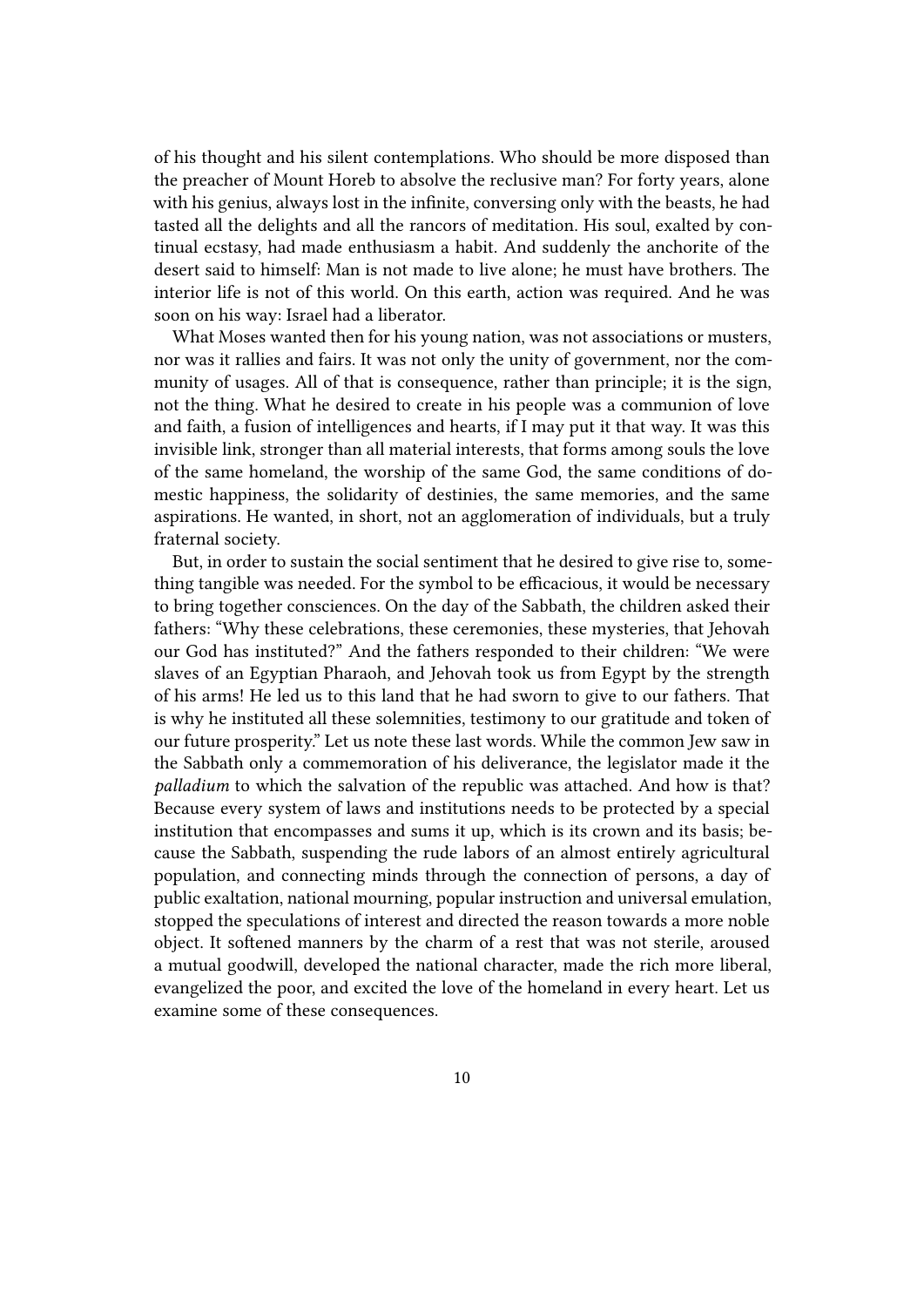of his thought and his silent contemplations. Who should be more disposed than the preacher of Mount Horeb to absolve the reclusive man? For forty years, alone with his genius, always lost in the infinite, conversing only with the beasts, he had tasted all the delights and all the rancors of meditation. His soul, exalted by continual ecstasy, had made enthusiasm a habit. And suddenly the anchorite of the desert said to himself: Man is not made to live alone; he must have brothers. The interior life is not of this world. On this earth, action was required. And he was soon on his way: Israel had a liberator.

What Moses wanted then for his young nation, was not associations or musters, nor was it rallies and fairs. It was not only the unity of government, nor the community of usages. All of that is consequence, rather than principle; it is the sign, not the thing. What he desired to create in his people was a communion of love and faith, a fusion of intelligences and hearts, if I may put it that way. It was this invisible link, stronger than all material interests, that forms among souls the love of the same homeland, the worship of the same God, the same conditions of domestic happiness, the solidarity of destinies, the same memories, and the same aspirations. He wanted, in short, not an agglomeration of individuals, but a truly fraternal society.

But, in order to sustain the social sentiment that he desired to give rise to, something tangible was needed. For the symbol to be efficacious, it would be necessary to bring together consciences. On the day of the Sabbath, the children asked their fathers: "Why these celebrations, these ceremonies, these mysteries, that Jehovah our God has instituted?" And the fathers responded to their children: "We were slaves of an Egyptian Pharaoh, and Jehovah took us from Egypt by the strength of his arms! He led us to this land that he had sworn to give to our fathers. That is why he instituted all these solemnities, testimony to our gratitude and token of our future prosperity." Let us note these last words. While the common Jew saw in the Sabbath only a commemoration of his deliverance, the legislator made it the *palladium* to which the salvation of the republic was attached. And how is that? Because every system of laws and institutions needs to be protected by a special institution that encompasses and sums it up, which is its crown and its basis; because the Sabbath, suspending the rude labors of an almost entirely agricultural population, and connecting minds through the connection of persons, a day of public exaltation, national mourning, popular instruction and universal emulation, stopped the speculations of interest and directed the reason towards a more noble object. It softened manners by the charm of a rest that was not sterile, aroused a mutual goodwill, developed the national character, made the rich more liberal, evangelized the poor, and excited the love of the homeland in every heart. Let us examine some of these consequences.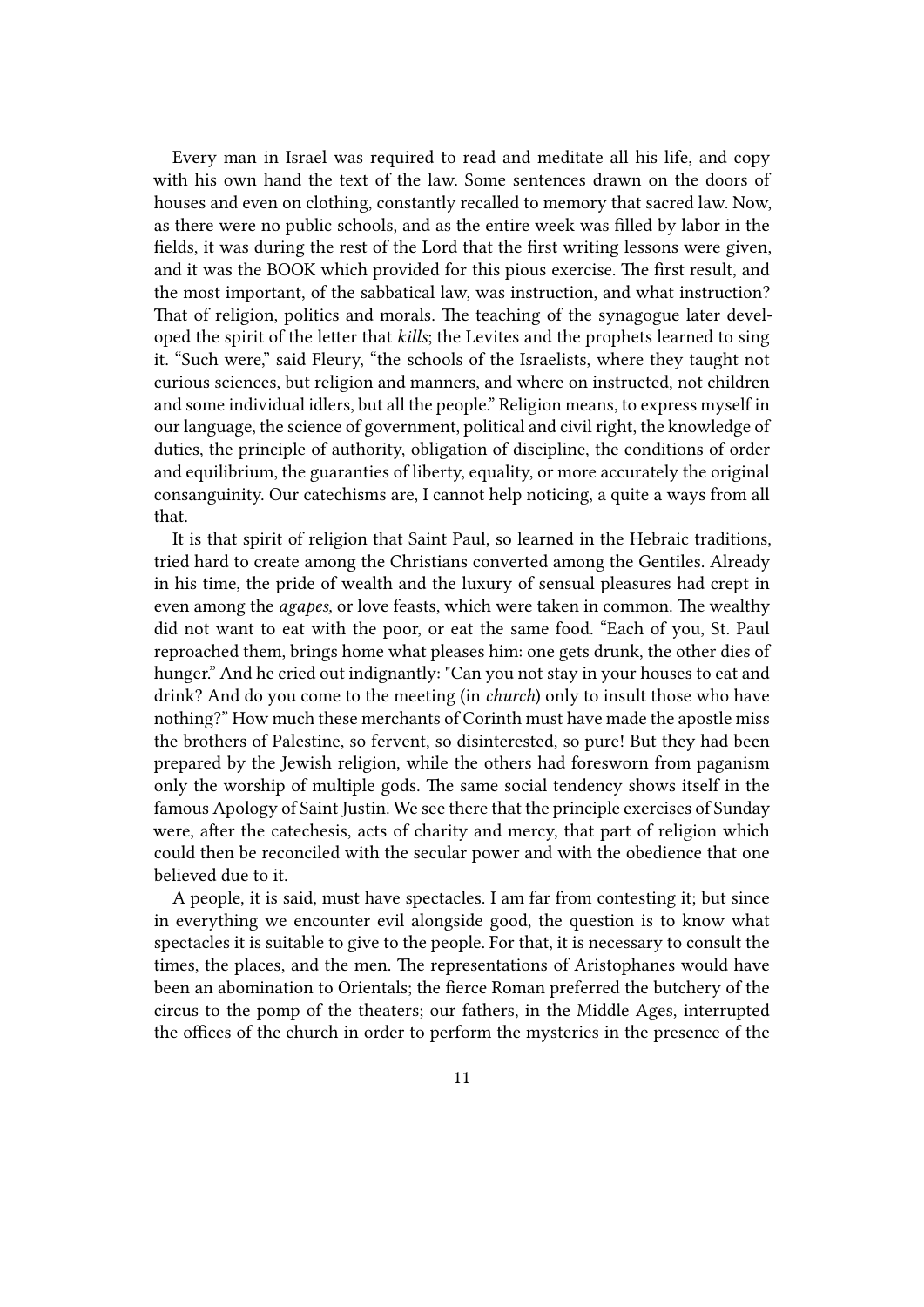Every man in Israel was required to read and meditate all his life, and copy with his own hand the text of the law. Some sentences drawn on the doors of houses and even on clothing, constantly recalled to memory that sacred law. Now, as there were no public schools, and as the entire week was filled by labor in the fields, it was during the rest of the Lord that the first writing lessons were given, and it was the BOOK which provided for this pious exercise. The first result, and the most important, of the sabbatical law, was instruction, and what instruction? That of religion, politics and morals. The teaching of the synagogue later developed the spirit of the letter that *kills*; the Levites and the prophets learned to sing it. "Such were," said Fleury, "the schools of the Israelists, where they taught not curious sciences, but religion and manners, and where on instructed, not children and some individual idlers, but all the people." Religion means, to express myself in our language, the science of government, political and civil right, the knowledge of duties, the principle of authority, obligation of discipline, the conditions of order and equilibrium, the guaranties of liberty, equality, or more accurately the original consanguinity. Our catechisms are, I cannot help noticing, a quite a ways from all that.

It is that spirit of religion that Saint Paul, so learned in the Hebraic traditions, tried hard to create among the Christians converted among the Gentiles. Already in his time, the pride of wealth and the luxury of sensual pleasures had crept in even among the *agapes,* or love feasts, which were taken in common. The wealthy did not want to eat with the poor, or eat the same food. "Each of you, St. Paul reproached them, brings home what pleases him: one gets drunk, the other dies of hunger." And he cried out indignantly: "Can you not stay in your houses to eat and drink? And do you come to the meeting (in *church*) only to insult those who have nothing?" How much these merchants of Corinth must have made the apostle miss the brothers of Palestine, so fervent, so disinterested, so pure! But they had been prepared by the Jewish religion, while the others had foresworn from paganism only the worship of multiple gods. The same social tendency shows itself in the famous Apology of Saint Justin. We see there that the principle exercises of Sunday were, after the catechesis, acts of charity and mercy, that part of religion which could then be reconciled with the secular power and with the obedience that one believed due to it.

A people, it is said, must have spectacles. I am far from contesting it; but since in everything we encounter evil alongside good, the question is to know what spectacles it is suitable to give to the people. For that, it is necessary to consult the times, the places, and the men. The representations of Aristophanes would have been an abomination to Orientals; the fierce Roman preferred the butchery of the circus to the pomp of the theaters; our fathers, in the Middle Ages, interrupted the offices of the church in order to perform the mysteries in the presence of the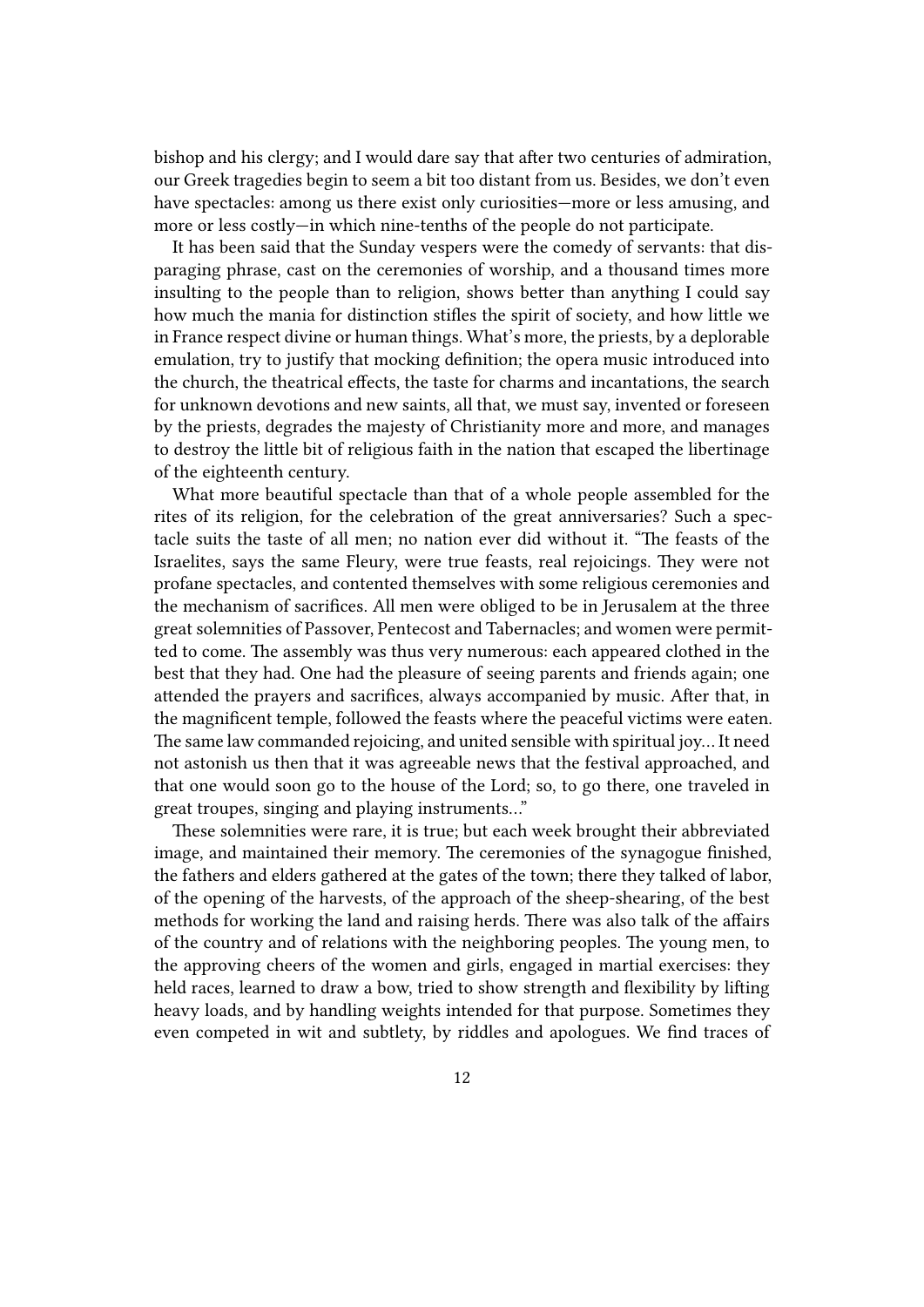bishop and his clergy; and I would dare say that after two centuries of admiration, our Greek tragedies begin to seem a bit too distant from us. Besides, we don't even have spectacles: among us there exist only curiosities—more or less amusing, and more or less costly—in which nine-tenths of the people do not participate.

It has been said that the Sunday vespers were the comedy of servants: that disparaging phrase, cast on the ceremonies of worship, and a thousand times more insulting to the people than to religion, shows better than anything I could say how much the mania for distinction stifles the spirit of society, and how little we in France respect divine or human things. What's more, the priests, by a deplorable emulation, try to justify that mocking definition; the opera music introduced into the church, the theatrical effects, the taste for charms and incantations, the search for unknown devotions and new saints, all that, we must say, invented or foreseen by the priests, degrades the majesty of Christianity more and more, and manages to destroy the little bit of religious faith in the nation that escaped the libertinage of the eighteenth century.

What more beautiful spectacle than that of a whole people assembled for the rites of its religion, for the celebration of the great anniversaries? Such a spectacle suits the taste of all men; no nation ever did without it. "The feasts of the Israelites, says the same Fleury, were true feasts, real rejoicings. They were not profane spectacles, and contented themselves with some religious ceremonies and the mechanism of sacrifices. All men were obliged to be in Jerusalem at the three great solemnities of Passover, Pentecost and Tabernacles; and women were permitted to come. The assembly was thus very numerous: each appeared clothed in the best that they had. One had the pleasure of seeing parents and friends again; one attended the prayers and sacrifices, always accompanied by music. After that, in the magnificent temple, followed the feasts where the peaceful victims were eaten. The same law commanded rejoicing, and united sensible with spiritual joy… It need not astonish us then that it was agreeable news that the festival approached, and that one would soon go to the house of the Lord; so, to go there, one traveled in great troupes, singing and playing instruments…"

These solemnities were rare, it is true; but each week brought their abbreviated image, and maintained their memory. The ceremonies of the synagogue finished, the fathers and elders gathered at the gates of the town; there they talked of labor, of the opening of the harvests, of the approach of the sheep-shearing, of the best methods for working the land and raising herds. There was also talk of the affairs of the country and of relations with the neighboring peoples. The young men, to the approving cheers of the women and girls, engaged in martial exercises: they held races, learned to draw a bow, tried to show strength and flexibility by lifting heavy loads, and by handling weights intended for that purpose. Sometimes they even competed in wit and subtlety, by riddles and apologues. We find traces of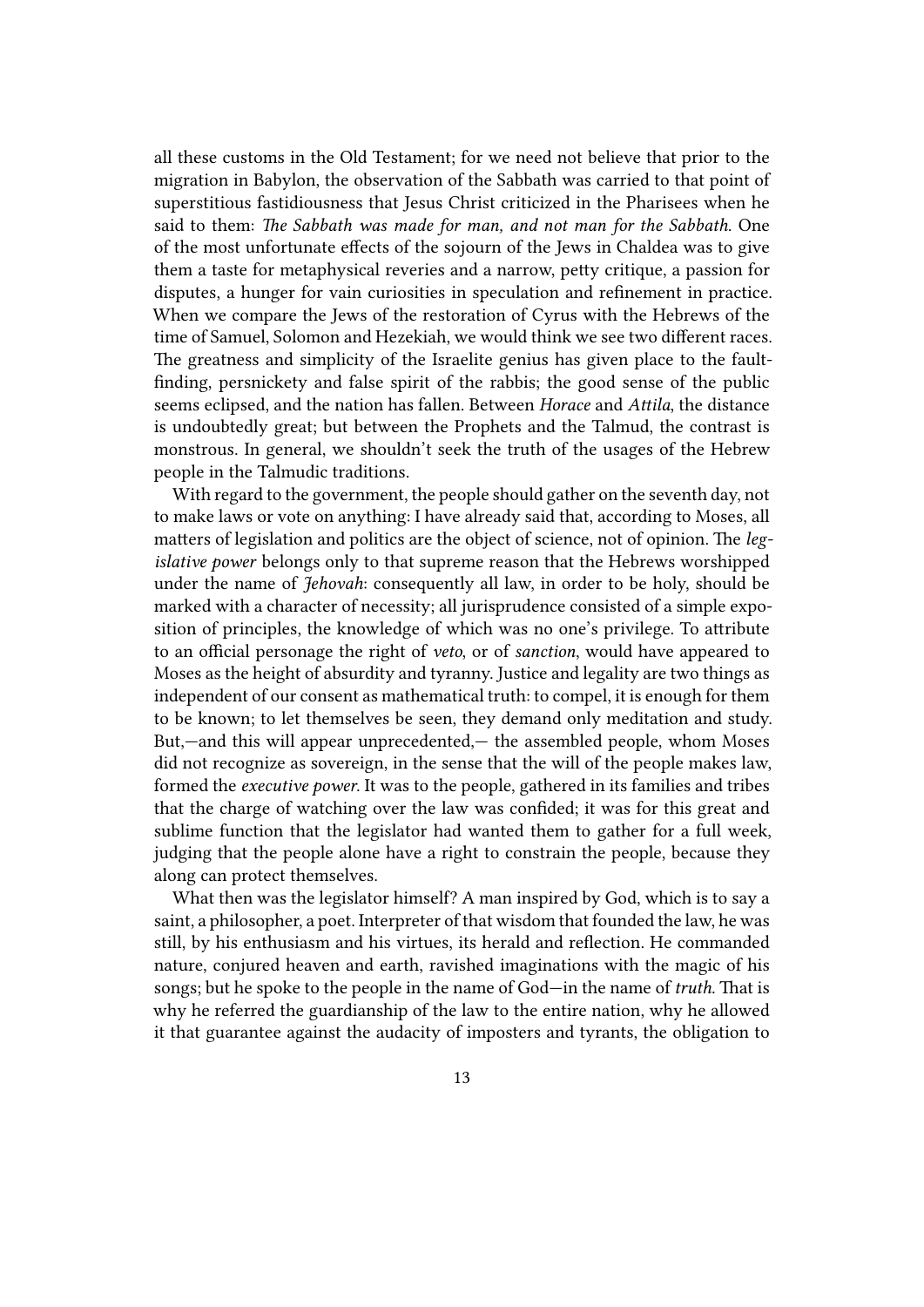all these customs in the Old Testament; for we need not believe that prior to the migration in Babylon, the observation of the Sabbath was carried to that point of superstitious fastidiousness that Jesus Christ criticized in the Pharisees when he said to them: *The Sabbath was made for man, and not man for the Sabbath*. One of the most unfortunate effects of the sojourn of the Jews in Chaldea was to give them a taste for metaphysical reveries and a narrow, petty critique, a passion for disputes, a hunger for vain curiosities in speculation and refinement in practice. When we compare the Jews of the restoration of Cyrus with the Hebrews of the time of Samuel, Solomon and Hezekiah, we would think we see two different races. The greatness and simplicity of the Israelite genius has given place to the faultfinding, persnickety and false spirit of the rabbis; the good sense of the public seems eclipsed, and the nation has fallen. Between *Horace* and *Attila*, the distance is undoubtedly great; but between the Prophets and the Talmud, the contrast is monstrous. In general, we shouldn't seek the truth of the usages of the Hebrew people in the Talmudic traditions.

With regard to the government, the people should gather on the seventh day, not to make laws or vote on anything: I have already said that, according to Moses, all matters of legislation and politics are the object of science, not of opinion. The *legislative power* belongs only to that supreme reason that the Hebrews worshipped under the name of *Jehovah*: consequently all law, in order to be holy, should be marked with a character of necessity; all jurisprudence consisted of a simple exposition of principles, the knowledge of which was no one's privilege. To attribute to an official personage the right of *veto*, or of *sanction*, would have appeared to Moses as the height of absurdity and tyranny. Justice and legality are two things as independent of our consent as mathematical truth: to compel, it is enough for them to be known; to let themselves be seen, they demand only meditation and study. But,—and this will appear unprecedented,— the assembled people, whom Moses did not recognize as sovereign, in the sense that the will of the people makes law, formed the *executive power*. It was to the people, gathered in its families and tribes that the charge of watching over the law was confided; it was for this great and sublime function that the legislator had wanted them to gather for a full week, judging that the people alone have a right to constrain the people, because they along can protect themselves.

What then was the legislator himself? A man inspired by God, which is to say a saint, a philosopher, a poet. Interpreter of that wisdom that founded the law, he was still, by his enthusiasm and his virtues, its herald and reflection. He commanded nature, conjured heaven and earth, ravished imaginations with the magic of his songs; but he spoke to the people in the name of God—in the name of *truth*. That is why he referred the guardianship of the law to the entire nation, why he allowed it that guarantee against the audacity of imposters and tyrants, the obligation to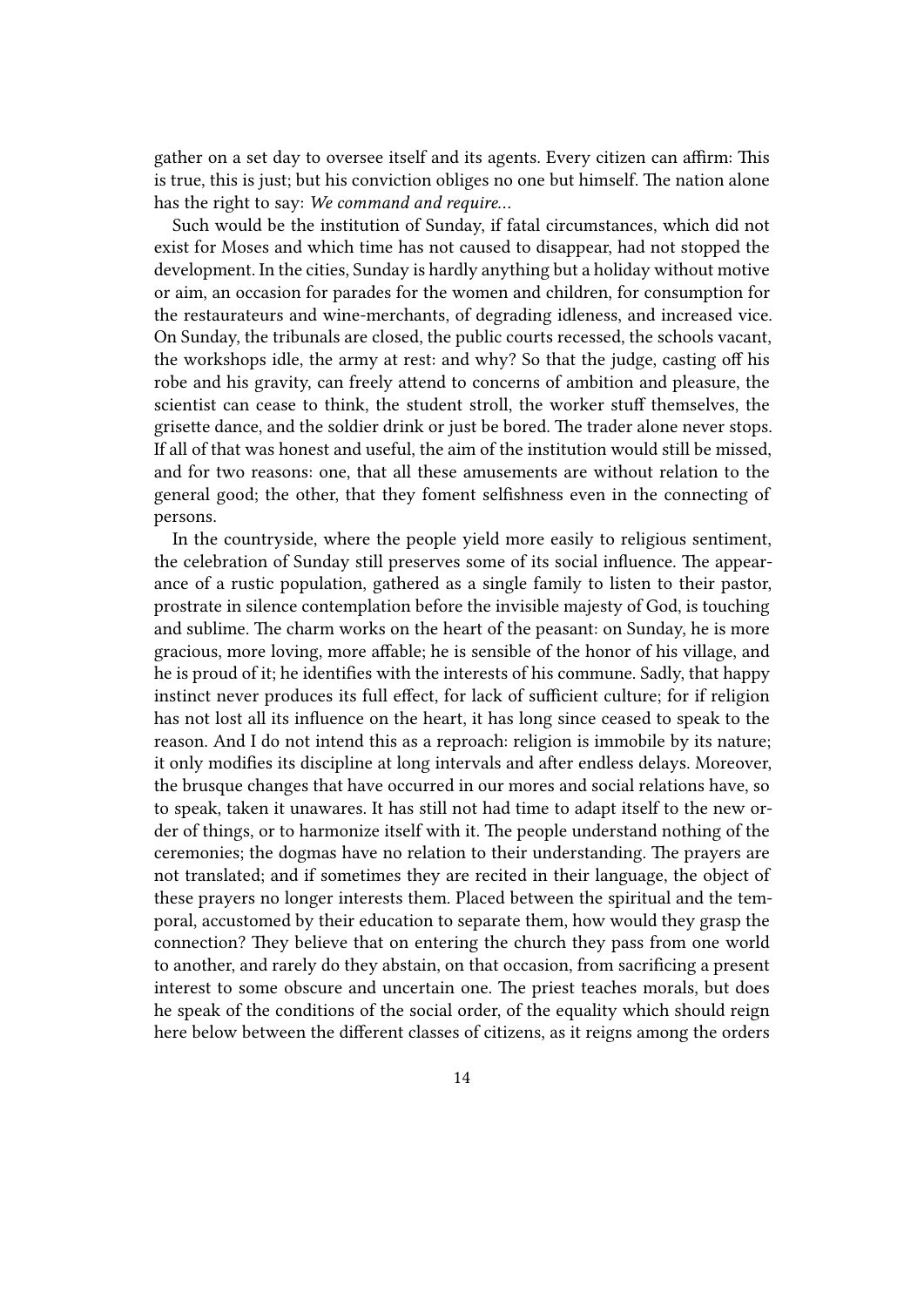gather on a set day to oversee itself and its agents. Every citizen can affirm: This is true, this is just; but his conviction obliges no one but himself. The nation alone has the right to say: *We command and require…*

Such would be the institution of Sunday, if fatal circumstances, which did not exist for Moses and which time has not caused to disappear, had not stopped the development. In the cities, Sunday is hardly anything but a holiday without motive or aim, an occasion for parades for the women and children, for consumption for the restaurateurs and wine-merchants, of degrading idleness, and increased vice. On Sunday, the tribunals are closed, the public courts recessed, the schools vacant, the workshops idle, the army at rest: and why? So that the judge, casting off his robe and his gravity, can freely attend to concerns of ambition and pleasure, the scientist can cease to think, the student stroll, the worker stuff themselves, the grisette dance, and the soldier drink or just be bored. The trader alone never stops. If all of that was honest and useful, the aim of the institution would still be missed, and for two reasons: one, that all these amusements are without relation to the general good; the other, that they foment selfishness even in the connecting of persons.

In the countryside, where the people yield more easily to religious sentiment, the celebration of Sunday still preserves some of its social influence. The appearance of a rustic population, gathered as a single family to listen to their pastor, prostrate in silence contemplation before the invisible majesty of God, is touching and sublime. The charm works on the heart of the peasant: on Sunday, he is more gracious, more loving, more affable; he is sensible of the honor of his village, and he is proud of it; he identifies with the interests of his commune. Sadly, that happy instinct never produces its full effect, for lack of sufficient culture; for if religion has not lost all its influence on the heart, it has long since ceased to speak to the reason. And I do not intend this as a reproach: religion is immobile by its nature; it only modifies its discipline at long intervals and after endless delays. Moreover, the brusque changes that have occurred in our mores and social relations have, so to speak, taken it unawares. It has still not had time to adapt itself to the new order of things, or to harmonize itself with it. The people understand nothing of the ceremonies; the dogmas have no relation to their understanding. The prayers are not translated; and if sometimes they are recited in their language, the object of these prayers no longer interests them. Placed between the spiritual and the temporal, accustomed by their education to separate them, how would they grasp the connection? They believe that on entering the church they pass from one world to another, and rarely do they abstain, on that occasion, from sacrificing a present interest to some obscure and uncertain one. The priest teaches morals, but does he speak of the conditions of the social order, of the equality which should reign here below between the different classes of citizens, as it reigns among the orders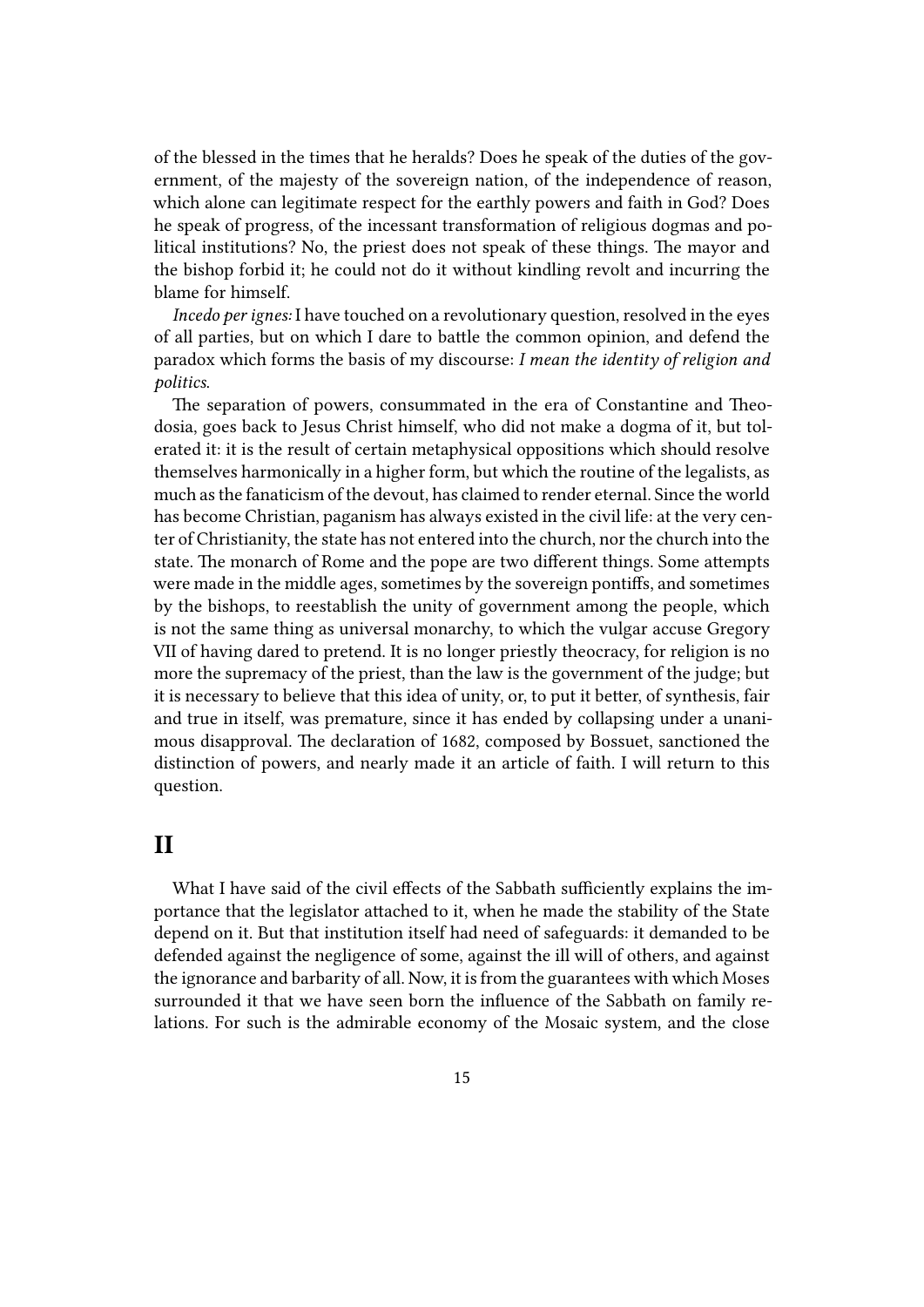of the blessed in the times that he heralds? Does he speak of the duties of the government, of the majesty of the sovereign nation, of the independence of reason, which alone can legitimate respect for the earthly powers and faith in God? Does he speak of progress, of the incessant transformation of religious dogmas and political institutions? No, the priest does not speak of these things. The mayor and the bishop forbid it; he could not do it without kindling revolt and incurring the blame for himself.

*Incedo per ignes:* I have touched on a revolutionary question, resolved in the eyes of all parties, but on which I dare to battle the common opinion, and defend the paradox which forms the basis of my discourse: *I mean the identity of religion and politics*.

The separation of powers, consummated in the era of Constantine and Theodosia, goes back to Jesus Christ himself, who did not make a dogma of it, but tolerated it: it is the result of certain metaphysical oppositions which should resolve themselves harmonically in a higher form, but which the routine of the legalists, as much as the fanaticism of the devout, has claimed to render eternal. Since the world has become Christian, paganism has always existed in the civil life: at the very center of Christianity, the state has not entered into the church, nor the church into the state. The monarch of Rome and the pope are two different things. Some attempts were made in the middle ages, sometimes by the sovereign pontiffs, and sometimes by the bishops, to reestablish the unity of government among the people, which is not the same thing as universal monarchy, to which the vulgar accuse Gregory VII of having dared to pretend. It is no longer priestly theocracy, for religion is no more the supremacy of the priest, than the law is the government of the judge; but it is necessary to believe that this idea of unity, or, to put it better, of synthesis, fair and true in itself, was premature, since it has ended by collapsing under a unanimous disapproval. The declaration of 1682, composed by Bossuet, sanctioned the distinction of powers, and nearly made it an article of faith. I will return to this question.

#### <span id="page-14-0"></span>**II**

What I have said of the civil effects of the Sabbath sufficiently explains the importance that the legislator attached to it, when he made the stability of the State depend on it. But that institution itself had need of safeguards: it demanded to be defended against the negligence of some, against the ill will of others, and against the ignorance and barbarity of all. Now, it is from the guarantees with which Moses surrounded it that we have seen born the influence of the Sabbath on family relations. For such is the admirable economy of the Mosaic system, and the close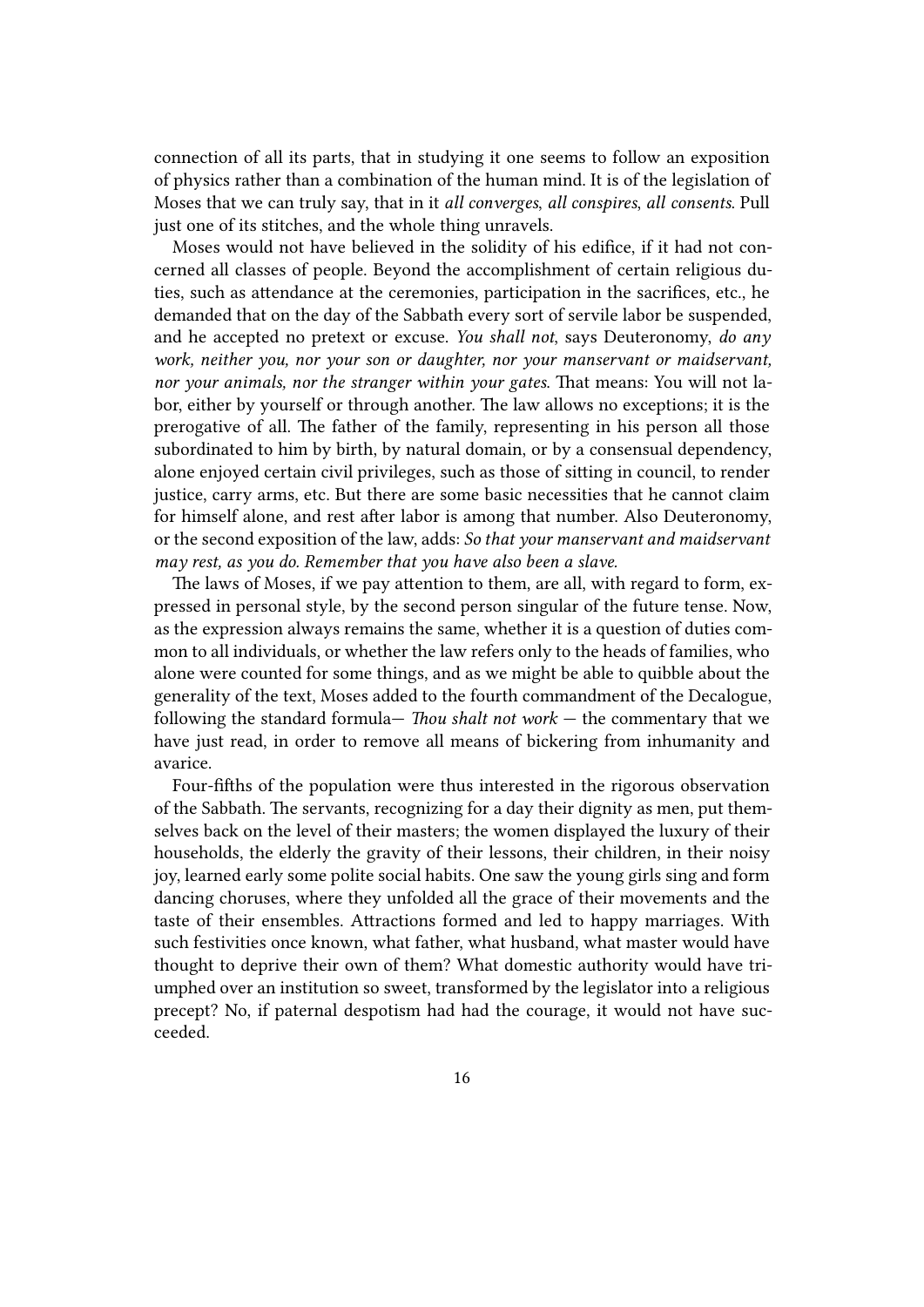connection of all its parts, that in studying it one seems to follow an exposition of physics rather than a combination of the human mind. It is of the legislation of Moses that we can truly say, that in it *all converges*, *all conspires*, *all consents*. Pull just one of its stitches, and the whole thing unravels.

Moses would not have believed in the solidity of his edifice, if it had not concerned all classes of people. Beyond the accomplishment of certain religious duties, such as attendance at the ceremonies, participation in the sacrifices, etc., he demanded that on the day of the Sabbath every sort of servile labor be suspended, and he accepted no pretext or excuse. *You shall not*, says Deuteronomy, *do any work, neither you, nor your son or daughter, nor your manservant or maidservant, nor your animals, nor the stranger within your gates*. That means: You will not labor, either by yourself or through another. The law allows no exceptions; it is the prerogative of all. The father of the family, representing in his person all those subordinated to him by birth, by natural domain, or by a consensual dependency, alone enjoyed certain civil privileges, such as those of sitting in council, to render justice, carry arms, etc. But there are some basic necessities that he cannot claim for himself alone, and rest after labor is among that number. Also Deuteronomy, or the second exposition of the law, adds: *So that your manservant and maidservant may rest, as you do. Remember that you have also been a slave.*

The laws of Moses, if we pay attention to them, are all, with regard to form, expressed in personal style, by the second person singular of the future tense. Now, as the expression always remains the same, whether it is a question of duties common to all individuals, or whether the law refers only to the heads of families, who alone were counted for some things, and as we might be able to quibble about the generality of the text, Moses added to the fourth commandment of the Decalogue, following the standard formula— *Thou shalt not work* — the commentary that we have just read, in order to remove all means of bickering from inhumanity and avarice.

Four-fifths of the population were thus interested in the rigorous observation of the Sabbath. The servants, recognizing for a day their dignity as men, put themselves back on the level of their masters; the women displayed the luxury of their households, the elderly the gravity of their lessons, their children, in their noisy joy, learned early some polite social habits. One saw the young girls sing and form dancing choruses, where they unfolded all the grace of their movements and the taste of their ensembles. Attractions formed and led to happy marriages. With such festivities once known, what father, what husband, what master would have thought to deprive their own of them? What domestic authority would have triumphed over an institution so sweet, transformed by the legislator into a religious precept? No, if paternal despotism had had the courage, it would not have succeeded.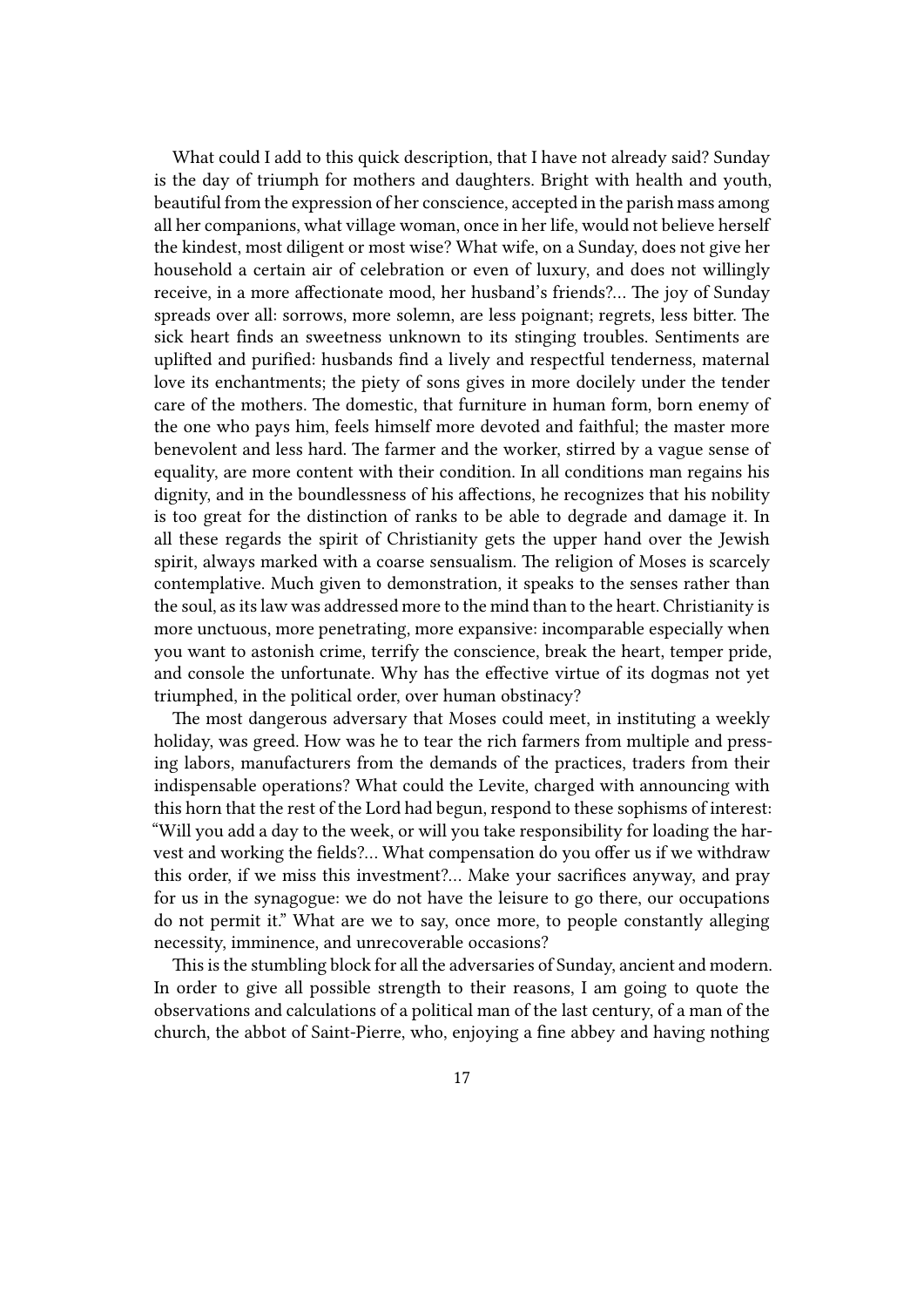What could I add to this quick description, that I have not already said? Sunday is the day of triumph for mothers and daughters. Bright with health and youth, beautiful from the expression of her conscience, accepted in the parish mass among all her companions, what village woman, once in her life, would not believe herself the kindest, most diligent or most wise? What wife, on a Sunday, does not give her household a certain air of celebration or even of luxury, and does not willingly receive, in a more affectionate mood, her husband's friends?… The joy of Sunday spreads over all: sorrows, more solemn, are less poignant; regrets, less bitter. The sick heart finds an sweetness unknown to its stinging troubles. Sentiments are uplifted and purified: husbands find a lively and respectful tenderness, maternal love its enchantments; the piety of sons gives in more docilely under the tender care of the mothers. The domestic, that furniture in human form, born enemy of the one who pays him, feels himself more devoted and faithful; the master more benevolent and less hard. The farmer and the worker, stirred by a vague sense of equality, are more content with their condition. In all conditions man regains his dignity, and in the boundlessness of his affections, he recognizes that his nobility is too great for the distinction of ranks to be able to degrade and damage it. In all these regards the spirit of Christianity gets the upper hand over the Jewish spirit, always marked with a coarse sensualism. The religion of Moses is scarcely contemplative. Much given to demonstration, it speaks to the senses rather than the soul, as its law was addressed more to the mind than to the heart. Christianity is more unctuous, more penetrating, more expansive: incomparable especially when you want to astonish crime, terrify the conscience, break the heart, temper pride, and console the unfortunate. Why has the effective virtue of its dogmas not yet triumphed, in the political order, over human obstinacy?

The most dangerous adversary that Moses could meet, in instituting a weekly holiday, was greed. How was he to tear the rich farmers from multiple and pressing labors, manufacturers from the demands of the practices, traders from their indispensable operations? What could the Levite, charged with announcing with this horn that the rest of the Lord had begun, respond to these sophisms of interest: "Will you add a day to the week, or will you take responsibility for loading the harvest and working the fields?… What compensation do you offer us if we withdraw this order, if we miss this investment?… Make your sacrifices anyway, and pray for us in the synagogue: we do not have the leisure to go there, our occupations do not permit it." What are we to say, once more, to people constantly alleging necessity, imminence, and unrecoverable occasions?

This is the stumbling block for all the adversaries of Sunday, ancient and modern. In order to give all possible strength to their reasons, I am going to quote the observations and calculations of a political man of the last century, of a man of the church, the abbot of Saint-Pierre, who, enjoying a fine abbey and having nothing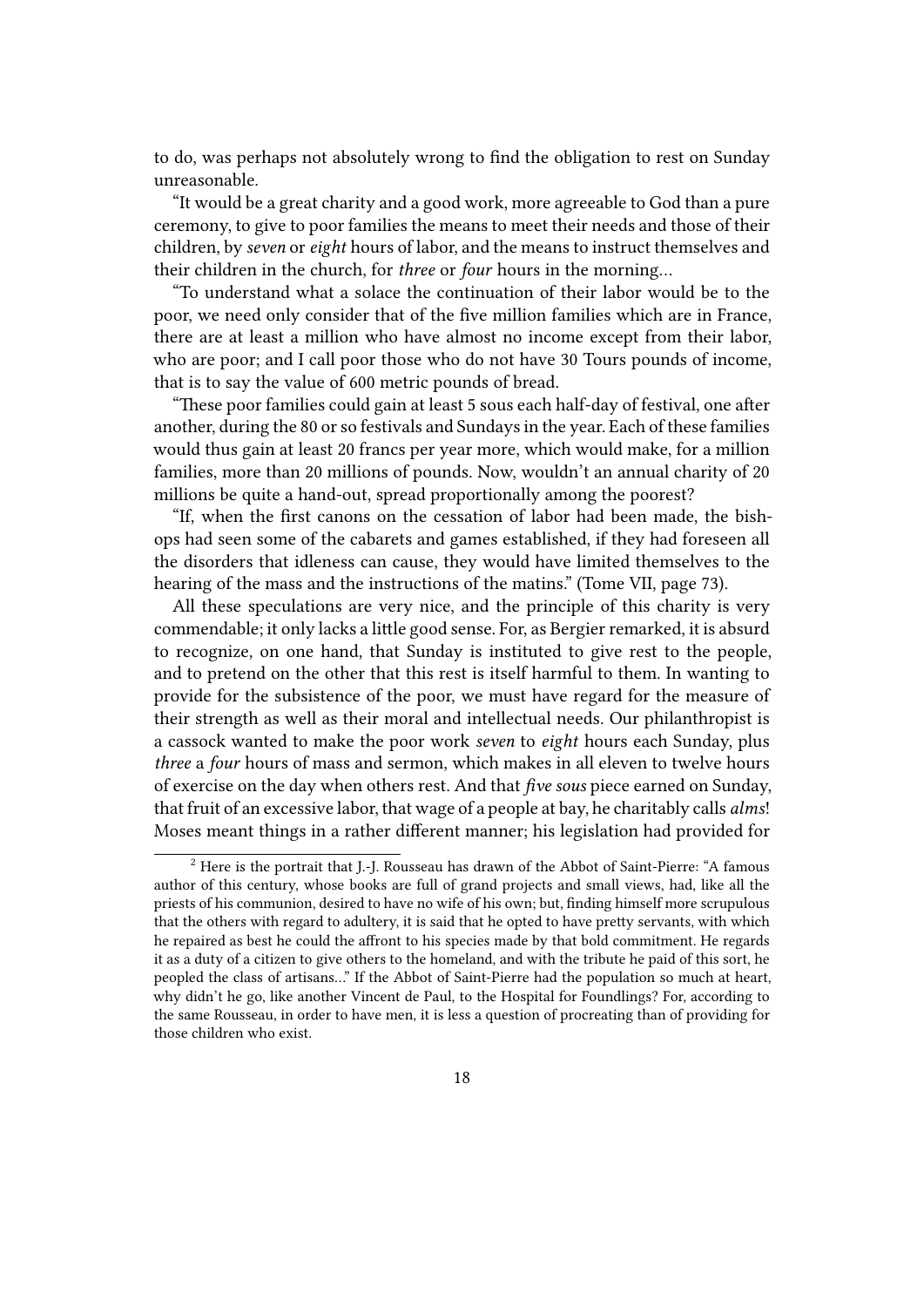to do, was perhaps not absolutely wrong to find the obligation to rest on Sunday unreasonable.

"It would be a great charity and a good work, more agreeable to God than a pure ceremony, to give to poor families the means to meet their needs and those of their children, by *seven* or *eight* hours of labor, and the means to instruct themselves and their children in the church, for *three* or *four* hours in the morning…

"To understand what a solace the continuation of their labor would be to the poor, we need only consider that of the five million families which are in France, there are at least a million who have almost no income except from their labor, who are poor; and I call poor those who do not have 30 Tours pounds of income, that is to say the value of 600 metric pounds of bread.

"These poor families could gain at least 5 sous each half-day of festival, one after another, during the 80 or so festivals and Sundays in the year. Each of these families would thus gain at least 20 francs per year more, which would make, for a million families, more than 20 millions of pounds. Now, wouldn't an annual charity of 20 millions be quite a hand-out, spread proportionally among the poorest?

"If, when the first canons on the cessation of labor had been made, the bishops had seen some of the cabarets and games established, if they had foreseen all the disorders that idleness can cause, they would have limited themselves to the hearing of the mass and the instructions of the matins." (Tome VII, page 73).

All these speculations are very nice, and the principle of this charity is very commendable; it only lacks a little good sense. For, as Bergier remarked, it is absurd to recognize, on one hand, that Sunday is instituted to give rest to the people, and to pretend on the other that this rest is itself harmful to them. In wanting to provide for the subsistence of the poor, we must have regard for the measure of their strength as well as their moral and intellectual needs. Our philanthropist is a cassock wanted to make the poor work *seven* to *eight* hours each Sunday, plus *three* a *four* hours of mass and sermon, which makes in all eleven to twelve hours of exercise on the day when others rest. And that *five sous* piece earned on Sunday, that fruit of an excessive labor, that wage of a people at bay, he charitably calls *alms*! Moses meant things in a rather different manner; his legislation had provided for

<sup>2</sup> Here is the portrait that J.-J. Rousseau has drawn of the Abbot of Saint-Pierre: "A famous author of this century, whose books are full of grand projects and small views, had, like all the priests of his communion, desired to have no wife of his own; but, finding himself more scrupulous that the others with regard to adultery, it is said that he opted to have pretty servants, with which he repaired as best he could the affront to his species made by that bold commitment. He regards it as a duty of a citizen to give others to the homeland, and with the tribute he paid of this sort, he peopled the class of artisans…" If the Abbot of Saint-Pierre had the population so much at heart, why didn't he go, like another Vincent de Paul, to the Hospital for Foundlings? For, according to the same Rousseau, in order to have men, it is less a question of procreating than of providing for those children who exist.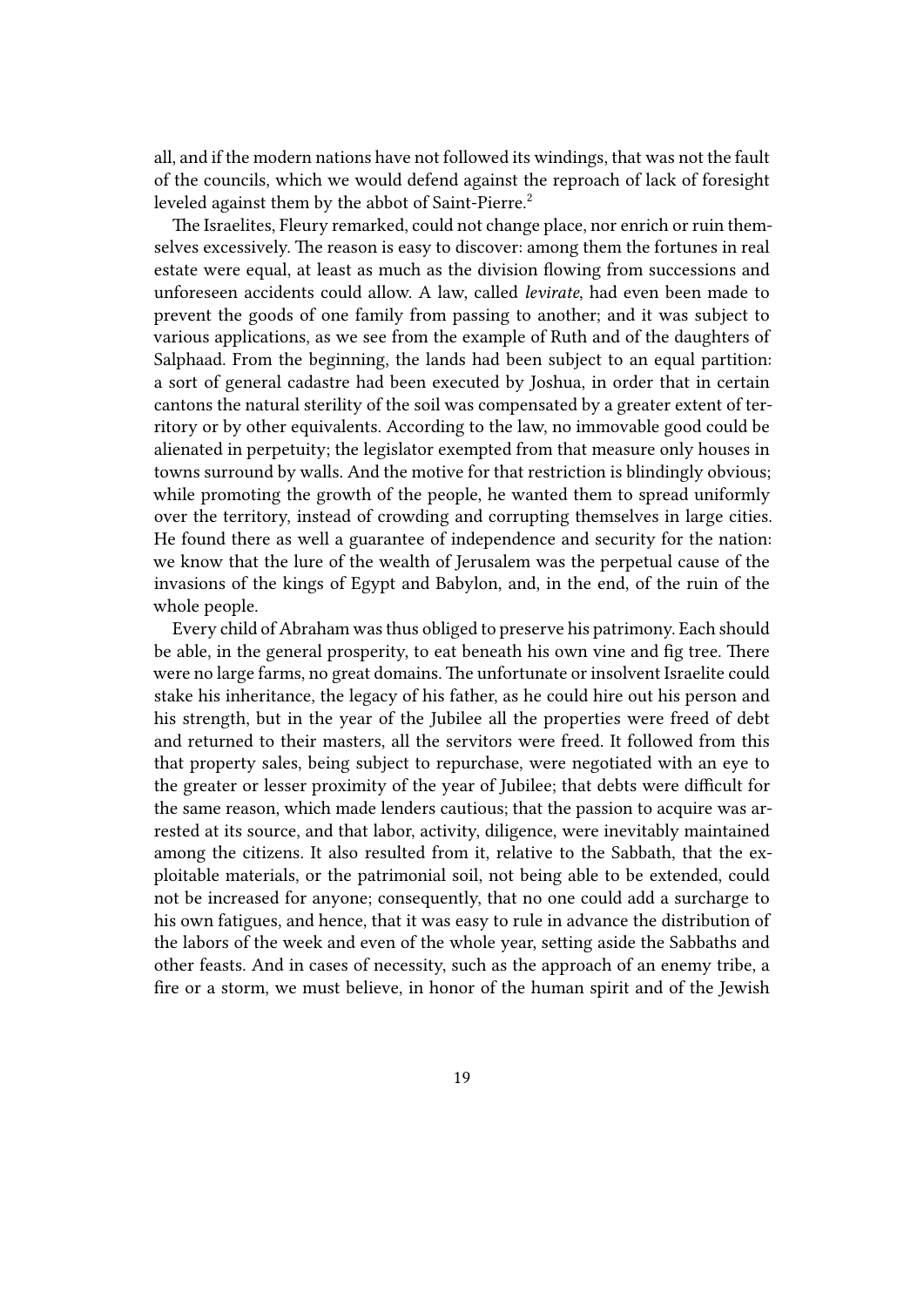all, and if the modern nations have not followed its windings, that was not the fault of the councils, which we would defend against the reproach of lack of foresight leveled against them by the abbot of Saint-Pierre.<sup>2</sup>

The Israelites, Fleury remarked, could not change place, nor enrich or ruin themselves excessively. The reason is easy to discover: among them the fortunes in real estate were equal, at least as much as the division flowing from successions and unforeseen accidents could allow. A law, called *levirate*, had even been made to prevent the goods of one family from passing to another; and it was subject to various applications, as we see from the example of Ruth and of the daughters of Salphaad. From the beginning, the lands had been subject to an equal partition: a sort of general cadastre had been executed by Joshua, in order that in certain cantons the natural sterility of the soil was compensated by a greater extent of territory or by other equivalents. According to the law, no immovable good could be alienated in perpetuity; the legislator exempted from that measure only houses in towns surround by walls. And the motive for that restriction is blindingly obvious; while promoting the growth of the people, he wanted them to spread uniformly over the territory, instead of crowding and corrupting themselves in large cities. He found there as well a guarantee of independence and security for the nation: we know that the lure of the wealth of Jerusalem was the perpetual cause of the invasions of the kings of Egypt and Babylon, and, in the end, of the ruin of the whole people.

Every child of Abraham was thus obliged to preserve his patrimony. Each should be able, in the general prosperity, to eat beneath his own vine and fig tree. There were no large farms, no great domains. The unfortunate or insolvent Israelite could stake his inheritance, the legacy of his father, as he could hire out his person and his strength, but in the year of the Jubilee all the properties were freed of debt and returned to their masters, all the servitors were freed. It followed from this that property sales, being subject to repurchase, were negotiated with an eye to the greater or lesser proximity of the year of Jubilee; that debts were difficult for the same reason, which made lenders cautious; that the passion to acquire was arrested at its source, and that labor, activity, diligence, were inevitably maintained among the citizens. It also resulted from it, relative to the Sabbath, that the exploitable materials, or the patrimonial soil, not being able to be extended, could not be increased for anyone; consequently, that no one could add a surcharge to his own fatigues, and hence, that it was easy to rule in advance the distribution of the labors of the week and even of the whole year, setting aside the Sabbaths and other feasts. And in cases of necessity, such as the approach of an enemy tribe, a fire or a storm, we must believe, in honor of the human spirit and of the Jewish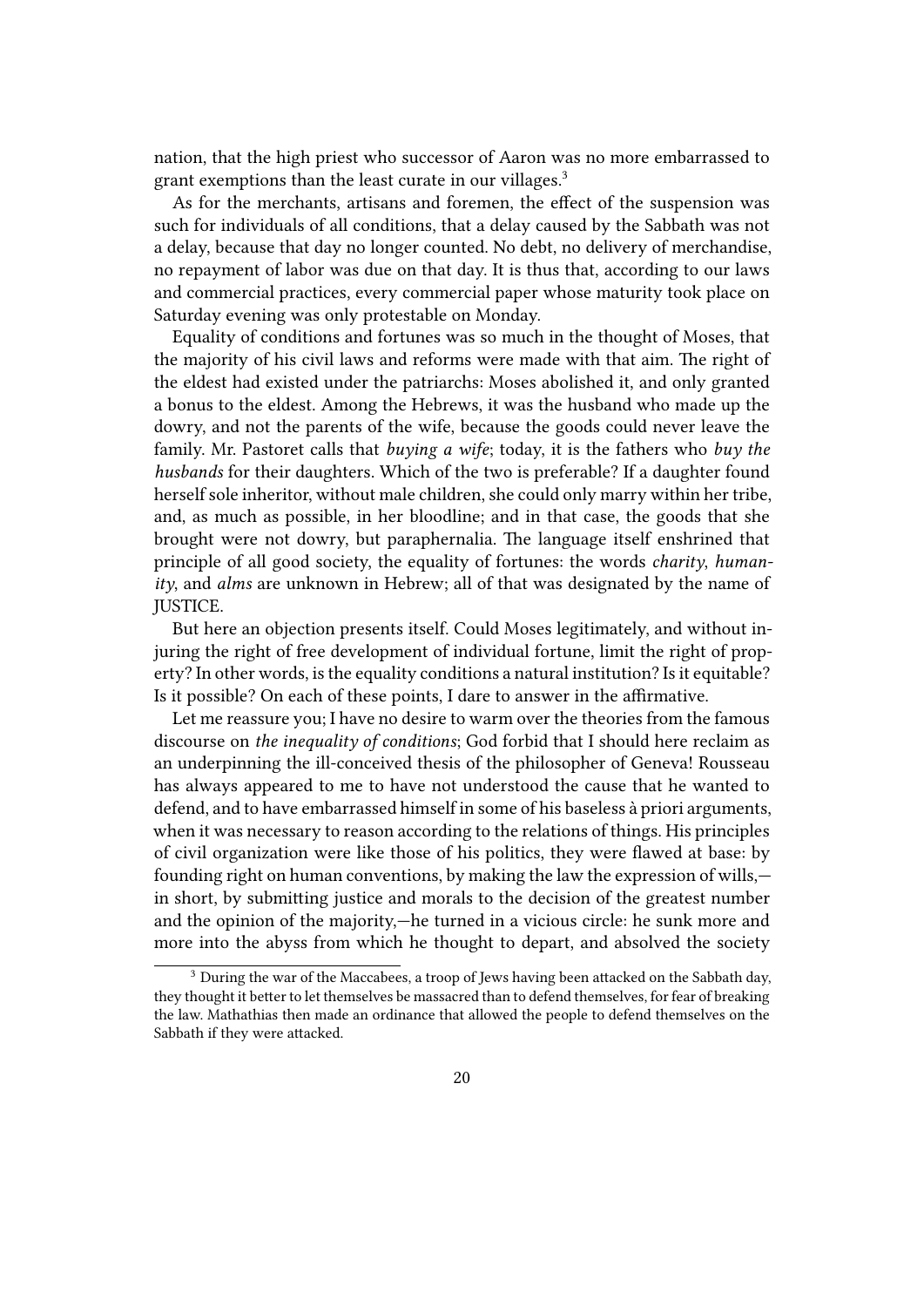nation, that the high priest who successor of Aaron was no more embarrassed to grant exemptions than the least curate in our villages.<sup>3</sup>

As for the merchants, artisans and foremen, the effect of the suspension was such for individuals of all conditions, that a delay caused by the Sabbath was not a delay, because that day no longer counted. No debt, no delivery of merchandise, no repayment of labor was due on that day. It is thus that, according to our laws and commercial practices, every commercial paper whose maturity took place on Saturday evening was only protestable on Monday.

Equality of conditions and fortunes was so much in the thought of Moses, that the majority of his civil laws and reforms were made with that aim. The right of the eldest had existed under the patriarchs: Moses abolished it, and only granted a bonus to the eldest. Among the Hebrews, it was the husband who made up the dowry, and not the parents of the wife, because the goods could never leave the family. Mr. Pastoret calls that *buying a wife*; today, it is the fathers who *buy the husbands* for their daughters. Which of the two is preferable? If a daughter found herself sole inheritor, without male children, she could only marry within her tribe, and, as much as possible, in her bloodline; and in that case, the goods that she brought were not dowry, but paraphernalia. The language itself enshrined that principle of all good society, the equality of fortunes: the words *charity*, *humanity*, and *alms* are unknown in Hebrew; all of that was designated by the name of JUSTICE.

But here an objection presents itself. Could Moses legitimately, and without injuring the right of free development of individual fortune, limit the right of property? In other words, is the equality conditions a natural institution? Is it equitable? Is it possible? On each of these points, I dare to answer in the affirmative.

Let me reassure you; I have no desire to warm over the theories from the famous discourse on *the inequality of conditions*; God forbid that I should here reclaim as an underpinning the ill-conceived thesis of the philosopher of Geneva! Rousseau has always appeared to me to have not understood the cause that he wanted to defend, and to have embarrassed himself in some of his baseless à priori arguments, when it was necessary to reason according to the relations of things. His principles of civil organization were like those of his politics, they were flawed at base: by founding right on human conventions, by making the law the expression of wills, in short, by submitting justice and morals to the decision of the greatest number and the opinion of the majority,—he turned in a vicious circle: he sunk more and more into the abyss from which he thought to depart, and absolved the society

<sup>&</sup>lt;sup>3</sup> During the war of the Maccabees, a troop of Jews having been attacked on the Sabbath day, they thought it better to let themselves be massacred than to defend themselves, for fear of breaking the law. Mathathias then made an ordinance that allowed the people to defend themselves on the Sabbath if they were attacked.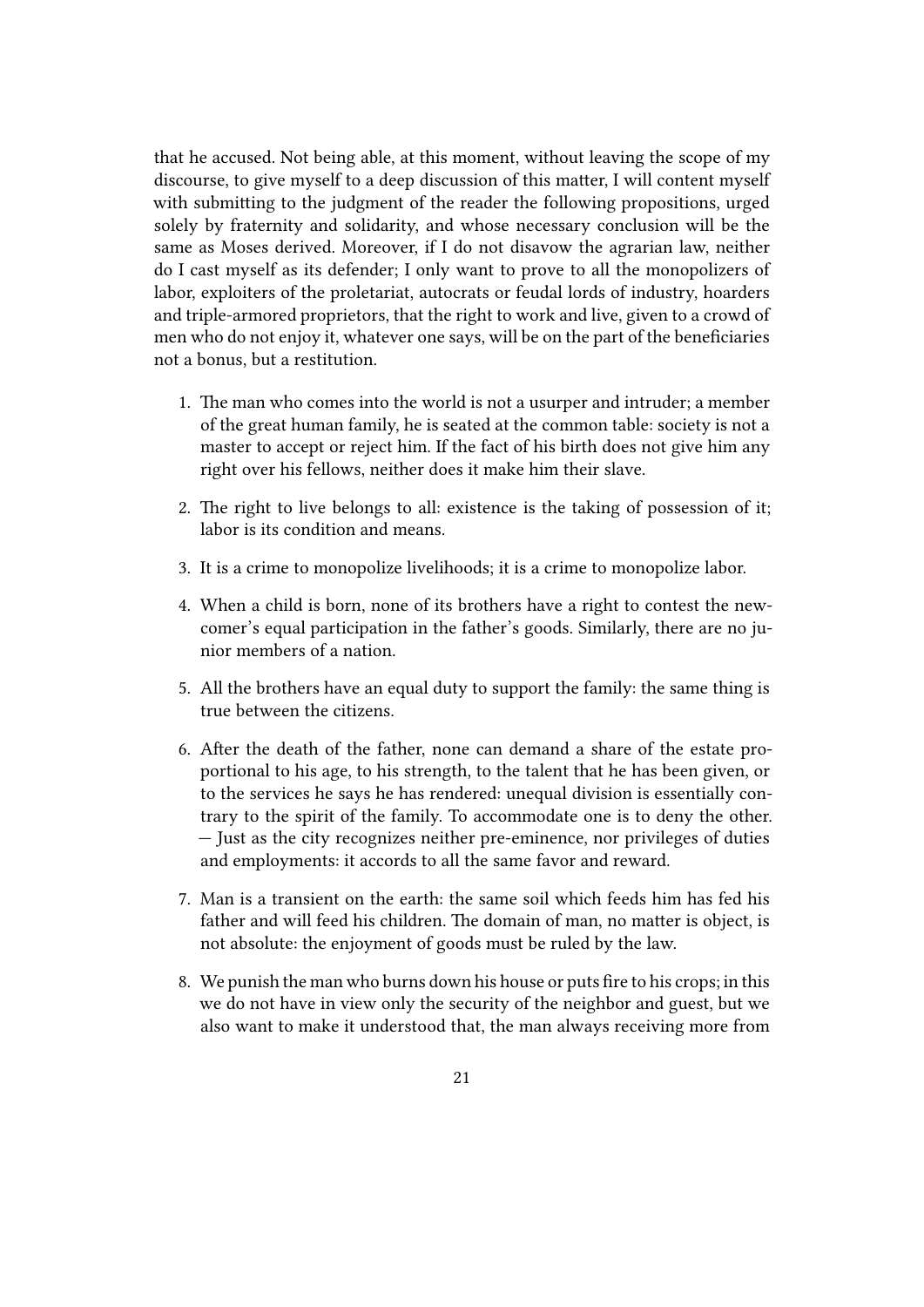that he accused. Not being able, at this moment, without leaving the scope of my discourse, to give myself to a deep discussion of this matter, I will content myself with submitting to the judgment of the reader the following propositions, urged solely by fraternity and solidarity, and whose necessary conclusion will be the same as Moses derived. Moreover, if I do not disavow the agrarian law, neither do I cast myself as its defender; I only want to prove to all the monopolizers of labor, exploiters of the proletariat, autocrats or feudal lords of industry, hoarders and triple-armored proprietors, that the right to work and live, given to a crowd of men who do not enjoy it, whatever one says, will be on the part of the beneficiaries not a bonus, but a restitution.

- 1. The man who comes into the world is not a usurper and intruder; a member of the great human family, he is seated at the common table: society is not a master to accept or reject him. If the fact of his birth does not give him any right over his fellows, neither does it make him their slave.
- 2. The right to live belongs to all: existence is the taking of possession of it; labor is its condition and means.
- 3. It is a crime to monopolize livelihoods; it is a crime to monopolize labor.
- 4. When a child is born, none of its brothers have a right to contest the newcomer's equal participation in the father's goods. Similarly, there are no junior members of a nation.
- 5. All the brothers have an equal duty to support the family: the same thing is true between the citizens.
- 6. After the death of the father, none can demand a share of the estate proportional to his age, to his strength, to the talent that he has been given, or to the services he says he has rendered: unequal division is essentially contrary to the spirit of the family. To accommodate one is to deny the other. — Just as the city recognizes neither pre-eminence, nor privileges of duties and employments: it accords to all the same favor and reward.
- 7. Man is a transient on the earth: the same soil which feeds him has fed his father and will feed his children. The domain of man, no matter is object, is not absolute: the enjoyment of goods must be ruled by the law.
- 8. We punish the man who burns down his house or puts fire to his crops; in this we do not have in view only the security of the neighbor and guest, but we also want to make it understood that, the man always receiving more from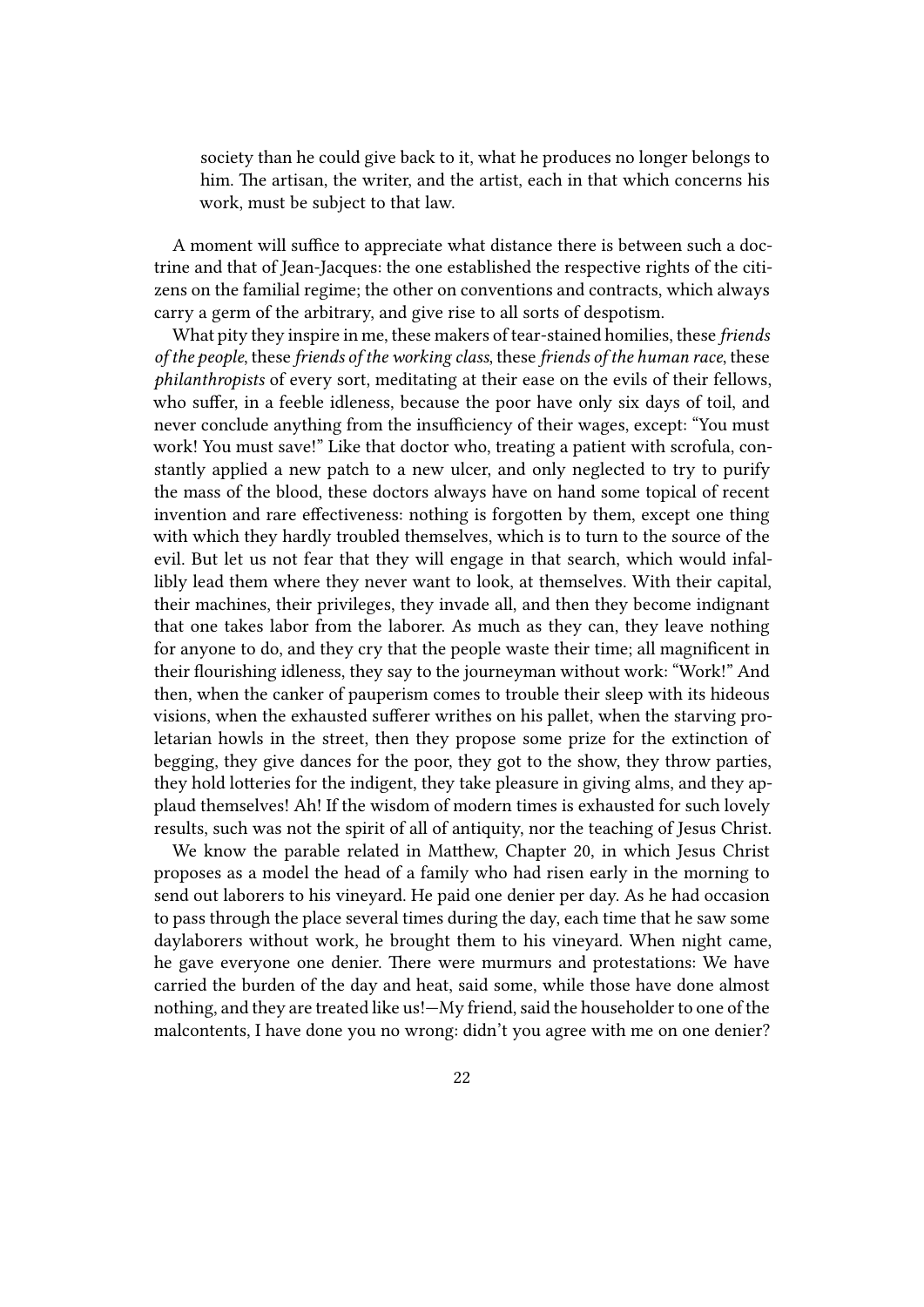society than he could give back to it, what he produces no longer belongs to him. The artisan, the writer, and the artist, each in that which concerns his work, must be subject to that law.

A moment will suffice to appreciate what distance there is between such a doctrine and that of Jean-Jacques: the one established the respective rights of the citizens on the familial regime; the other on conventions and contracts, which always carry a germ of the arbitrary, and give rise to all sorts of despotism.

What pity they inspire in me, these makers of tear-stained homilies, these *friends of the people*, these *friends of the working class*, these *friends of the human race*, these *philanthropists* of every sort, meditating at their ease on the evils of their fellows, who suffer, in a feeble idleness, because the poor have only six days of toil, and never conclude anything from the insufficiency of their wages, except: "You must work! You must save!" Like that doctor who, treating a patient with scrofula, constantly applied a new patch to a new ulcer, and only neglected to try to purify the mass of the blood, these doctors always have on hand some topical of recent invention and rare effectiveness: nothing is forgotten by them, except one thing with which they hardly troubled themselves, which is to turn to the source of the evil. But let us not fear that they will engage in that search, which would infallibly lead them where they never want to look, at themselves. With their capital, their machines, their privileges, they invade all, and then they become indignant that one takes labor from the laborer. As much as they can, they leave nothing for anyone to do, and they cry that the people waste their time; all magnificent in their flourishing idleness, they say to the journeyman without work: "Work!" And then, when the canker of pauperism comes to trouble their sleep with its hideous visions, when the exhausted sufferer writhes on his pallet, when the starving proletarian howls in the street, then they propose some prize for the extinction of begging, they give dances for the poor, they got to the show, they throw parties, they hold lotteries for the indigent, they take pleasure in giving alms, and they applaud themselves! Ah! If the wisdom of modern times is exhausted for such lovely results, such was not the spirit of all of antiquity, nor the teaching of Jesus Christ.

We know the parable related in Matthew, Chapter 20, in which Jesus Christ proposes as a model the head of a family who had risen early in the morning to send out laborers to his vineyard. He paid one denier per day. As he had occasion to pass through the place several times during the day, each time that he saw some daylaborers without work, he brought them to his vineyard. When night came, he gave everyone one denier. There were murmurs and protestations: We have carried the burden of the day and heat, said some, while those have done almost nothing, and they are treated like us!—My friend, said the householder to one of the malcontents, I have done you no wrong: didn't you agree with me on one denier?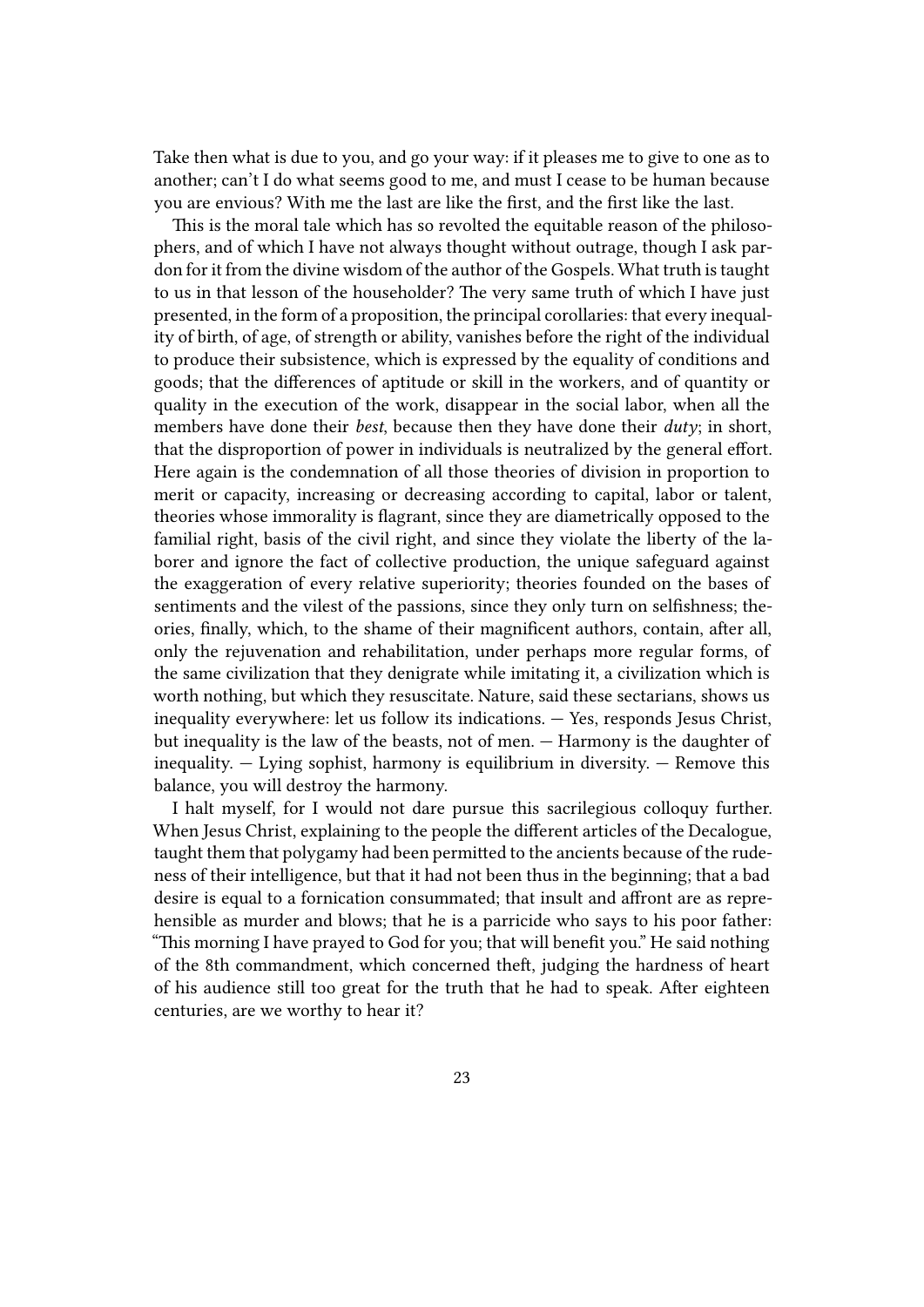Take then what is due to you, and go your way: if it pleases me to give to one as to another; can't I do what seems good to me, and must I cease to be human because you are envious? With me the last are like the first, and the first like the last.

This is the moral tale which has so revolted the equitable reason of the philosophers, and of which I have not always thought without outrage, though I ask pardon for it from the divine wisdom of the author of the Gospels. What truth is taught to us in that lesson of the householder? The very same truth of which I have just presented, in the form of a proposition, the principal corollaries: that every inequality of birth, of age, of strength or ability, vanishes before the right of the individual to produce their subsistence, which is expressed by the equality of conditions and goods; that the differences of aptitude or skill in the workers, and of quantity or quality in the execution of the work, disappear in the social labor, when all the members have done their *best*, because then they have done their *duty*; in short, that the disproportion of power in individuals is neutralized by the general effort. Here again is the condemnation of all those theories of division in proportion to merit or capacity, increasing or decreasing according to capital, labor or talent, theories whose immorality is flagrant, since they are diametrically opposed to the familial right, basis of the civil right, and since they violate the liberty of the laborer and ignore the fact of collective production, the unique safeguard against the exaggeration of every relative superiority; theories founded on the bases of sentiments and the vilest of the passions, since they only turn on selfishness; theories, finally, which, to the shame of their magnificent authors, contain, after all, only the rejuvenation and rehabilitation, under perhaps more regular forms, of the same civilization that they denigrate while imitating it, a civilization which is worth nothing, but which they resuscitate. Nature, said these sectarians, shows us inequality everywhere: let us follow its indications. — Yes, responds Jesus Christ, but inequality is the law of the beasts, not of men. — Harmony is the daughter of inequality.  $-$  Lying sophist, harmony is equilibrium in diversity.  $-$  Remove this balance, you will destroy the harmony.

I halt myself, for I would not dare pursue this sacrilegious colloquy further. When Jesus Christ, explaining to the people the different articles of the Decalogue, taught them that polygamy had been permitted to the ancients because of the rudeness of their intelligence, but that it had not been thus in the beginning; that a bad desire is equal to a fornication consummated; that insult and affront are as reprehensible as murder and blows; that he is a parricide who says to his poor father: "This morning I have prayed to God for you; that will benefit you." He said nothing of the 8th commandment, which concerned theft, judging the hardness of heart of his audience still too great for the truth that he had to speak. After eighteen centuries, are we worthy to hear it?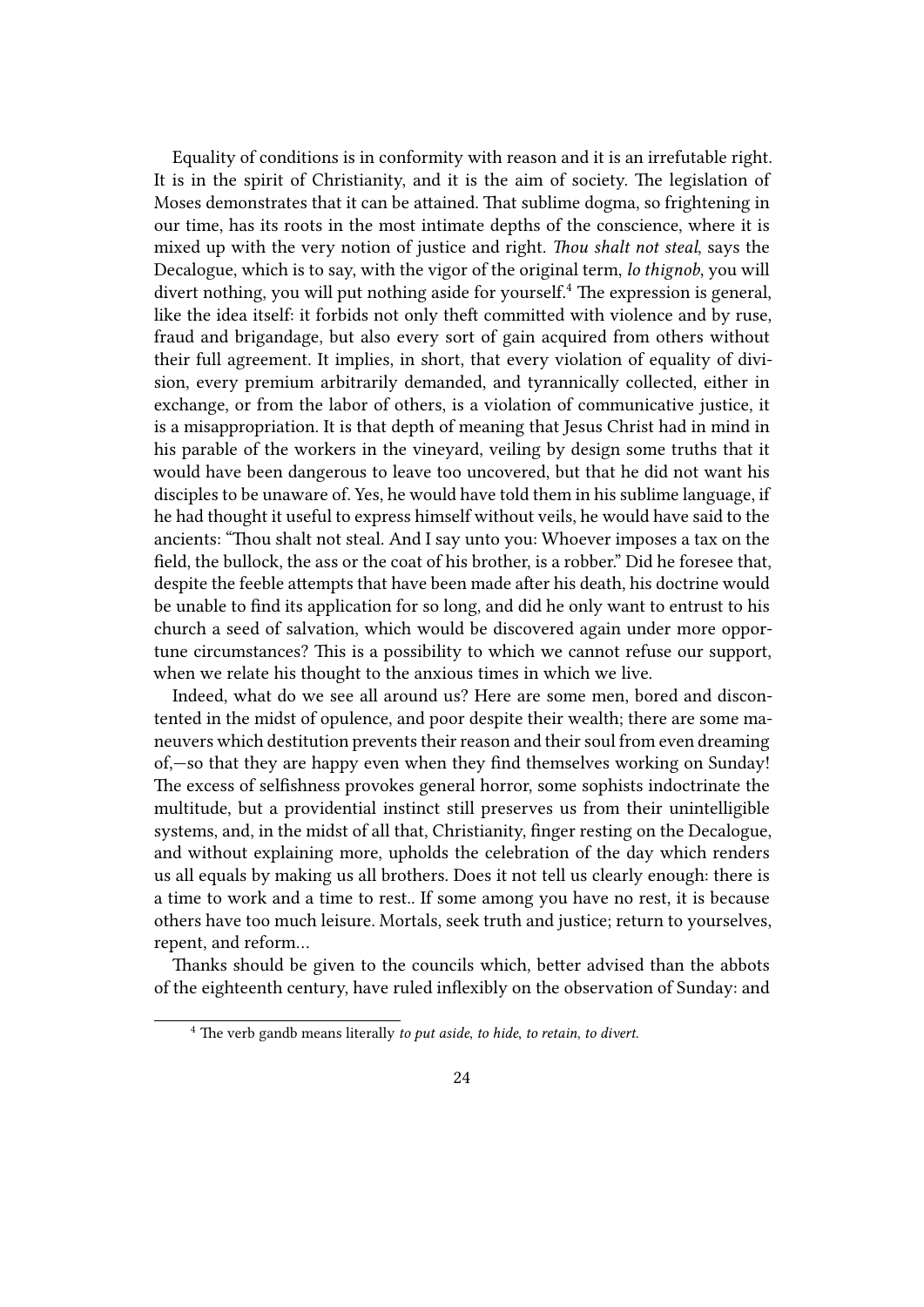Equality of conditions is in conformity with reason and it is an irrefutable right. It is in the spirit of Christianity, and it is the aim of society. The legislation of Moses demonstrates that it can be attained. That sublime dogma, so frightening in our time, has its roots in the most intimate depths of the conscience, where it is mixed up with the very notion of justice and right. *Thou shalt not steal*, says the Decalogue, which is to say, with the vigor of the original term, *lo thignob*, you will divert nothing, you will put nothing aside for yourself.<sup>4</sup> The expression is general, like the idea itself: it forbids not only theft committed with violence and by ruse, fraud and brigandage, but also every sort of gain acquired from others without their full agreement. It implies, in short, that every violation of equality of division, every premium arbitrarily demanded, and tyrannically collected, either in exchange, or from the labor of others, is a violation of communicative justice, it is a misappropriation. It is that depth of meaning that Jesus Christ had in mind in his parable of the workers in the vineyard, veiling by design some truths that it would have been dangerous to leave too uncovered, but that he did not want his disciples to be unaware of. Yes, he would have told them in his sublime language, if he had thought it useful to express himself without veils, he would have said to the ancients: "Thou shalt not steal. And I say unto you: Whoever imposes a tax on the field, the bullock, the ass or the coat of his brother, is a robber." Did he foresee that, despite the feeble attempts that have been made after his death, his doctrine would be unable to find its application for so long, and did he only want to entrust to his church a seed of salvation, which would be discovered again under more opportune circumstances? This is a possibility to which we cannot refuse our support, when we relate his thought to the anxious times in which we live.

Indeed, what do we see all around us? Here are some men, bored and discontented in the midst of opulence, and poor despite their wealth; there are some maneuvers which destitution prevents their reason and their soul from even dreaming of,—so that they are happy even when they find themselves working on Sunday! The excess of selfishness provokes general horror, some sophists indoctrinate the multitude, but a providential instinct still preserves us from their unintelligible systems, and, in the midst of all that, Christianity, finger resting on the Decalogue, and without explaining more, upholds the celebration of the day which renders us all equals by making us all brothers. Does it not tell us clearly enough: there is a time to work and a time to rest.. If some among you have no rest, it is because others have too much leisure. Mortals, seek truth and justice; return to yourselves, repent, and reform…

Thanks should be given to the councils which, better advised than the abbots of the eighteenth century, have ruled inflexibly on the observation of Sunday: and

<sup>4</sup> The verb gandb means literally *to put aside*, *to hide*, *to retain*, *to divert*.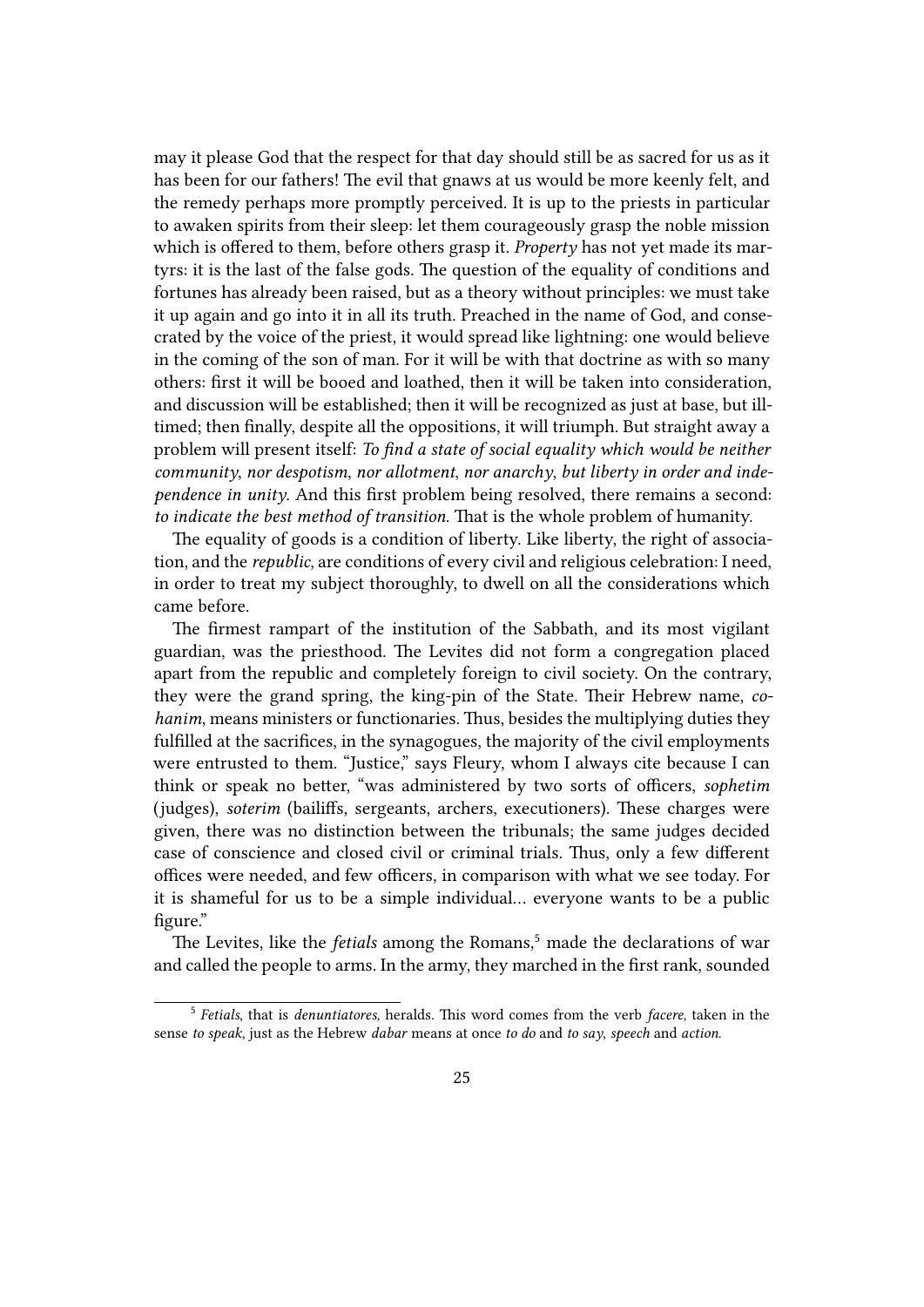may it please God that the respect for that day should still be as sacred for us as it has been for our fathers! The evil that gnaws at us would be more keenly felt, and the remedy perhaps more promptly perceived. It is up to the priests in particular to awaken spirits from their sleep: let them courageously grasp the noble mission which is offered to them, before others grasp it. *Property* has not yet made its martyrs: it is the last of the false gods. The question of the equality of conditions and fortunes has already been raised, but as a theory without principles: we must take it up again and go into it in all its truth. Preached in the name of God, and consecrated by the voice of the priest, it would spread like lightning: one would believe in the coming of the son of man. For it will be with that doctrine as with so many others: first it will be booed and loathed, then it will be taken into consideration, and discussion will be established; then it will be recognized as just at base, but illtimed; then finally, despite all the oppositions, it will triumph. But straight away a problem will present itself: *To find a state of social equality which would be neither community*, *nor despotism*, *nor allotment*, *nor anarchy*, *but liberty in order and independence in unity*. And this first problem being resolved, there remains a second: *to indicate the best method of transition*. That is the whole problem of humanity.

The equality of goods is a condition of liberty. Like liberty, the right of association, and the *republic*, are conditions of every civil and religious celebration: I need, in order to treat my subject thoroughly, to dwell on all the considerations which came before.

The firmest rampart of the institution of the Sabbath, and its most vigilant guardian, was the priesthood. The Levites did not form a congregation placed apart from the republic and completely foreign to civil society. On the contrary, they were the grand spring, the king-pin of the State. Their Hebrew name, *cohanim*, means ministers or functionaries. Thus, besides the multiplying duties they fulfilled at the sacrifices, in the synagogues, the majority of the civil employments were entrusted to them. "Justice," says Fleury, whom I always cite because I can think or speak no better, "was administered by two sorts of officers, *sophetim* (judges), *soterim* (bailiffs, sergeants, archers, executioners). These charges were given, there was no distinction between the tribunals; the same judges decided case of conscience and closed civil or criminal trials. Thus, only a few different offices were needed, and few officers, in comparison with what we see today. For it is shameful for us to be a simple individual… everyone wants to be a public figure."

The Levites, like the *fetials* among the Romans,<sup>5</sup> made the declarations of war and called the people to arms. In the army, they marched in the first rank, sounded

<sup>5</sup> *Fetials*, that is *denuntiatores*, heralds. This word comes from the verb *facere*, taken in the sense *to speak*, just as the Hebrew *dabar* means at once *to do* and *to say*, *speech* and *action*.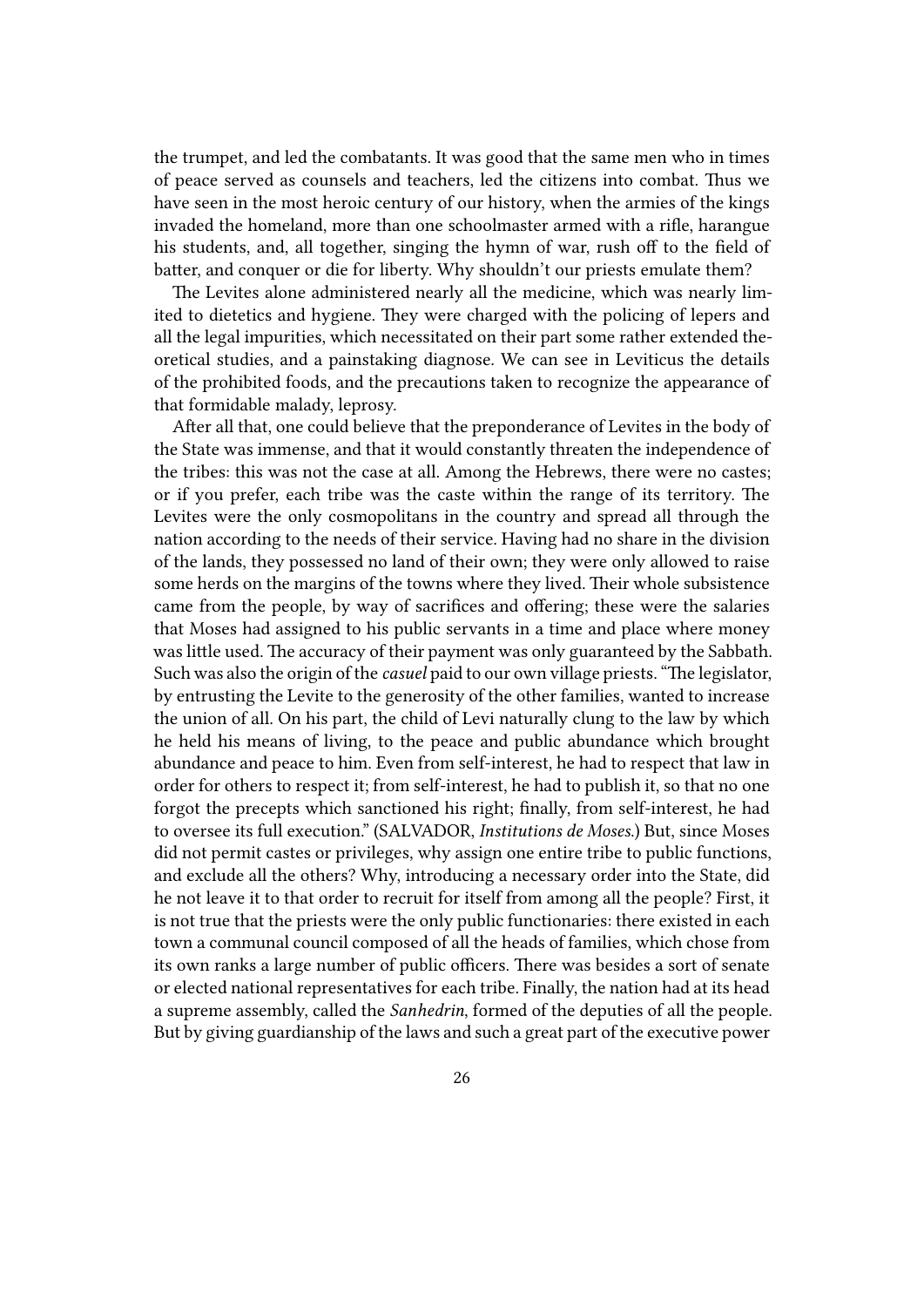the trumpet, and led the combatants. It was good that the same men who in times of peace served as counsels and teachers, led the citizens into combat. Thus we have seen in the most heroic century of our history, when the armies of the kings invaded the homeland, more than one schoolmaster armed with a rifle, harangue his students, and, all together, singing the hymn of war, rush off to the field of batter, and conquer or die for liberty. Why shouldn't our priests emulate them?

The Levites alone administered nearly all the medicine, which was nearly limited to dietetics and hygiene. They were charged with the policing of lepers and all the legal impurities, which necessitated on their part some rather extended theoretical studies, and a painstaking diagnose. We can see in Leviticus the details of the prohibited foods, and the precautions taken to recognize the appearance of that formidable malady, leprosy.

After all that, one could believe that the preponderance of Levites in the body of the State was immense, and that it would constantly threaten the independence of the tribes: this was not the case at all. Among the Hebrews, there were no castes; or if you prefer, each tribe was the caste within the range of its territory. The Levites were the only cosmopolitans in the country and spread all through the nation according to the needs of their service. Having had no share in the division of the lands, they possessed no land of their own; they were only allowed to raise some herds on the margins of the towns where they lived. Their whole subsistence came from the people, by way of sacrifices and offering; these were the salaries that Moses had assigned to his public servants in a time and place where money was little used. The accuracy of their payment was only guaranteed by the Sabbath. Such was also the origin of the *casuel* paid to our own village priests. "The legislator, by entrusting the Levite to the generosity of the other families, wanted to increase the union of all. On his part, the child of Levi naturally clung to the law by which he held his means of living, to the peace and public abundance which brought abundance and peace to him. Even from self-interest, he had to respect that law in order for others to respect it; from self-interest, he had to publish it, so that no one forgot the precepts which sanctioned his right; finally, from self-interest, he had to oversee its full execution." (SALVADOR, *Institutions de Moses*.) But, since Moses did not permit castes or privileges, why assign one entire tribe to public functions, and exclude all the others? Why, introducing a necessary order into the State, did he not leave it to that order to recruit for itself from among all the people? First, it is not true that the priests were the only public functionaries: there existed in each town a communal council composed of all the heads of families, which chose from its own ranks a large number of public officers. There was besides a sort of senate or elected national representatives for each tribe. Finally, the nation had at its head a supreme assembly, called the *Sanhedrin*, formed of the deputies of all the people. But by giving guardianship of the laws and such a great part of the executive power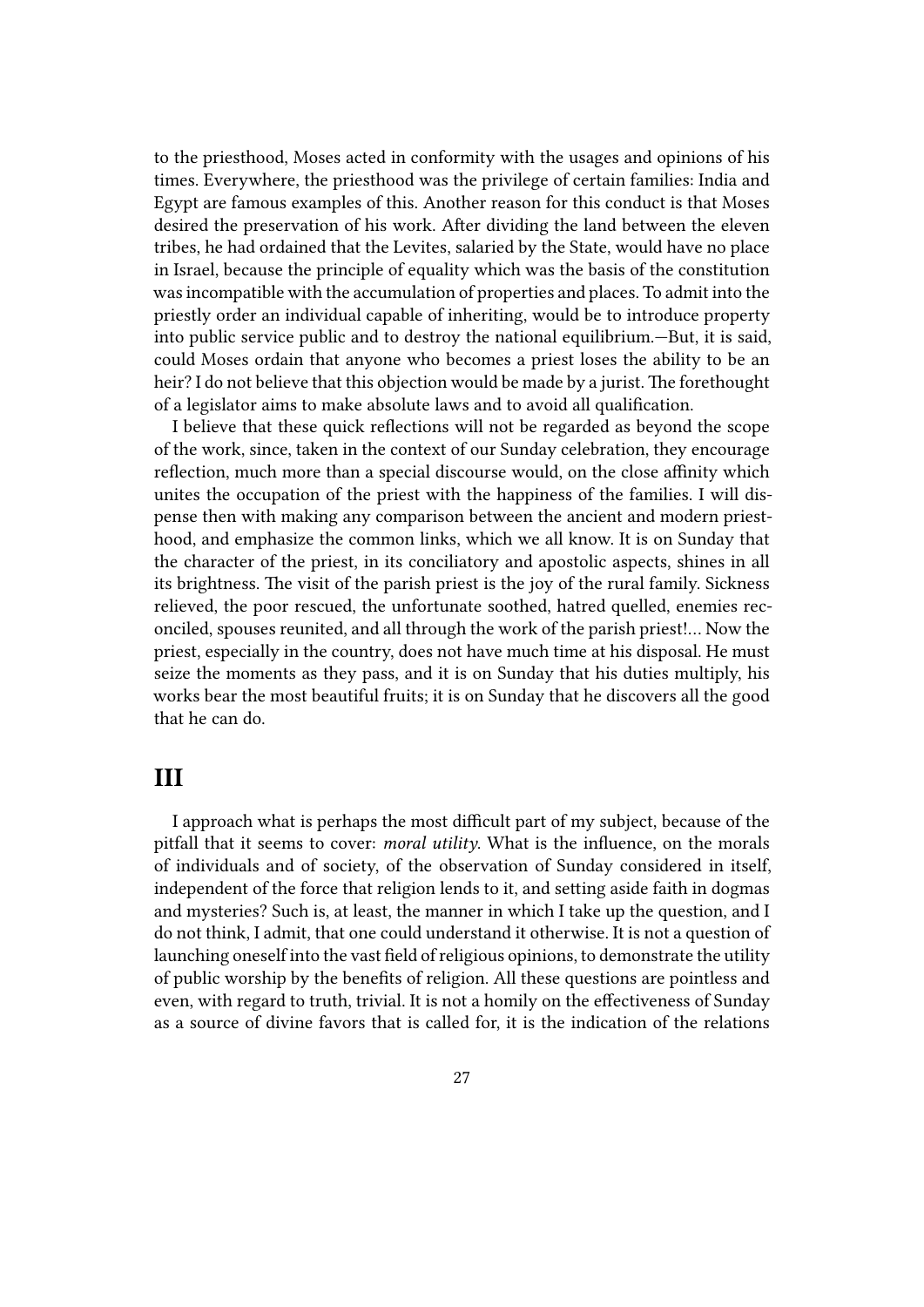to the priesthood, Moses acted in conformity with the usages and opinions of his times. Everywhere, the priesthood was the privilege of certain families: India and Egypt are famous examples of this. Another reason for this conduct is that Moses desired the preservation of his work. After dividing the land between the eleven tribes, he had ordained that the Levites, salaried by the State, would have no place in Israel, because the principle of equality which was the basis of the constitution was incompatible with the accumulation of properties and places. To admit into the priestly order an individual capable of inheriting, would be to introduce property into public service public and to destroy the national equilibrium.—But, it is said, could Moses ordain that anyone who becomes a priest loses the ability to be an heir? I do not believe that this objection would be made by a jurist. The forethought of a legislator aims to make absolute laws and to avoid all qualification.

I believe that these quick reflections will not be regarded as beyond the scope of the work, since, taken in the context of our Sunday celebration, they encourage reflection, much more than a special discourse would, on the close affinity which unites the occupation of the priest with the happiness of the families. I will dispense then with making any comparison between the ancient and modern priesthood, and emphasize the common links, which we all know. It is on Sunday that the character of the priest, in its conciliatory and apostolic aspects, shines in all its brightness. The visit of the parish priest is the joy of the rural family. Sickness relieved, the poor rescued, the unfortunate soothed, hatred quelled, enemies reconciled, spouses reunited, and all through the work of the parish priest!… Now the priest, especially in the country, does not have much time at his disposal. He must seize the moments as they pass, and it is on Sunday that his duties multiply, his works bear the most beautiful fruits; it is on Sunday that he discovers all the good that he can do.

#### **III**

I approach what is perhaps the most difficult part of my subject, because of the pitfall that it seems to cover: *moral utility*. What is the influence, on the morals of individuals and of society, of the observation of Sunday considered in itself, independent of the force that religion lends to it, and setting aside faith in dogmas and mysteries? Such is, at least, the manner in which I take up the question, and I do not think, I admit, that one could understand it otherwise. It is not a question of launching oneself into the vast field of religious opinions, to demonstrate the utility of public worship by the benefits of religion. All these questions are pointless and even, with regard to truth, trivial. It is not a homily on the effectiveness of Sunday as a source of divine favors that is called for, it is the indication of the relations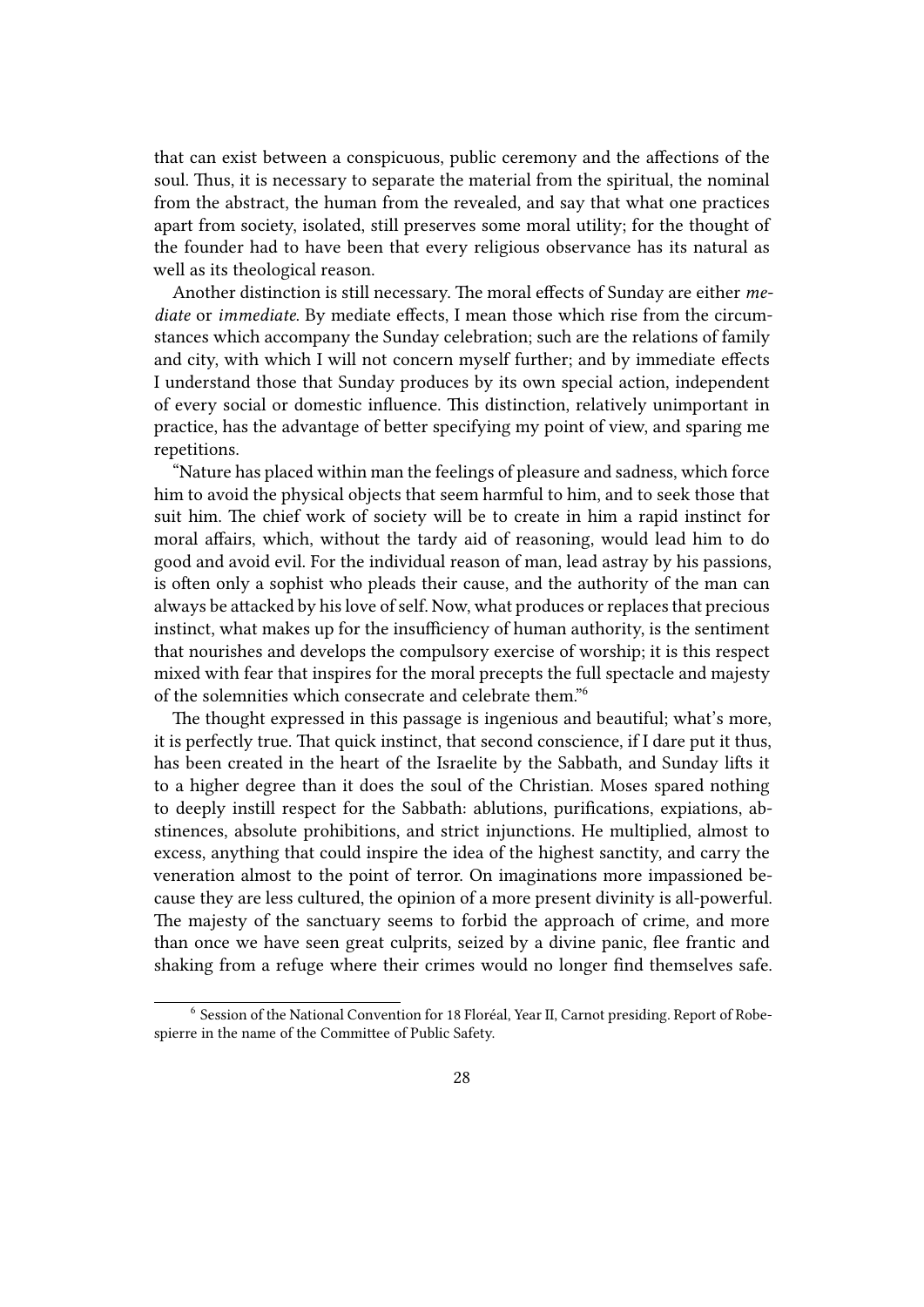that can exist between a conspicuous, public ceremony and the affections of the soul. Thus, it is necessary to separate the material from the spiritual, the nominal from the abstract, the human from the revealed, and say that what one practices apart from society, isolated, still preserves some moral utility; for the thought of the founder had to have been that every religious observance has its natural as well as its theological reason.

Another distinction is still necessary. The moral effects of Sunday are either *mediate* or *immediate*. By mediate effects, I mean those which rise from the circumstances which accompany the Sunday celebration; such are the relations of family and city, with which I will not concern myself further; and by immediate effects I understand those that Sunday produces by its own special action, independent of every social or domestic influence. This distinction, relatively unimportant in practice, has the advantage of better specifying my point of view, and sparing me repetitions.

"Nature has placed within man the feelings of pleasure and sadness, which force him to avoid the physical objects that seem harmful to him, and to seek those that suit him. The chief work of society will be to create in him a rapid instinct for moral affairs, which, without the tardy aid of reasoning, would lead him to do good and avoid evil. For the individual reason of man, lead astray by his passions, is often only a sophist who pleads their cause, and the authority of the man can always be attacked by his love of self. Now, what produces or replaces that precious instinct, what makes up for the insufficiency of human authority, is the sentiment that nourishes and develops the compulsory exercise of worship; it is this respect mixed with fear that inspires for the moral precepts the full spectacle and majesty of the solemnities which consecrate and celebrate them."<sup>6</sup>

The thought expressed in this passage is ingenious and beautiful; what's more, it is perfectly true. That quick instinct, that second conscience, if I dare put it thus, has been created in the heart of the Israelite by the Sabbath, and Sunday lifts it to a higher degree than it does the soul of the Christian. Moses spared nothing to deeply instill respect for the Sabbath: ablutions, purifications, expiations, abstinences, absolute prohibitions, and strict injunctions. He multiplied, almost to excess, anything that could inspire the idea of the highest sanctity, and carry the veneration almost to the point of terror. On imaginations more impassioned because they are less cultured, the opinion of a more present divinity is all-powerful. The majesty of the sanctuary seems to forbid the approach of crime, and more than once we have seen great culprits, seized by a divine panic, flee frantic and shaking from a refuge where their crimes would no longer find themselves safe.

<sup>6</sup> Session of the National Convention for 18 Floréal, Year II, Carnot presiding. Report of Robespierre in the name of the Committee of Public Safety.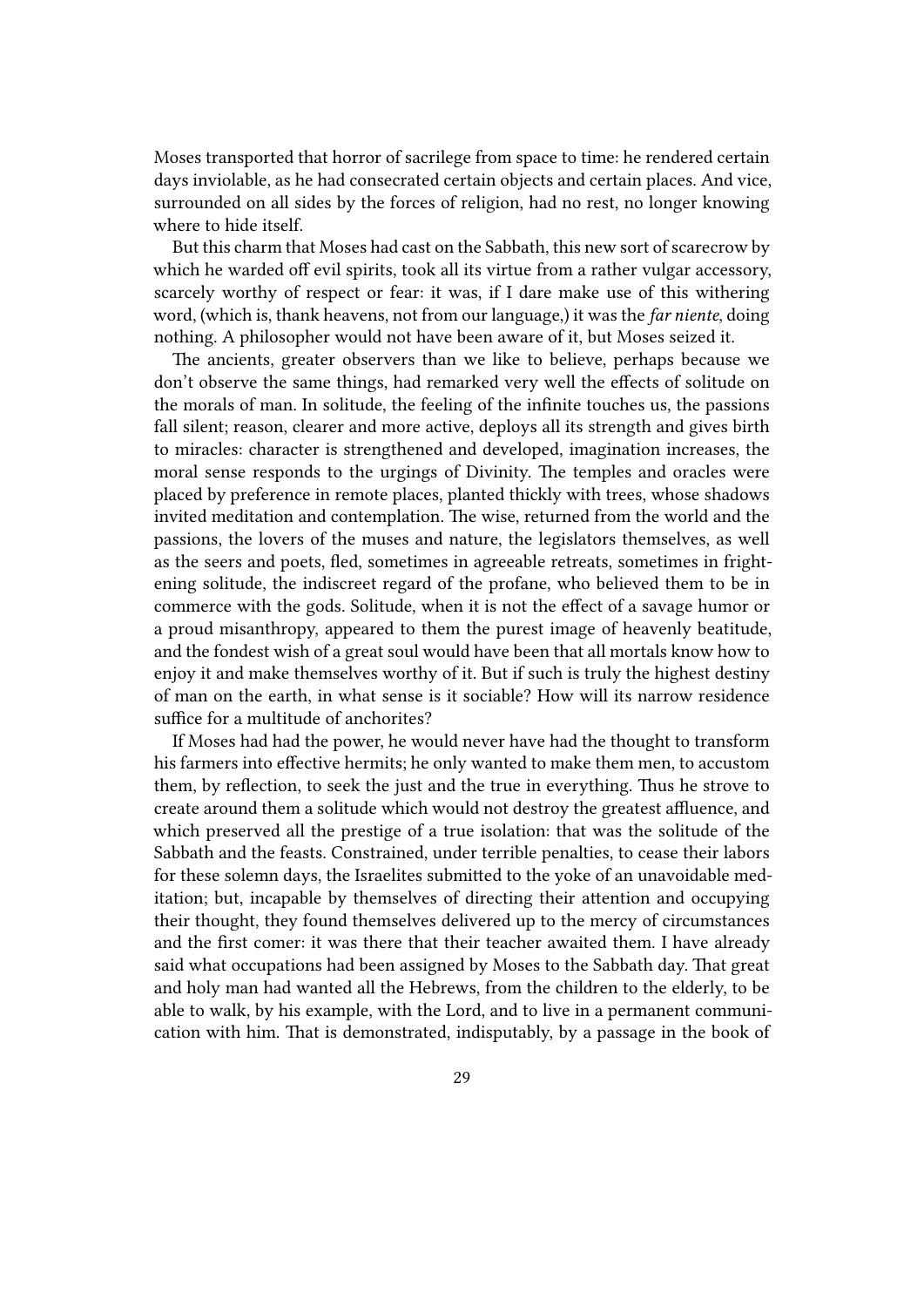Moses transported that horror of sacrilege from space to time: he rendered certain days inviolable, as he had consecrated certain objects and certain places. And vice, surrounded on all sides by the forces of religion, had no rest, no longer knowing where to hide itself.

But this charm that Moses had cast on the Sabbath, this new sort of scarecrow by which he warded off evil spirits, took all its virtue from a rather vulgar accessory, scarcely worthy of respect or fear: it was, if I dare make use of this withering word, (which is, thank heavens, not from our language,) it was the *far niente*, doing nothing. A philosopher would not have been aware of it, but Moses seized it.

The ancients, greater observers than we like to believe, perhaps because we don't observe the same things, had remarked very well the effects of solitude on the morals of man. In solitude, the feeling of the infinite touches us, the passions fall silent; reason, clearer and more active, deploys all its strength and gives birth to miracles: character is strengthened and developed, imagination increases, the moral sense responds to the urgings of Divinity. The temples and oracles were placed by preference in remote places, planted thickly with trees, whose shadows invited meditation and contemplation. The wise, returned from the world and the passions, the lovers of the muses and nature, the legislators themselves, as well as the seers and poets, fled, sometimes in agreeable retreats, sometimes in frightening solitude, the indiscreet regard of the profane, who believed them to be in commerce with the gods. Solitude, when it is not the effect of a savage humor or a proud misanthropy, appeared to them the purest image of heavenly beatitude, and the fondest wish of a great soul would have been that all mortals know how to enjoy it and make themselves worthy of it. But if such is truly the highest destiny of man on the earth, in what sense is it sociable? How will its narrow residence suffice for a multitude of anchorites?

If Moses had had the power, he would never have had the thought to transform his farmers into effective hermits; he only wanted to make them men, to accustom them, by reflection, to seek the just and the true in everything. Thus he strove to create around them a solitude which would not destroy the greatest affluence, and which preserved all the prestige of a true isolation: that was the solitude of the Sabbath and the feasts. Constrained, under terrible penalties, to cease their labors for these solemn days, the Israelites submitted to the yoke of an unavoidable meditation; but, incapable by themselves of directing their attention and occupying their thought, they found themselves delivered up to the mercy of circumstances and the first comer: it was there that their teacher awaited them. I have already said what occupations had been assigned by Moses to the Sabbath day. That great and holy man had wanted all the Hebrews, from the children to the elderly, to be able to walk, by his example, with the Lord, and to live in a permanent communication with him. That is demonstrated, indisputably, by a passage in the book of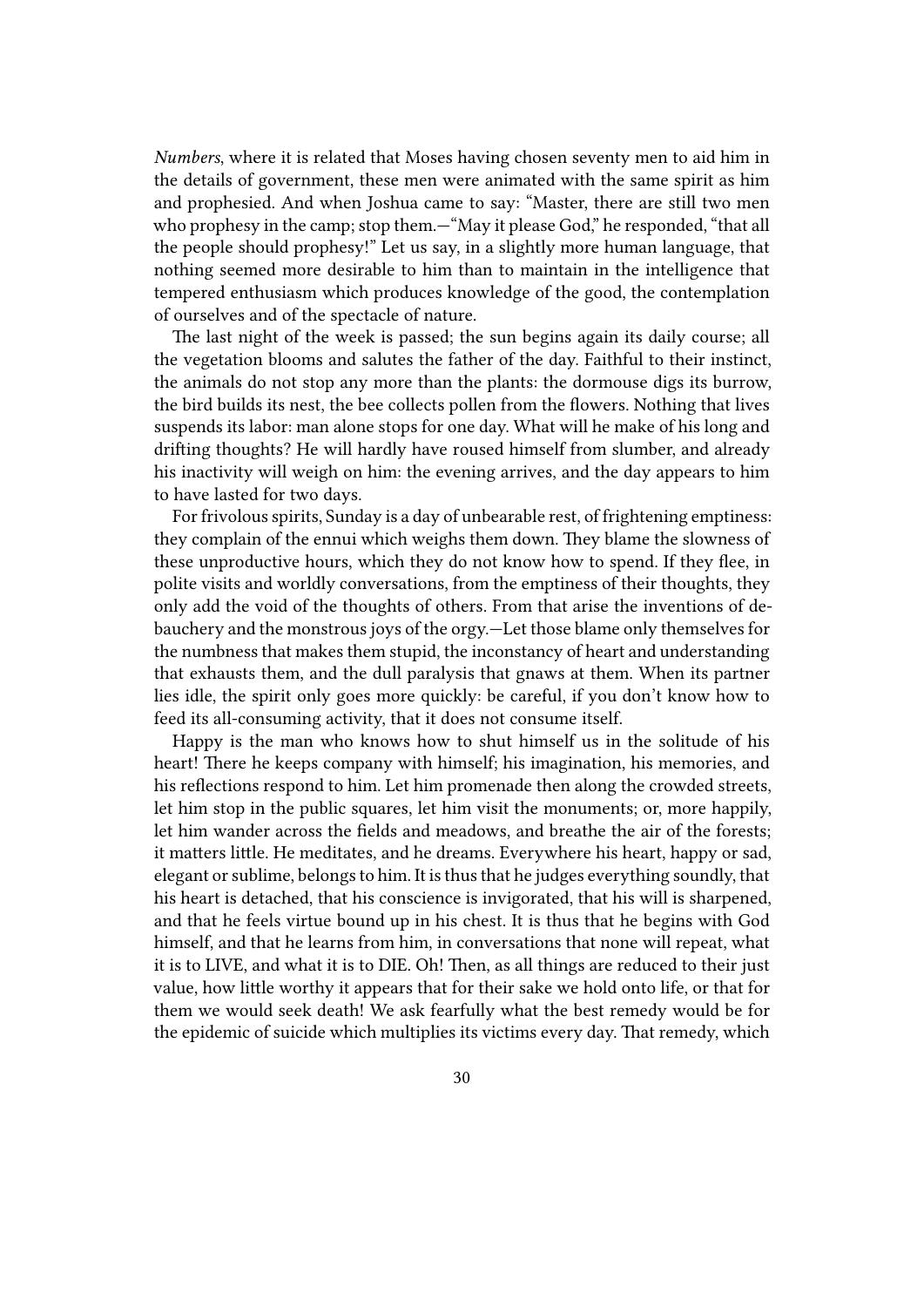*Numbers*, where it is related that Moses having chosen seventy men to aid him in the details of government, these men were animated with the same spirit as him and prophesied. And when Joshua came to say: "Master, there are still two men who prophesy in the camp; stop them.—"May it please God," he responded, "that all the people should prophesy!" Let us say, in a slightly more human language, that nothing seemed more desirable to him than to maintain in the intelligence that tempered enthusiasm which produces knowledge of the good, the contemplation of ourselves and of the spectacle of nature.

The last night of the week is passed; the sun begins again its daily course; all the vegetation blooms and salutes the father of the day. Faithful to their instinct, the animals do not stop any more than the plants: the dormouse digs its burrow, the bird builds its nest, the bee collects pollen from the flowers. Nothing that lives suspends its labor: man alone stops for one day. What will he make of his long and drifting thoughts? He will hardly have roused himself from slumber, and already his inactivity will weigh on him: the evening arrives, and the day appears to him to have lasted for two days.

For frivolous spirits, Sunday is a day of unbearable rest, of frightening emptiness: they complain of the ennui which weighs them down. They blame the slowness of these unproductive hours, which they do not know how to spend. If they flee, in polite visits and worldly conversations, from the emptiness of their thoughts, they only add the void of the thoughts of others. From that arise the inventions of debauchery and the monstrous joys of the orgy.—Let those blame only themselves for the numbness that makes them stupid, the inconstancy of heart and understanding that exhausts them, and the dull paralysis that gnaws at them. When its partner lies idle, the spirit only goes more quickly: be careful, if you don't know how to feed its all-consuming activity, that it does not consume itself.

Happy is the man who knows how to shut himself us in the solitude of his heart! There he keeps company with himself; his imagination, his memories, and his reflections respond to him. Let him promenade then along the crowded streets, let him stop in the public squares, let him visit the monuments; or, more happily, let him wander across the fields and meadows, and breathe the air of the forests; it matters little. He meditates, and he dreams. Everywhere his heart, happy or sad, elegant or sublime, belongs to him. It is thus that he judges everything soundly, that his heart is detached, that his conscience is invigorated, that his will is sharpened, and that he feels virtue bound up in his chest. It is thus that he begins with God himself, and that he learns from him, in conversations that none will repeat, what it is to LIVE, and what it is to DIE. Oh! Then, as all things are reduced to their just value, how little worthy it appears that for their sake we hold onto life, or that for them we would seek death! We ask fearfully what the best remedy would be for the epidemic of suicide which multiplies its victims every day. That remedy, which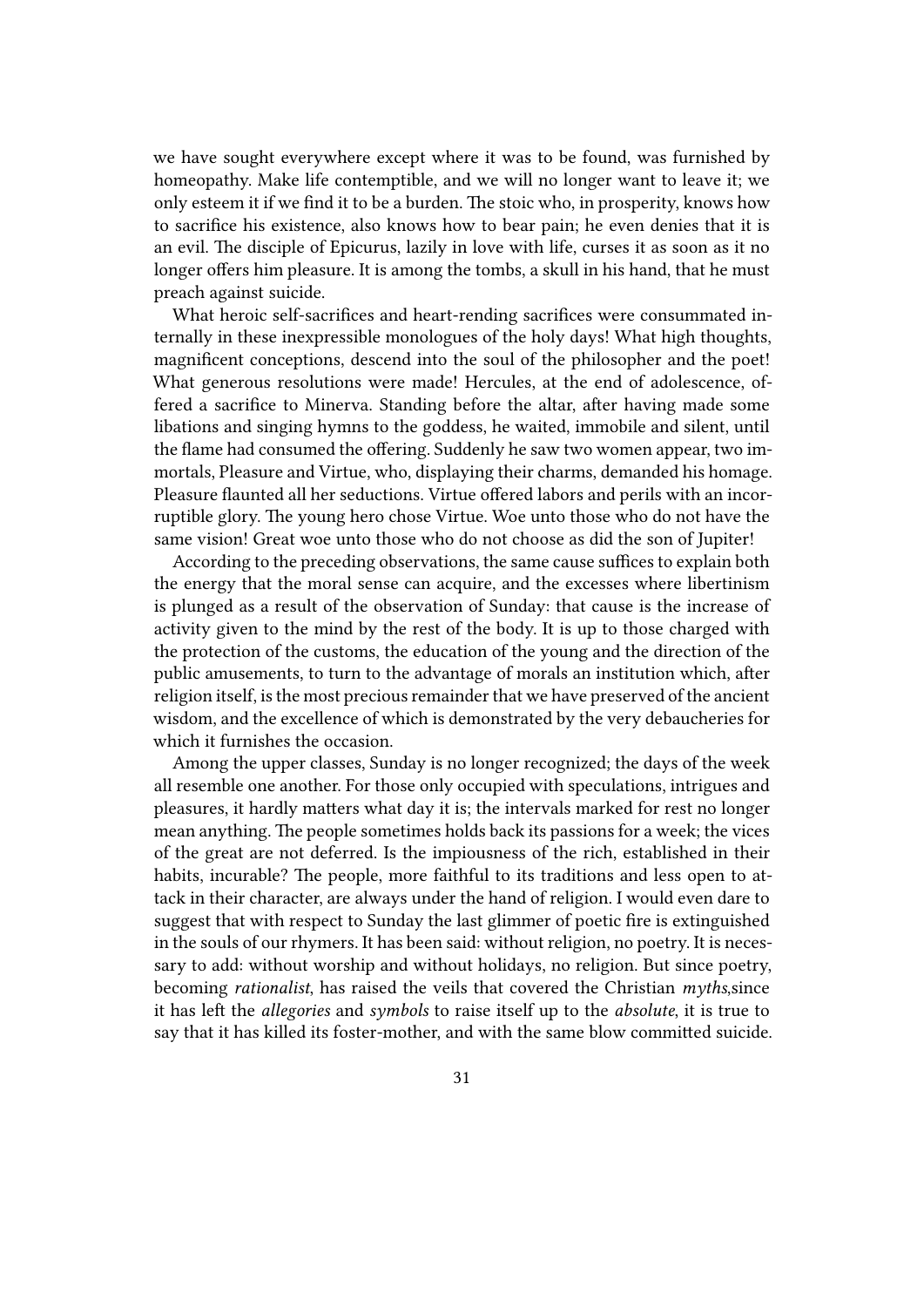we have sought everywhere except where it was to be found, was furnished by homeopathy. Make life contemptible, and we will no longer want to leave it; we only esteem it if we find it to be a burden. The stoic who, in prosperity, knows how to sacrifice his existence, also knows how to bear pain; he even denies that it is an evil. The disciple of Epicurus, lazily in love with life, curses it as soon as it no longer offers him pleasure. It is among the tombs, a skull in his hand, that he must preach against suicide.

What heroic self-sacrifices and heart-rending sacrifices were consummated internally in these inexpressible monologues of the holy days! What high thoughts, magnificent conceptions, descend into the soul of the philosopher and the poet! What generous resolutions were made! Hercules, at the end of adolescence, offered a sacrifice to Minerva. Standing before the altar, after having made some libations and singing hymns to the goddess, he waited, immobile and silent, until the flame had consumed the offering. Suddenly he saw two women appear, two immortals, Pleasure and Virtue, who, displaying their charms, demanded his homage. Pleasure flaunted all her seductions. Virtue offered labors and perils with an incorruptible glory. The young hero chose Virtue. Woe unto those who do not have the same vision! Great woe unto those who do not choose as did the son of Jupiter!

According to the preceding observations, the same cause suffices to explain both the energy that the moral sense can acquire, and the excesses where libertinism is plunged as a result of the observation of Sunday: that cause is the increase of activity given to the mind by the rest of the body. It is up to those charged with the protection of the customs, the education of the young and the direction of the public amusements, to turn to the advantage of morals an institution which, after religion itself, is the most precious remainder that we have preserved of the ancient wisdom, and the excellence of which is demonstrated by the very debaucheries for which it furnishes the occasion.

Among the upper classes, Sunday is no longer recognized; the days of the week all resemble one another. For those only occupied with speculations, intrigues and pleasures, it hardly matters what day it is; the intervals marked for rest no longer mean anything. The people sometimes holds back its passions for a week; the vices of the great are not deferred. Is the impiousness of the rich, established in their habits, incurable? The people, more faithful to its traditions and less open to attack in their character, are always under the hand of religion. I would even dare to suggest that with respect to Sunday the last glimmer of poetic fire is extinguished in the souls of our rhymers. It has been said: without religion, no poetry. It is necessary to add: without worship and without holidays, no religion. But since poetry, becoming *rationalist*, has raised the veils that covered the Christian *myths*,since it has left the *allegories* and *symbols* to raise itself up to the *absolute*, it is true to say that it has killed its foster-mother, and with the same blow committed suicide.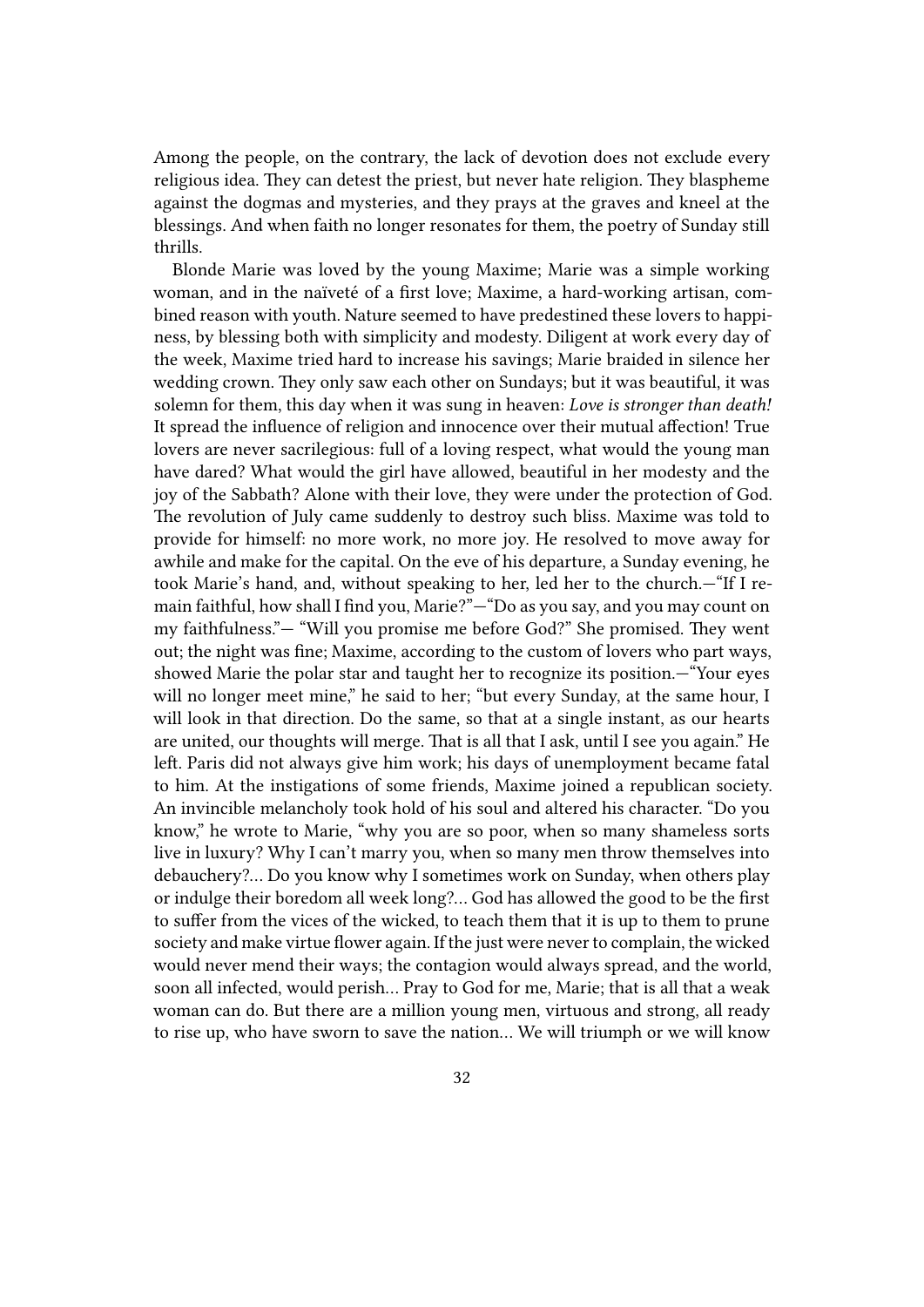Among the people, on the contrary, the lack of devotion does not exclude every religious idea. They can detest the priest, but never hate religion. They blaspheme against the dogmas and mysteries, and they prays at the graves and kneel at the blessings. And when faith no longer resonates for them, the poetry of Sunday still thrills.

Blonde Marie was loved by the young Maxime; Marie was a simple working woman, and in the naïveté of a first love; Maxime, a hard-working artisan, combined reason with youth. Nature seemed to have predestined these lovers to happiness, by blessing both with simplicity and modesty. Diligent at work every day of the week, Maxime tried hard to increase his savings; Marie braided in silence her wedding crown. They only saw each other on Sundays; but it was beautiful, it was solemn for them, this day when it was sung in heaven: *Love is stronger than death!* It spread the influence of religion and innocence over their mutual affection! True lovers are never sacrilegious: full of a loving respect, what would the young man have dared? What would the girl have allowed, beautiful in her modesty and the joy of the Sabbath? Alone with their love, they were under the protection of God. The revolution of July came suddenly to destroy such bliss. Maxime was told to provide for himself: no more work, no more joy. He resolved to move away for awhile and make for the capital. On the eve of his departure, a Sunday evening, he took Marie's hand, and, without speaking to her, led her to the church.—"If I remain faithful, how shall I find you, Marie?"—"Do as you say, and you may count on my faithfulness."— "Will you promise me before God?" She promised. They went out; the night was fine; Maxime, according to the custom of lovers who part ways, showed Marie the polar star and taught her to recognize its position.—"Your eyes will no longer meet mine," he said to her; "but every Sunday, at the same hour, I will look in that direction. Do the same, so that at a single instant, as our hearts are united, our thoughts will merge. That is all that I ask, until I see you again." He left. Paris did not always give him work; his days of unemployment became fatal to him. At the instigations of some friends, Maxime joined a republican society. An invincible melancholy took hold of his soul and altered his character. "Do you know," he wrote to Marie, "why you are so poor, when so many shameless sorts live in luxury? Why I can't marry you, when so many men throw themselves into debauchery?… Do you know why I sometimes work on Sunday, when others play or indulge their boredom all week long?… God has allowed the good to be the first to suffer from the vices of the wicked, to teach them that it is up to them to prune society and make virtue flower again. If the just were never to complain, the wicked would never mend their ways; the contagion would always spread, and the world, soon all infected, would perish… Pray to God for me, Marie; that is all that a weak woman can do. But there are a million young men, virtuous and strong, all ready to rise up, who have sworn to save the nation… We will triumph or we will know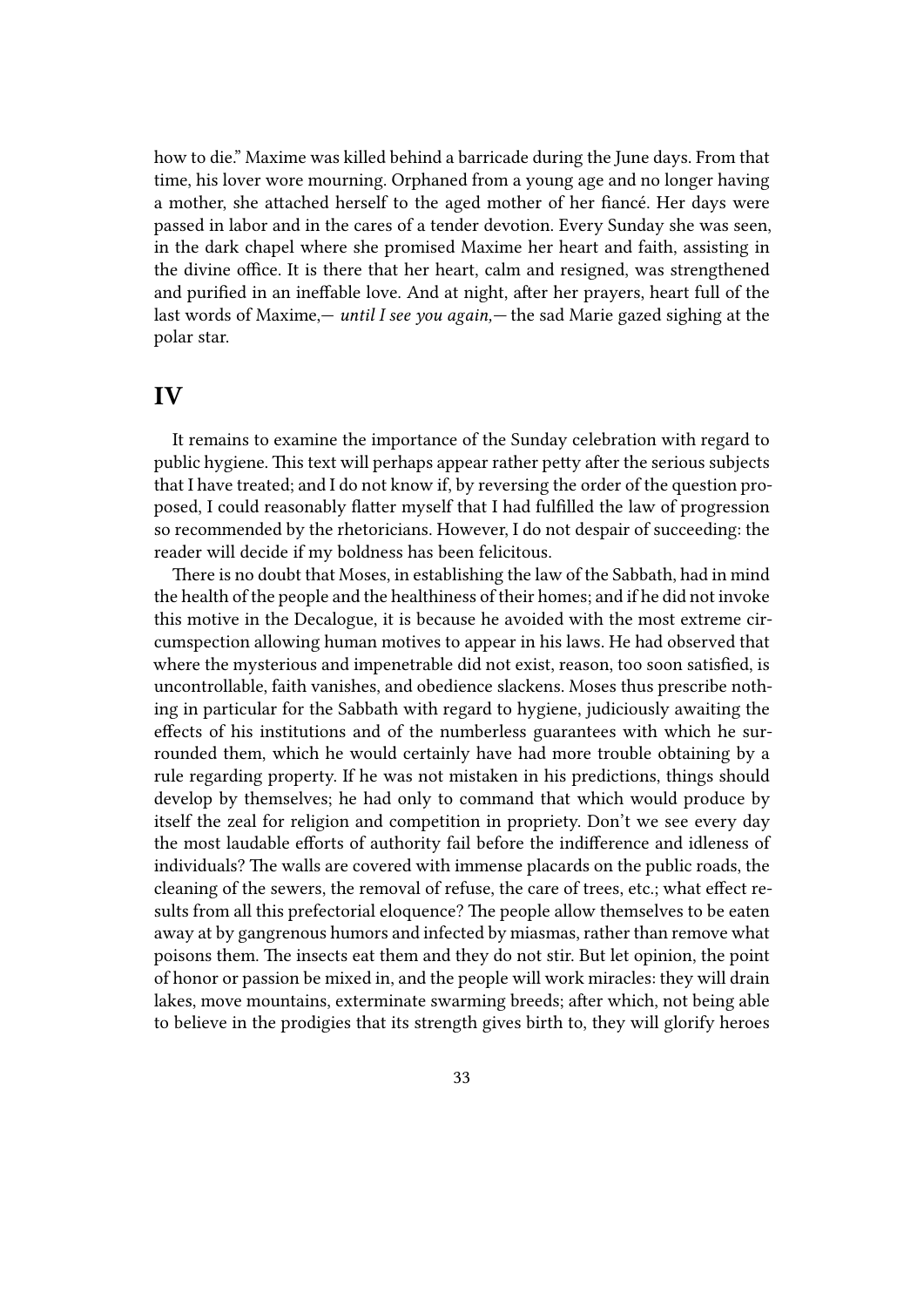how to die." Maxime was killed behind a barricade during the June days. From that time, his lover wore mourning. Orphaned from a young age and no longer having a mother, she attached herself to the aged mother of her fiancé. Her days were passed in labor and in the cares of a tender devotion. Every Sunday she was seen, in the dark chapel where she promised Maxime her heart and faith, assisting in the divine office. It is there that her heart, calm and resigned, was strengthened and purified in an ineffable love. And at night, after her prayers, heart full of the last words of Maxime,— *until I see you again,—* the sad Marie gazed sighing at the polar star.

#### **IV**

It remains to examine the importance of the Sunday celebration with regard to public hygiene. This text will perhaps appear rather petty after the serious subjects that I have treated; and I do not know if, by reversing the order of the question proposed, I could reasonably flatter myself that I had fulfilled the law of progression so recommended by the rhetoricians. However, I do not despair of succeeding: the reader will decide if my boldness has been felicitous.

There is no doubt that Moses, in establishing the law of the Sabbath, had in mind the health of the people and the healthiness of their homes; and if he did not invoke this motive in the Decalogue, it is because he avoided with the most extreme circumspection allowing human motives to appear in his laws. He had observed that where the mysterious and impenetrable did not exist, reason, too soon satisfied, is uncontrollable, faith vanishes, and obedience slackens. Moses thus prescribe nothing in particular for the Sabbath with regard to hygiene, judiciously awaiting the effects of his institutions and of the numberless guarantees with which he surrounded them, which he would certainly have had more trouble obtaining by a rule regarding property. If he was not mistaken in his predictions, things should develop by themselves; he had only to command that which would produce by itself the zeal for religion and competition in propriety. Don't we see every day the most laudable efforts of authority fail before the indifference and idleness of individuals? The walls are covered with immense placards on the public roads, the cleaning of the sewers, the removal of refuse, the care of trees, etc.; what effect results from all this prefectorial eloquence? The people allow themselves to be eaten away at by gangrenous humors and infected by miasmas, rather than remove what poisons them. The insects eat them and they do not stir. But let opinion, the point of honor or passion be mixed in, and the people will work miracles: they will drain lakes, move mountains, exterminate swarming breeds; after which, not being able to believe in the prodigies that its strength gives birth to, they will glorify heroes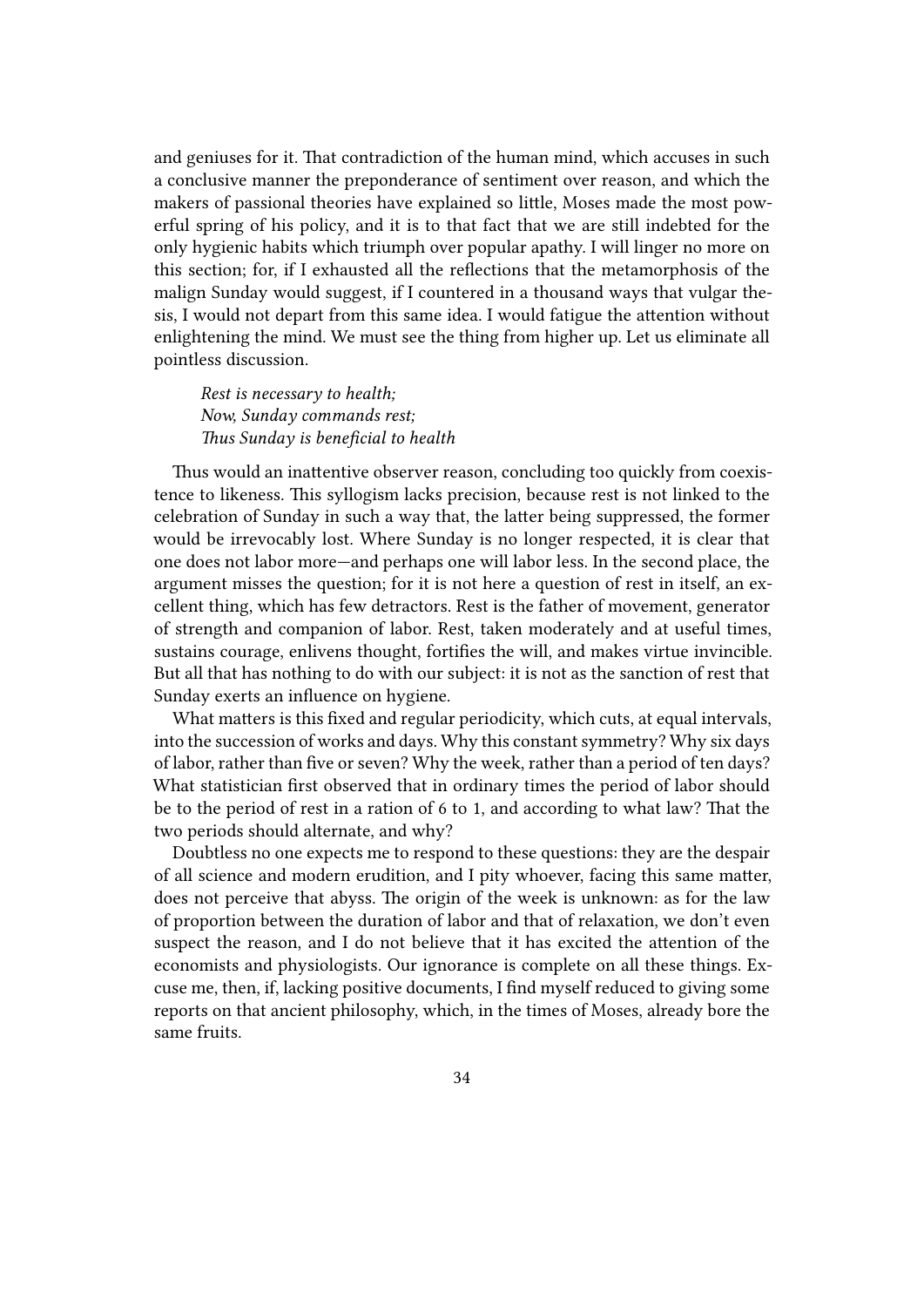and geniuses for it. That contradiction of the human mind, which accuses in such a conclusive manner the preponderance of sentiment over reason, and which the makers of passional theories have explained so little, Moses made the most powerful spring of his policy, and it is to that fact that we are still indebted for the only hygienic habits which triumph over popular apathy. I will linger no more on this section; for, if I exhausted all the reflections that the metamorphosis of the malign Sunday would suggest, if I countered in a thousand ways that vulgar thesis, I would not depart from this same idea. I would fatigue the attention without enlightening the mind. We must see the thing from higher up. Let us eliminate all pointless discussion.

*Rest is necessary to health; Now, Sunday commands rest; Thus Sunday is beneficial to health*

Thus would an inattentive observer reason, concluding too quickly from coexistence to likeness. This syllogism lacks precision, because rest is not linked to the celebration of Sunday in such a way that, the latter being suppressed, the former would be irrevocably lost. Where Sunday is no longer respected, it is clear that one does not labor more—and perhaps one will labor less. In the second place, the argument misses the question; for it is not here a question of rest in itself, an excellent thing, which has few detractors. Rest is the father of movement, generator of strength and companion of labor. Rest, taken moderately and at useful times, sustains courage, enlivens thought, fortifies the will, and makes virtue invincible. But all that has nothing to do with our subject: it is not as the sanction of rest that Sunday exerts an influence on hygiene.

What matters is this fixed and regular periodicity, which cuts, at equal intervals, into the succession of works and days. Why this constant symmetry? Why six days of labor, rather than five or seven? Why the week, rather than a period of ten days? What statistician first observed that in ordinary times the period of labor should be to the period of rest in a ration of 6 to 1, and according to what law? That the two periods should alternate, and why?

Doubtless no one expects me to respond to these questions: they are the despair of all science and modern erudition, and I pity whoever, facing this same matter, does not perceive that abyss. The origin of the week is unknown: as for the law of proportion between the duration of labor and that of relaxation, we don't even suspect the reason, and I do not believe that it has excited the attention of the economists and physiologists. Our ignorance is complete on all these things. Excuse me, then, if, lacking positive documents, I find myself reduced to giving some reports on that ancient philosophy, which, in the times of Moses, already bore the same fruits.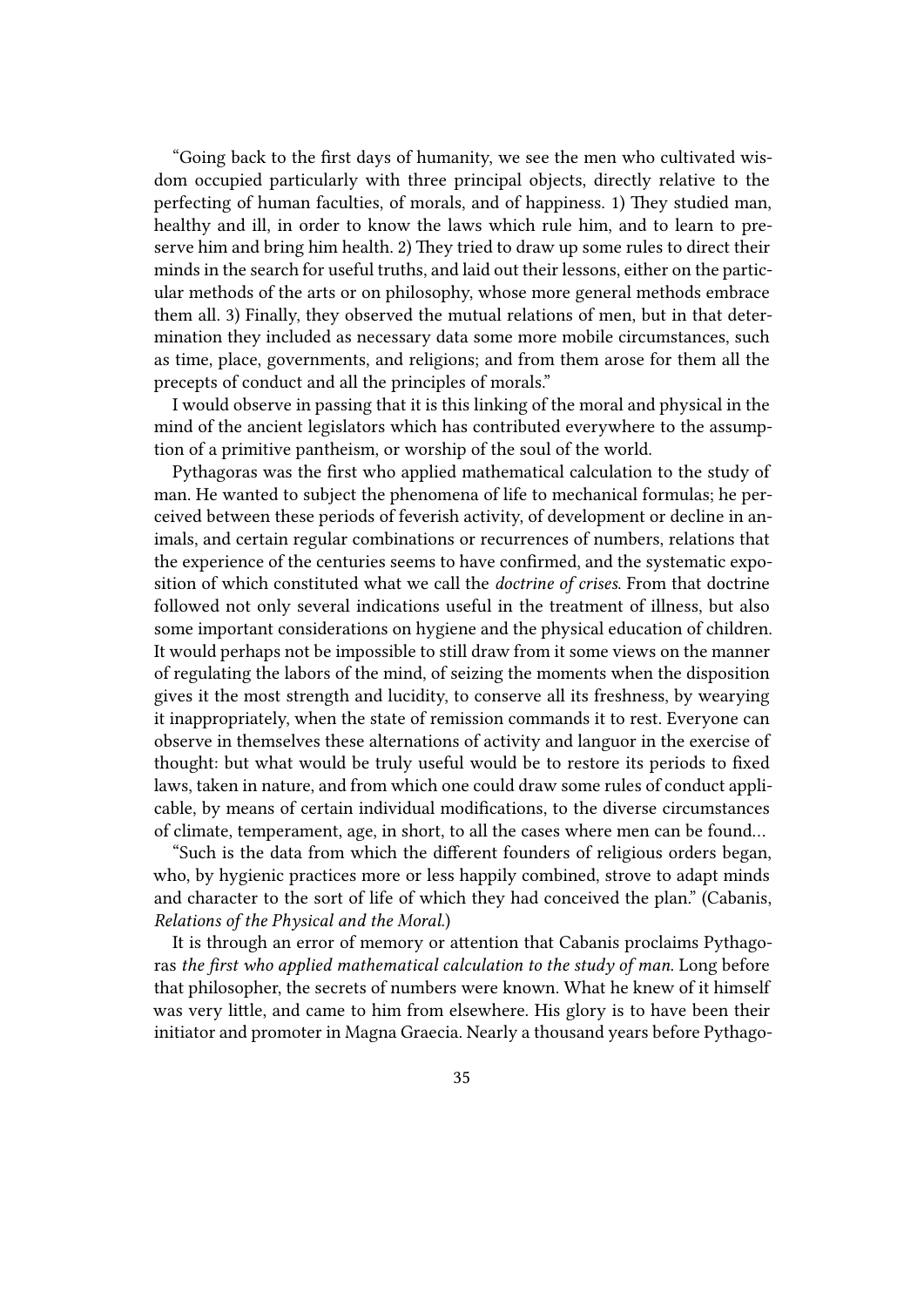"Going back to the first days of humanity, we see the men who cultivated wisdom occupied particularly with three principal objects, directly relative to the perfecting of human faculties, of morals, and of happiness. 1) They studied man, healthy and ill, in order to know the laws which rule him, and to learn to preserve him and bring him health. 2) They tried to draw up some rules to direct their minds in the search for useful truths, and laid out their lessons, either on the particular methods of the arts or on philosophy, whose more general methods embrace them all. 3) Finally, they observed the mutual relations of men, but in that determination they included as necessary data some more mobile circumstances, such as time, place, governments, and religions; and from them arose for them all the precepts of conduct and all the principles of morals."

I would observe in passing that it is this linking of the moral and physical in the mind of the ancient legislators which has contributed everywhere to the assumption of a primitive pantheism, or worship of the soul of the world.

Pythagoras was the first who applied mathematical calculation to the study of man. He wanted to subject the phenomena of life to mechanical formulas; he perceived between these periods of feverish activity, of development or decline in animals, and certain regular combinations or recurrences of numbers, relations that the experience of the centuries seems to have confirmed, and the systematic exposition of which constituted what we call the *doctrine of crises*. From that doctrine followed not only several indications useful in the treatment of illness, but also some important considerations on hygiene and the physical education of children. It would perhaps not be impossible to still draw from it some views on the manner of regulating the labors of the mind, of seizing the moments when the disposition gives it the most strength and lucidity, to conserve all its freshness, by wearying it inappropriately, when the state of remission commands it to rest. Everyone can observe in themselves these alternations of activity and languor in the exercise of thought: but what would be truly useful would be to restore its periods to fixed laws, taken in nature, and from which one could draw some rules of conduct applicable, by means of certain individual modifications, to the diverse circumstances of climate, temperament, age, in short, to all the cases where men can be found…

"Such is the data from which the different founders of religious orders began, who, by hygienic practices more or less happily combined, strove to adapt minds and character to the sort of life of which they had conceived the plan." (Cabanis, *Relations of the Physical and the Moral.*)

It is through an error of memory or attention that Cabanis proclaims Pythagoras *the first who applied mathematical calculation to the study of man*. Long before that philosopher, the secrets of numbers were known. What he knew of it himself was very little, and came to him from elsewhere. His glory is to have been their initiator and promoter in Magna Graecia. Nearly a thousand years before Pythago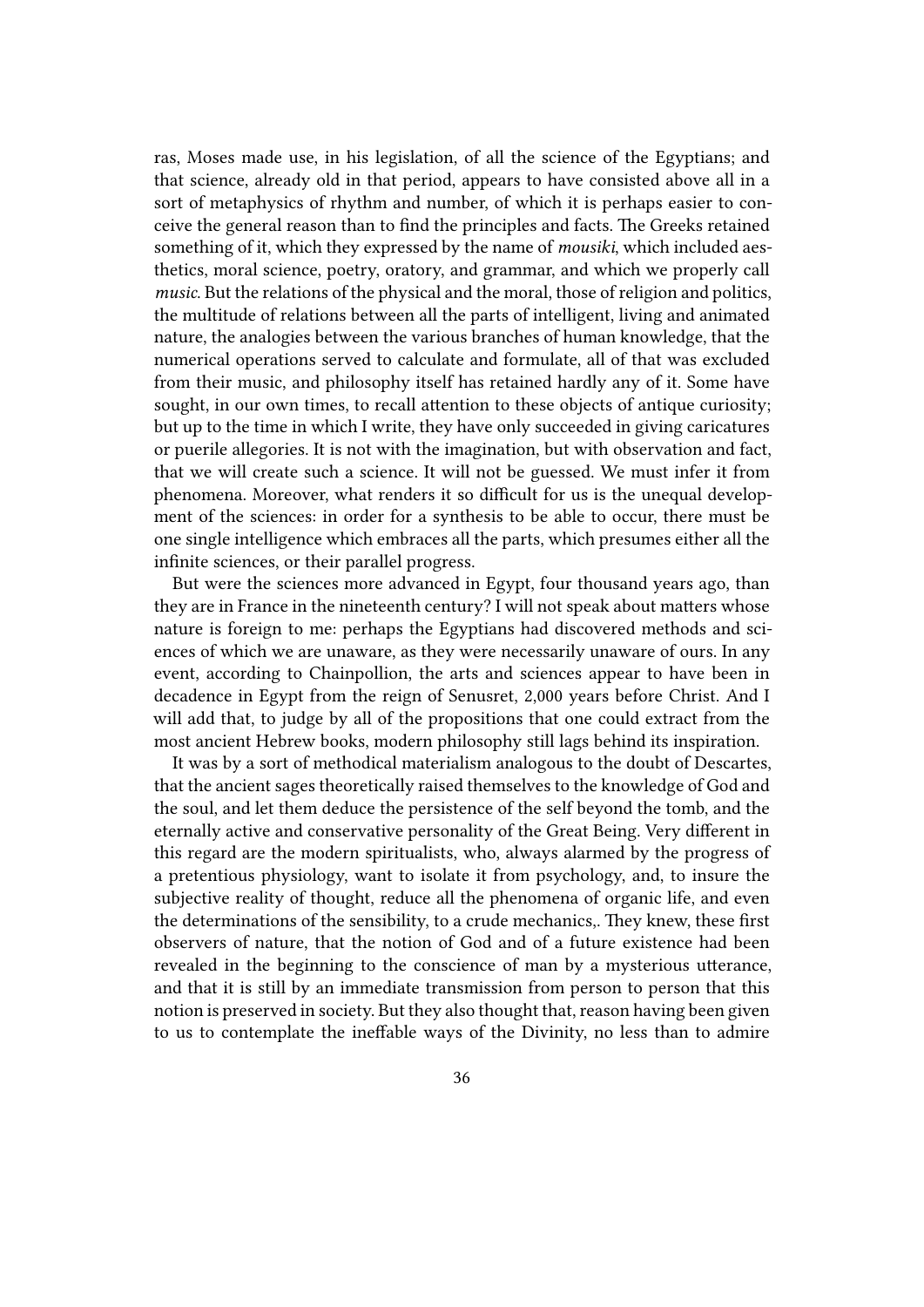ras, Moses made use, in his legislation, of all the science of the Egyptians; and that science, already old in that period, appears to have consisted above all in a sort of metaphysics of rhythm and number, of which it is perhaps easier to conceive the general reason than to find the principles and facts. The Greeks retained something of it, which they expressed by the name of *mousiki*, which included aesthetics, moral science, poetry, oratory, and grammar, and which we properly call *music*. But the relations of the physical and the moral, those of religion and politics, the multitude of relations between all the parts of intelligent, living and animated nature, the analogies between the various branches of human knowledge, that the numerical operations served to calculate and formulate, all of that was excluded from their music, and philosophy itself has retained hardly any of it. Some have sought, in our own times, to recall attention to these objects of antique curiosity; but up to the time in which I write, they have only succeeded in giving caricatures or puerile allegories. It is not with the imagination, but with observation and fact, that we will create such a science. It will not be guessed. We must infer it from phenomena. Moreover, what renders it so difficult for us is the unequal development of the sciences: in order for a synthesis to be able to occur, there must be one single intelligence which embraces all the parts, which presumes either all the infinite sciences, or their parallel progress.

But were the sciences more advanced in Egypt, four thousand years ago, than they are in France in the nineteenth century? I will not speak about matters whose nature is foreign to me: perhaps the Egyptians had discovered methods and sciences of which we are unaware, as they were necessarily unaware of ours. In any event, according to Chainpollion, the arts and sciences appear to have been in decadence in Egypt from the reign of Senusret, 2,000 years before Christ. And I will add that, to judge by all of the propositions that one could extract from the most ancient Hebrew books, modern philosophy still lags behind its inspiration.

It was by a sort of methodical materialism analogous to the doubt of Descartes, that the ancient sages theoretically raised themselves to the knowledge of God and the soul, and let them deduce the persistence of the self beyond the tomb, and the eternally active and conservative personality of the Great Being. Very different in this regard are the modern spiritualists, who, always alarmed by the progress of a pretentious physiology, want to isolate it from psychology, and, to insure the subjective reality of thought, reduce all the phenomena of organic life, and even the determinations of the sensibility, to a crude mechanics,. They knew, these first observers of nature, that the notion of God and of a future existence had been revealed in the beginning to the conscience of man by a mysterious utterance, and that it is still by an immediate transmission from person to person that this notion is preserved in society. But they also thought that, reason having been given to us to contemplate the ineffable ways of the Divinity, no less than to admire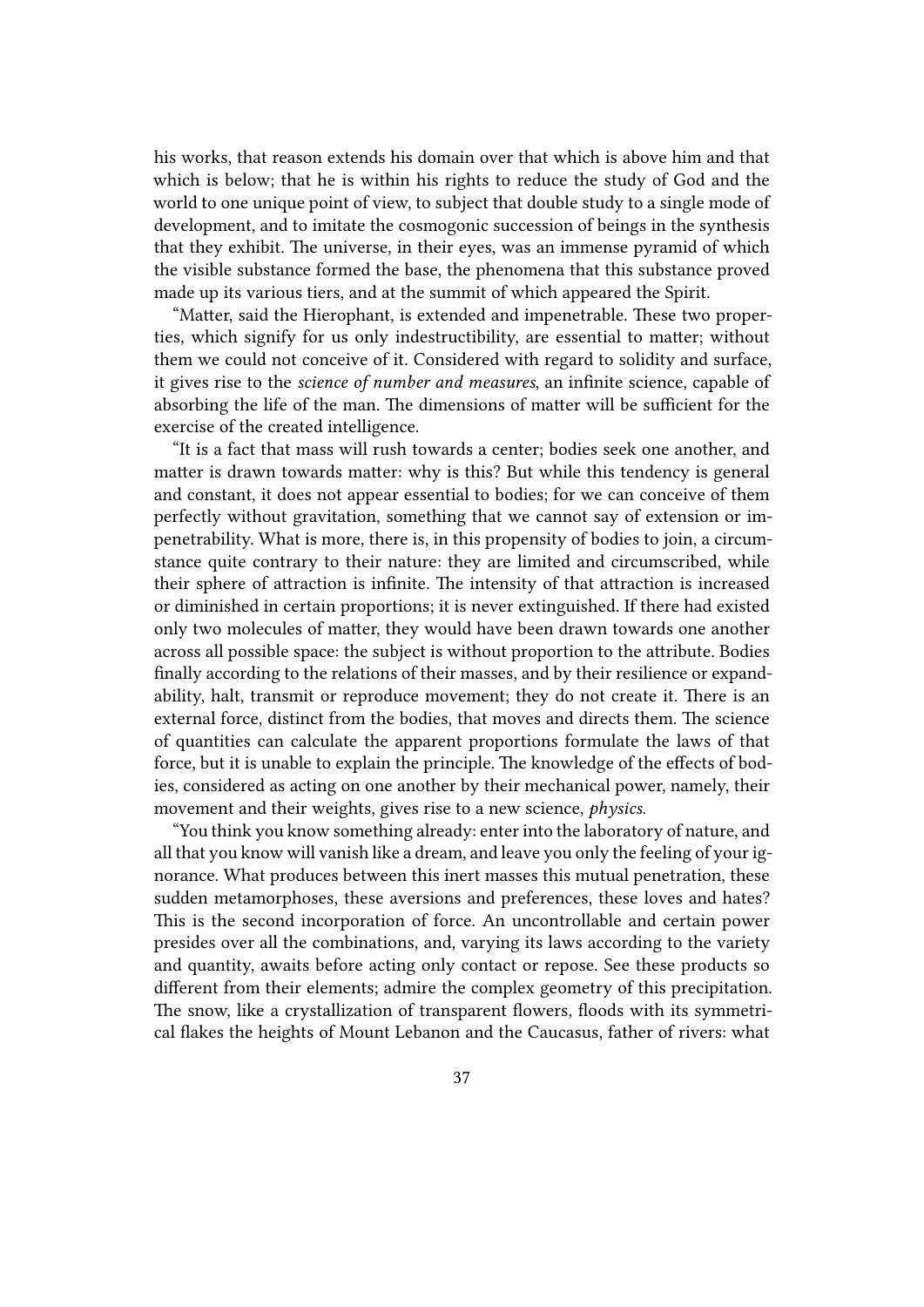his works, that reason extends his domain over that which is above him and that which is below; that he is within his rights to reduce the study of God and the world to one unique point of view, to subject that double study to a single mode of development, and to imitate the cosmogonic succession of beings in the synthesis that they exhibit. The universe, in their eyes, was an immense pyramid of which the visible substance formed the base, the phenomena that this substance proved made up its various tiers, and at the summit of which appeared the Spirit.

"Matter, said the Hierophant, is extended and impenetrable. These two properties, which signify for us only indestructibility, are essential to matter; without them we could not conceive of it. Considered with regard to solidity and surface, it gives rise to the *science of number and measures*, an infinite science, capable of absorbing the life of the man. The dimensions of matter will be sufficient for the exercise of the created intelligence.

"It is a fact that mass will rush towards a center; bodies seek one another, and matter is drawn towards matter: why is this? But while this tendency is general and constant, it does not appear essential to bodies; for we can conceive of them perfectly without gravitation, something that we cannot say of extension or impenetrability. What is more, there is, in this propensity of bodies to join, a circumstance quite contrary to their nature: they are limited and circumscribed, while their sphere of attraction is infinite. The intensity of that attraction is increased or diminished in certain proportions; it is never extinguished. If there had existed only two molecules of matter, they would have been drawn towards one another across all possible space: the subject is without proportion to the attribute. Bodies finally according to the relations of their masses, and by their resilience or expandability, halt, transmit or reproduce movement; they do not create it. There is an external force, distinct from the bodies, that moves and directs them. The science of quantities can calculate the apparent proportions formulate the laws of that force, but it is unable to explain the principle. The knowledge of the effects of bodies, considered as acting on one another by their mechanical power, namely, their movement and their weights, gives rise to a new science, *physics*.

"You think you know something already: enter into the laboratory of nature, and all that you know will vanish like a dream, and leave you only the feeling of your ignorance. What produces between this inert masses this mutual penetration, these sudden metamorphoses, these aversions and preferences, these loves and hates? This is the second incorporation of force. An uncontrollable and certain power presides over all the combinations, and, varying its laws according to the variety and quantity, awaits before acting only contact or repose. See these products so different from their elements; admire the complex geometry of this precipitation. The snow, like a crystallization of transparent flowers, floods with its symmetrical flakes the heights of Mount Lebanon and the Caucasus, father of rivers: what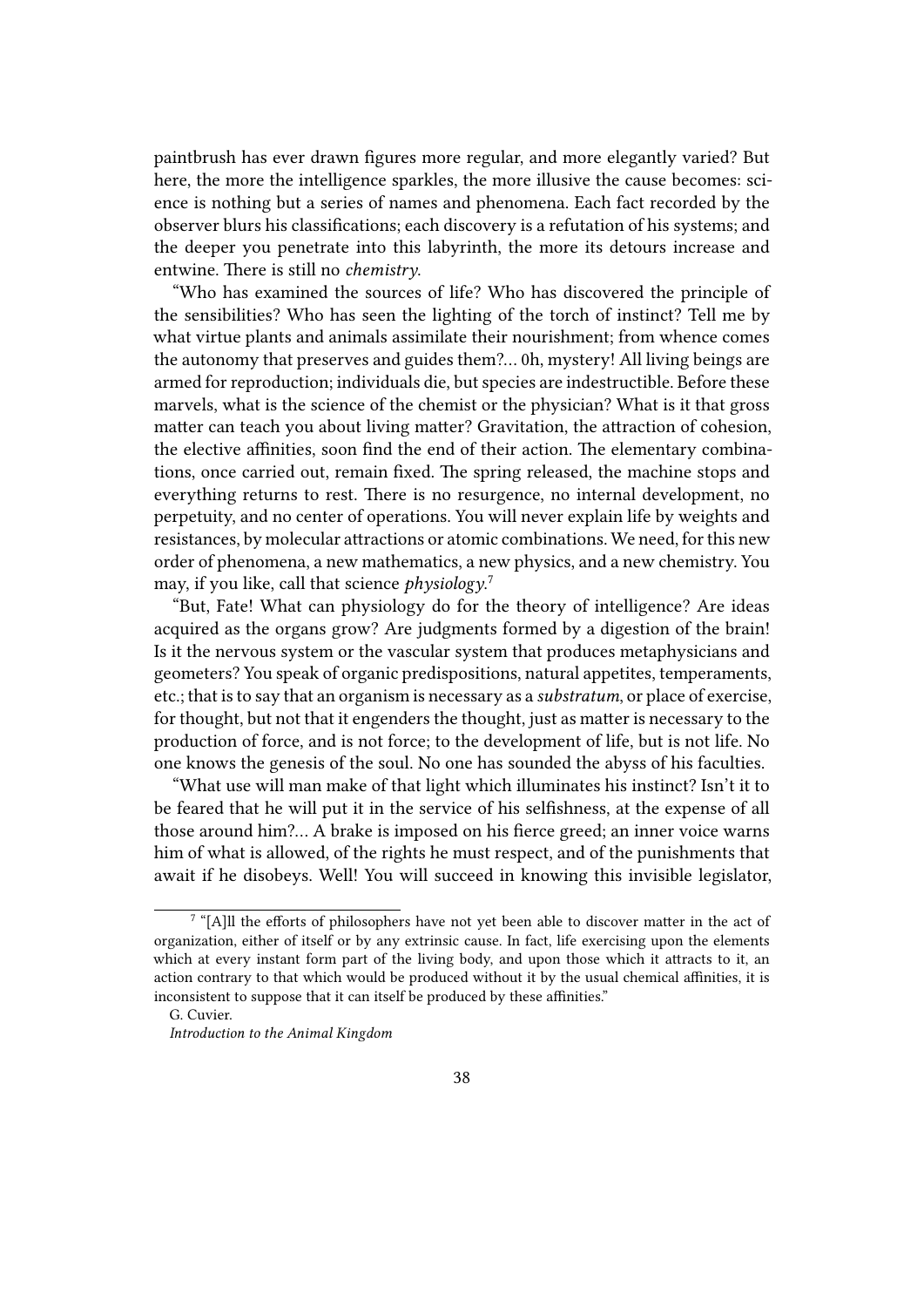paintbrush has ever drawn figures more regular, and more elegantly varied? But here, the more the intelligence sparkles, the more illusive the cause becomes: science is nothing but a series of names and phenomena. Each fact recorded by the observer blurs his classifications; each discovery is a refutation of his systems; and the deeper you penetrate into this labyrinth, the more its detours increase and entwine. There is still no *chemistry*.

"Who has examined the sources of life? Who has discovered the principle of the sensibilities? Who has seen the lighting of the torch of instinct? Tell me by what virtue plants and animals assimilate their nourishment; from whence comes the autonomy that preserves and guides them?… 0h, mystery! All living beings are armed for reproduction; individuals die, but species are indestructible. Before these marvels, what is the science of the chemist or the physician? What is it that gross matter can teach you about living matter? Gravitation, the attraction of cohesion, the elective affinities, soon find the end of their action. The elementary combinations, once carried out, remain fixed. The spring released, the machine stops and everything returns to rest. There is no resurgence, no internal development, no perpetuity, and no center of operations. You will never explain life by weights and resistances, by molecular attractions or atomic combinations. We need, for this new order of phenomena, a new mathematics, a new physics, and a new chemistry. You may, if you like, call that science *physiology*. 7

"But, Fate! What can physiology do for the theory of intelligence? Are ideas acquired as the organs grow? Are judgments formed by a digestion of the brain! Is it the nervous system or the vascular system that produces metaphysicians and geometers? You speak of organic predispositions, natural appetites, temperaments, etc.; that is to say that an organism is necessary as a *substratum*, or place of exercise, for thought, but not that it engenders the thought, just as matter is necessary to the production of force, and is not force; to the development of life, but is not life. No one knows the genesis of the soul. No one has sounded the abyss of his faculties.

"What use will man make of that light which illuminates his instinct? Isn't it to be feared that he will put it in the service of his selfishness, at the expense of all those around him?… A brake is imposed on his fierce greed; an inner voice warns him of what is allowed, of the rights he must respect, and of the punishments that await if he disobeys. Well! You will succeed in knowing this invisible legislator,

 $7$  "[A]ll the efforts of philosophers have not yet been able to discover matter in the act of organization, either of itself or by any extrinsic cause. In fact, life exercising upon the elements which at every instant form part of the living body, and upon those which it attracts to it, an action contrary to that which would be produced without it by the usual chemical affinities, it is inconsistent to suppose that it can itself be produced by these affinities."

G. Cuvier.

*Introduction to the Animal Kingdom*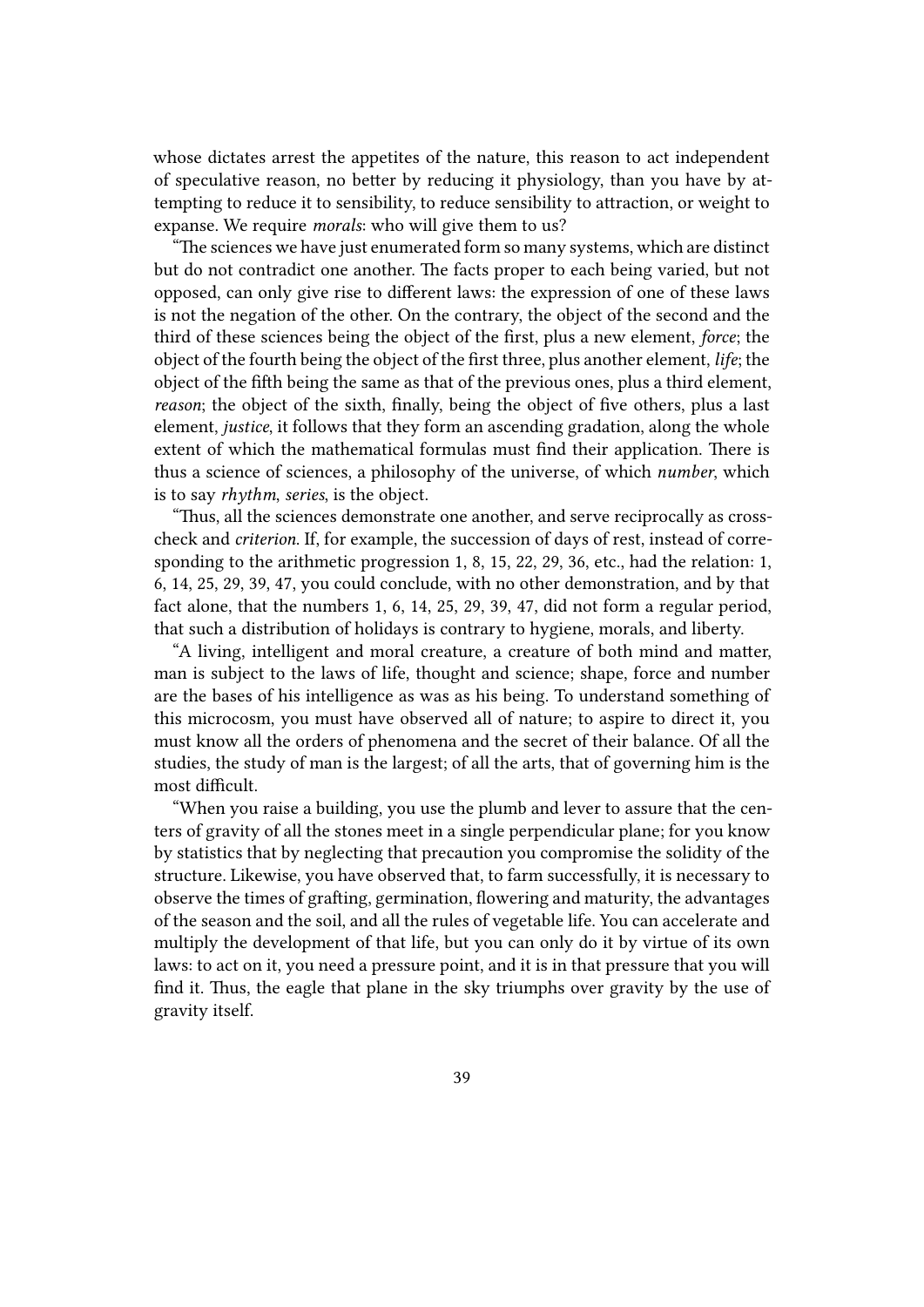whose dictates arrest the appetites of the nature, this reason to act independent of speculative reason, no better by reducing it physiology, than you have by attempting to reduce it to sensibility, to reduce sensibility to attraction, or weight to expanse. We require *morals*: who will give them to us?

"The sciences we have just enumerated form so many systems, which are distinct but do not contradict one another. The facts proper to each being varied, but not opposed, can only give rise to different laws: the expression of one of these laws is not the negation of the other. On the contrary, the object of the second and the third of these sciences being the object of the first, plus a new element, *force*; the object of the fourth being the object of the first three, plus another element, *life*; the object of the fifth being the same as that of the previous ones, plus a third element, *reason*; the object of the sixth, finally, being the object of five others, plus a last element, *justice*, it follows that they form an ascending gradation, along the whole extent of which the mathematical formulas must find their application. There is thus a science of sciences, a philosophy of the universe, of which *number*, which is to say *rhythm*, *series*, is the object.

"Thus, all the sciences demonstrate one another, and serve reciprocally as crosscheck and *criterion*. If, for example, the succession of days of rest, instead of corresponding to the arithmetic progression 1, 8, 15, 22, 29, 36, etc., had the relation: 1, 6, 14, 25, 29, 39, 47, you could conclude, with no other demonstration, and by that fact alone, that the numbers 1, 6, 14, 25, 29, 39, 47, did not form a regular period, that such a distribution of holidays is contrary to hygiene, morals, and liberty.

"A living, intelligent and moral creature, a creature of both mind and matter, man is subject to the laws of life, thought and science; shape, force and number are the bases of his intelligence as was as his being. To understand something of this microcosm, you must have observed all of nature; to aspire to direct it, you must know all the orders of phenomena and the secret of their balance. Of all the studies, the study of man is the largest; of all the arts, that of governing him is the most difficult.

"When you raise a building, you use the plumb and lever to assure that the centers of gravity of all the stones meet in a single perpendicular plane; for you know by statistics that by neglecting that precaution you compromise the solidity of the structure. Likewise, you have observed that, to farm successfully, it is necessary to observe the times of grafting, germination, flowering and maturity, the advantages of the season and the soil, and all the rules of vegetable life. You can accelerate and multiply the development of that life, but you can only do it by virtue of its own laws: to act on it, you need a pressure point, and it is in that pressure that you will find it. Thus, the eagle that plane in the sky triumphs over gravity by the use of gravity itself.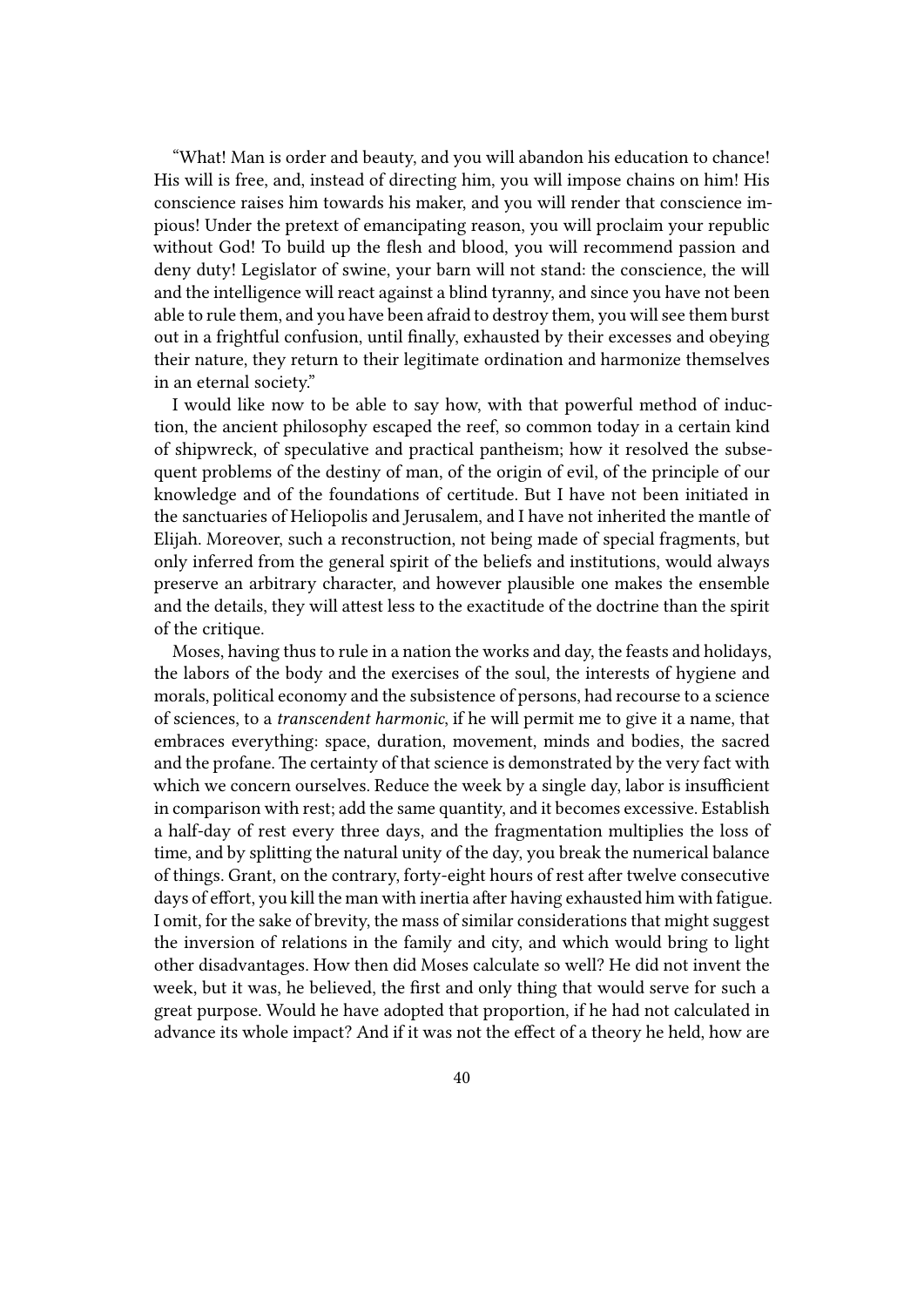"What! Man is order and beauty, and you will abandon his education to chance! His will is free, and, instead of directing him, you will impose chains on him! His conscience raises him towards his maker, and you will render that conscience impious! Under the pretext of emancipating reason, you will proclaim your republic without God! To build up the flesh and blood, you will recommend passion and deny duty! Legislator of swine, your barn will not stand: the conscience, the will and the intelligence will react against a blind tyranny, and since you have not been able to rule them, and you have been afraid to destroy them, you will see them burst out in a frightful confusion, until finally, exhausted by their excesses and obeying their nature, they return to their legitimate ordination and harmonize themselves in an eternal society."

I would like now to be able to say how, with that powerful method of induction, the ancient philosophy escaped the reef, so common today in a certain kind of shipwreck, of speculative and practical pantheism; how it resolved the subsequent problems of the destiny of man, of the origin of evil, of the principle of our knowledge and of the foundations of certitude. But I have not been initiated in the sanctuaries of Heliopolis and Jerusalem, and I have not inherited the mantle of Elijah. Moreover, such a reconstruction, not being made of special fragments, but only inferred from the general spirit of the beliefs and institutions, would always preserve an arbitrary character, and however plausible one makes the ensemble and the details, they will attest less to the exactitude of the doctrine than the spirit of the critique.

Moses, having thus to rule in a nation the works and day, the feasts and holidays, the labors of the body and the exercises of the soul, the interests of hygiene and morals, political economy and the subsistence of persons, had recourse to a science of sciences, to a *transcendent harmonic*, if he will permit me to give it a name, that embraces everything: space, duration, movement, minds and bodies, the sacred and the profane. The certainty of that science is demonstrated by the very fact with which we concern ourselves. Reduce the week by a single day, labor is insufficient in comparison with rest; add the same quantity, and it becomes excessive. Establish a half-day of rest every three days, and the fragmentation multiplies the loss of time, and by splitting the natural unity of the day, you break the numerical balance of things. Grant, on the contrary, forty-eight hours of rest after twelve consecutive days of effort, you kill the man with inertia after having exhausted him with fatigue. I omit, for the sake of brevity, the mass of similar considerations that might suggest the inversion of relations in the family and city, and which would bring to light other disadvantages. How then did Moses calculate so well? He did not invent the week, but it was, he believed, the first and only thing that would serve for such a great purpose. Would he have adopted that proportion, if he had not calculated in advance its whole impact? And if it was not the effect of a theory he held, how are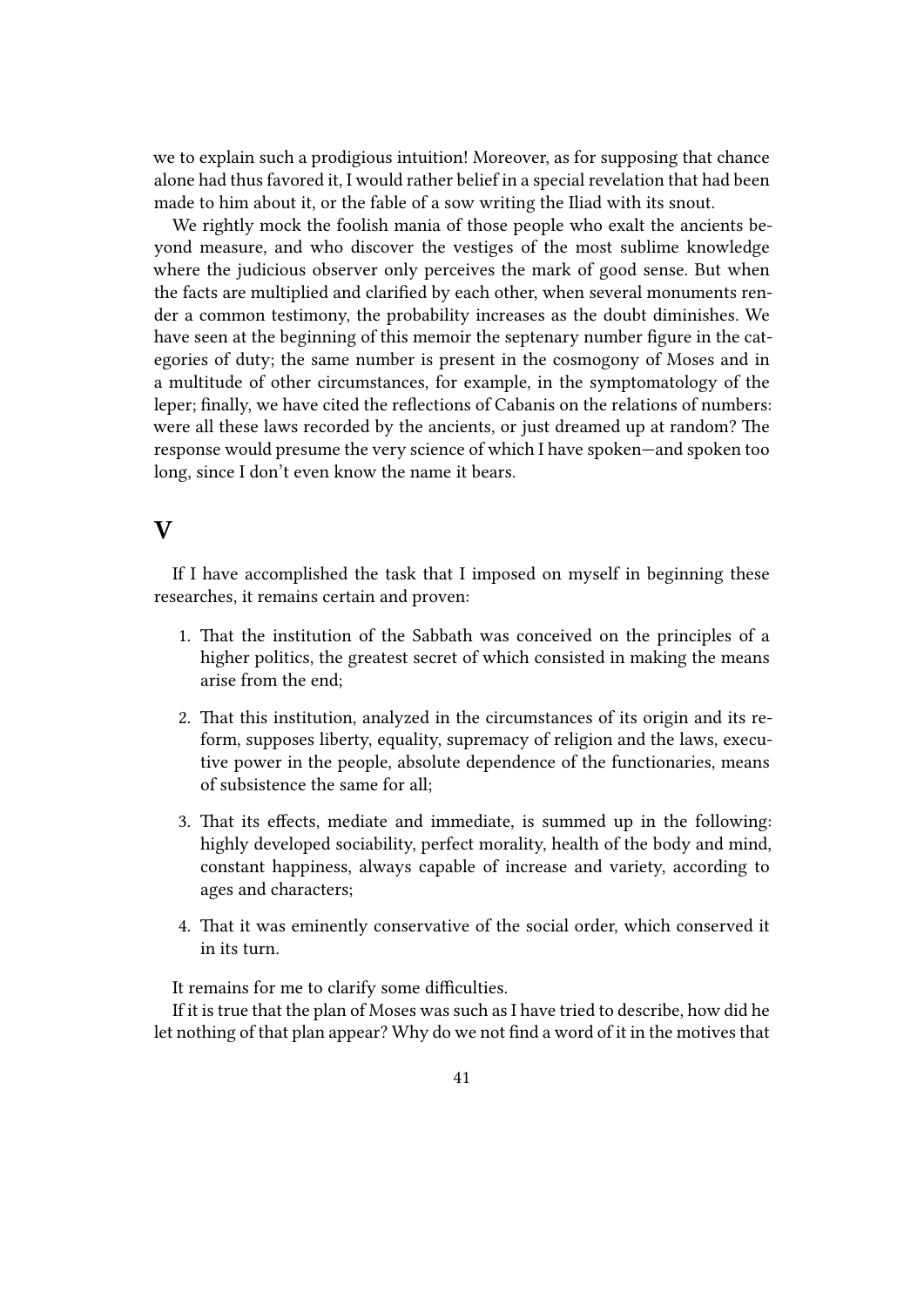we to explain such a prodigious intuition! Moreover, as for supposing that chance alone had thus favored it, I would rather belief in a special revelation that had been made to him about it, or the fable of a sow writing the Iliad with its snout.

We rightly mock the foolish mania of those people who exalt the ancients beyond measure, and who discover the vestiges of the most sublime knowledge where the judicious observer only perceives the mark of good sense. But when the facts are multiplied and clarified by each other, when several monuments render a common testimony, the probability increases as the doubt diminishes. We have seen at the beginning of this memoir the septenary number figure in the categories of duty; the same number is present in the cosmogony of Moses and in a multitude of other circumstances, for example, in the symptomatology of the leper; finally, we have cited the reflections of Cabanis on the relations of numbers: were all these laws recorded by the ancients, or just dreamed up at random? The response would presume the very science of which I have spoken—and spoken too long, since I don't even know the name it bears.

#### **V**

If I have accomplished the task that I imposed on myself in beginning these researches, it remains certain and proven:

- 1. That the institution of the Sabbath was conceived on the principles of a higher politics, the greatest secret of which consisted in making the means arise from the end;
- 2. That this institution, analyzed in the circumstances of its origin and its reform, supposes liberty, equality, supremacy of religion and the laws, executive power in the people, absolute dependence of the functionaries, means of subsistence the same for all;
- 3. That its effects, mediate and immediate, is summed up in the following: highly developed sociability, perfect morality, health of the body and mind, constant happiness, always capable of increase and variety, according to ages and characters;
- 4. That it was eminently conservative of the social order, which conserved it in its turn.

It remains for me to clarify some difficulties.

If it is true that the plan of Moses was such as I have tried to describe, how did he let nothing of that plan appear? Why do we not find a word of it in the motives that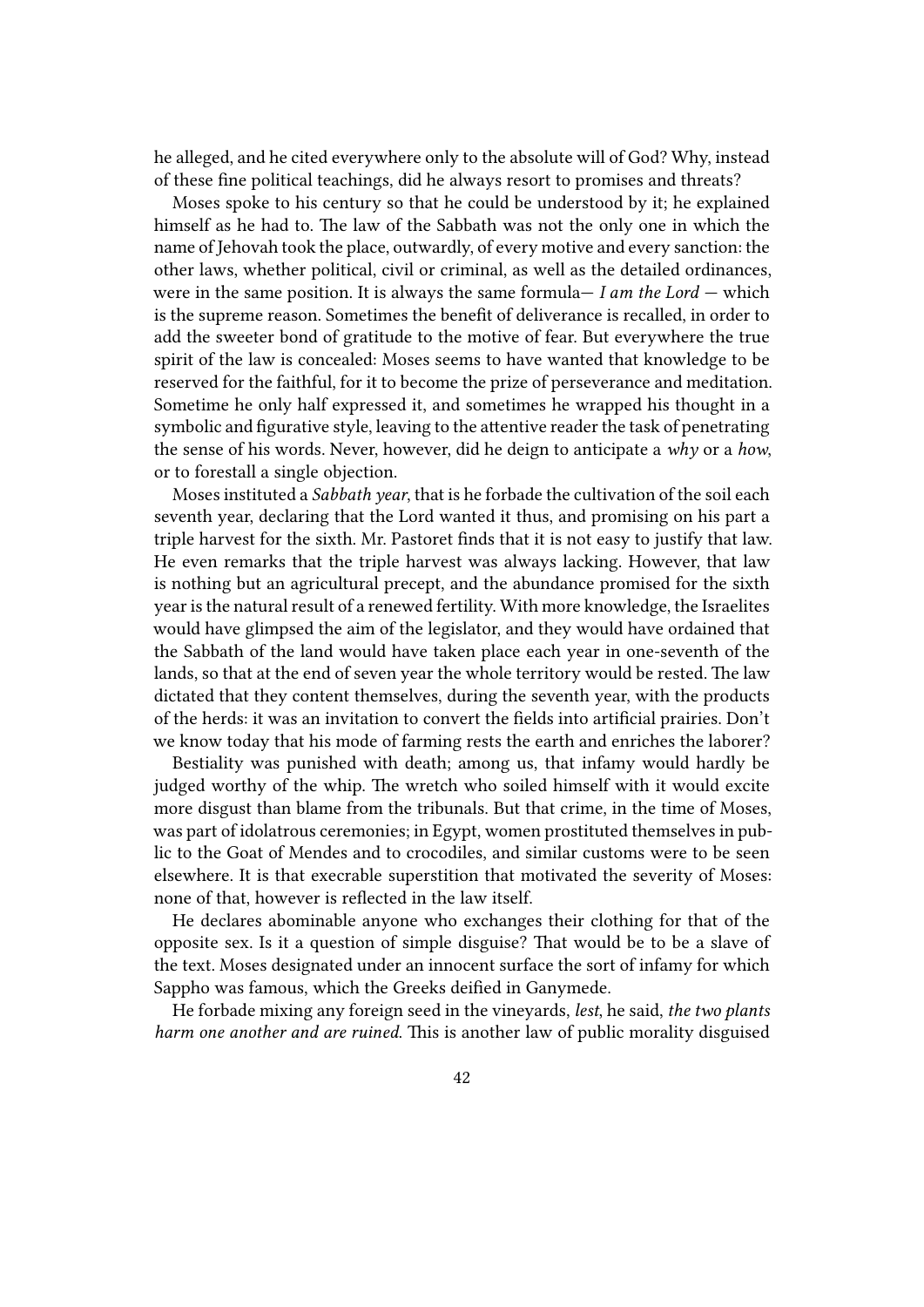he alleged, and he cited everywhere only to the absolute will of God? Why, instead of these fine political teachings, did he always resort to promises and threats?

Moses spoke to his century so that he could be understood by it; he explained himself as he had to. The law of the Sabbath was not the only one in which the name of Jehovah took the place, outwardly, of every motive and every sanction: the other laws, whether political, civil or criminal, as well as the detailed ordinances, were in the same position. It is always the same formula— *I am the Lord* — which is the supreme reason. Sometimes the benefit of deliverance is recalled, in order to add the sweeter bond of gratitude to the motive of fear. But everywhere the true spirit of the law is concealed: Moses seems to have wanted that knowledge to be reserved for the faithful, for it to become the prize of perseverance and meditation. Sometime he only half expressed it, and sometimes he wrapped his thought in a symbolic and figurative style, leaving to the attentive reader the task of penetrating the sense of his words. Never, however, did he deign to anticipate a *why* or a *how*, or to forestall a single objection.

Moses instituted a *Sabbath year*, that is he forbade the cultivation of the soil each seventh year, declaring that the Lord wanted it thus, and promising on his part a triple harvest for the sixth. Mr. Pastoret finds that it is not easy to justify that law. He even remarks that the triple harvest was always lacking. However, that law is nothing but an agricultural precept, and the abundance promised for the sixth year is the natural result of a renewed fertility. With more knowledge, the Israelites would have glimpsed the aim of the legislator, and they would have ordained that the Sabbath of the land would have taken place each year in one-seventh of the lands, so that at the end of seven year the whole territory would be rested. The law dictated that they content themselves, during the seventh year, with the products of the herds: it was an invitation to convert the fields into artificial prairies. Don't we know today that his mode of farming rests the earth and enriches the laborer?

Bestiality was punished with death; among us, that infamy would hardly be judged worthy of the whip. The wretch who soiled himself with it would excite more disgust than blame from the tribunals. But that crime, in the time of Moses, was part of idolatrous ceremonies; in Egypt, women prostituted themselves in public to the Goat of Mendes and to crocodiles, and similar customs were to be seen elsewhere. It is that execrable superstition that motivated the severity of Moses: none of that, however is reflected in the law itself.

He declares abominable anyone who exchanges their clothing for that of the opposite sex. Is it a question of simple disguise? That would be to be a slave of the text. Moses designated under an innocent surface the sort of infamy for which Sappho was famous, which the Greeks deified in Ganymede.

He forbade mixing any foreign seed in the vineyards, *lest*, he said, *the two plants harm one another and are ruined*. This is another law of public morality disguised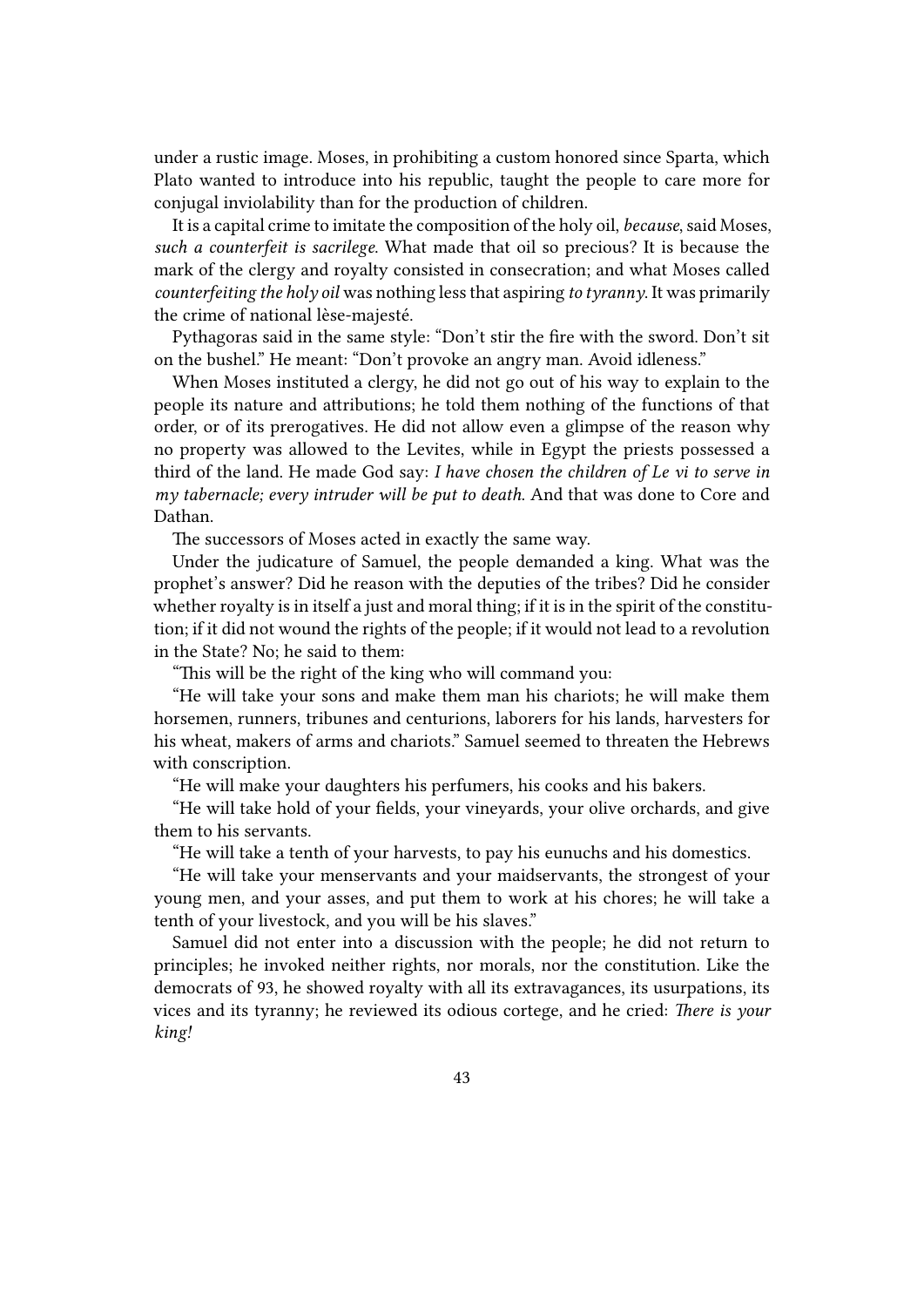under a rustic image. Moses, in prohibiting a custom honored since Sparta, which Plato wanted to introduce into his republic, taught the people to care more for conjugal inviolability than for the production of children.

It is a capital crime to imitate the composition of the holy oil, *because*, said Moses, *such a counterfeit is sacrilege*. What made that oil so precious? It is because the mark of the clergy and royalty consisted in consecration; and what Moses called *counterfeiting the holy oil* was nothing less that aspiring *to tyranny*. It was primarily the crime of national lèse-majesté.

Pythagoras said in the same style: "Don't stir the fire with the sword. Don't sit on the bushel." He meant: "Don't provoke an angry man. Avoid idleness."

When Moses instituted a clergy, he did not go out of his way to explain to the people its nature and attributions; he told them nothing of the functions of that order, or of its prerogatives. He did not allow even a glimpse of the reason why no property was allowed to the Levites, while in Egypt the priests possessed a third of the land. He made God say: *I have chosen the children of Le vi to serve in my tabernacle; every intruder will be put to death*. And that was done to Core and Dathan.

The successors of Moses acted in exactly the same way.

Under the judicature of Samuel, the people demanded a king. What was the prophet's answer? Did he reason with the deputies of the tribes? Did he consider whether royalty is in itself a just and moral thing; if it is in the spirit of the constitution; if it did not wound the rights of the people; if it would not lead to a revolution in the State? No; he said to them:

"This will be the right of the king who will command you:

"He will take your sons and make them man his chariots; he will make them horsemen, runners, tribunes and centurions, laborers for his lands, harvesters for his wheat, makers of arms and chariots." Samuel seemed to threaten the Hebrews with conscription.

"He will make your daughters his perfumers, his cooks and his bakers.

"He will take hold of your fields, your vineyards, your olive orchards, and give them to his servants.

"He will take a tenth of your harvests, to pay his eunuchs and his domestics.

"He will take your menservants and your maidservants, the strongest of your young men, and your asses, and put them to work at his chores; he will take a tenth of your livestock, and you will be his slaves."

Samuel did not enter into a discussion with the people; he did not return to principles; he invoked neither rights, nor morals, nor the constitution. Like the democrats of 93, he showed royalty with all its extravagances, its usurpations, its vices and its tyranny; he reviewed its odious cortege, and he cried: *There is your king!*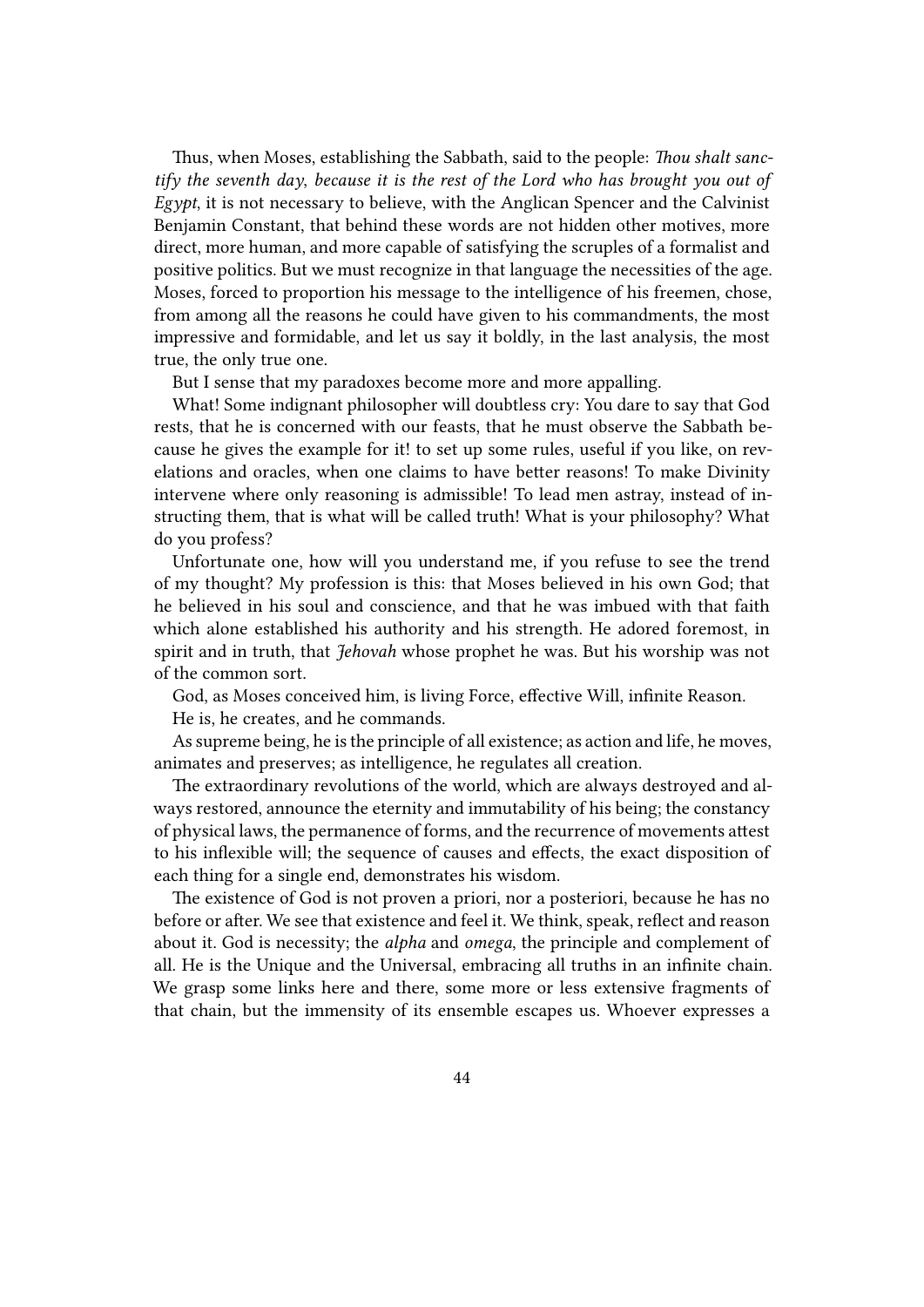Thus, when Moses, establishing the Sabbath, said to the people: *Thou shalt sanctify the seventh day*, *because it is the rest of the Lord who has brought you out of Egypt*, it is not necessary to believe, with the Anglican Spencer and the Calvinist Benjamin Constant, that behind these words are not hidden other motives, more direct, more human, and more capable of satisfying the scruples of a formalist and positive politics. But we must recognize in that language the necessities of the age. Moses, forced to proportion his message to the intelligence of his freemen, chose, from among all the reasons he could have given to his commandments, the most impressive and formidable, and let us say it boldly, in the last analysis, the most true, the only true one.

But I sense that my paradoxes become more and more appalling.

What! Some indignant philosopher will doubtless cry: You dare to say that God rests, that he is concerned with our feasts, that he must observe the Sabbath because he gives the example for it! to set up some rules, useful if you like, on revelations and oracles, when one claims to have better reasons! To make Divinity intervene where only reasoning is admissible! To lead men astray, instead of instructing them, that is what will be called truth! What is your philosophy? What do you profess?

Unfortunate one, how will you understand me, if you refuse to see the trend of my thought? My profession is this: that Moses believed in his own God; that he believed in his soul and conscience, and that he was imbued with that faith which alone established his authority and his strength. He adored foremost, in spirit and in truth, that *Jehovah* whose prophet he was. But his worship was not of the common sort.

God, as Moses conceived him, is living Force, effective Will, infinite Reason.

He is, he creates, and he commands.

As supreme being, he is the principle of all existence; as action and life, he moves, animates and preserves; as intelligence, he regulates all creation.

The extraordinary revolutions of the world, which are always destroyed and always restored, announce the eternity and immutability of his being; the constancy of physical laws, the permanence of forms, and the recurrence of movements attest to his inflexible will; the sequence of causes and effects, the exact disposition of each thing for a single end, demonstrates his wisdom.

The existence of God is not proven a priori, nor a posteriori, because he has no before or after. We see that existence and feel it. We think, speak, reflect and reason about it. God is necessity; the *alpha* and *omega*, the principle and complement of all. He is the Unique and the Universal, embracing all truths in an infinite chain. We grasp some links here and there, some more or less extensive fragments of that chain, but the immensity of its ensemble escapes us. Whoever expresses a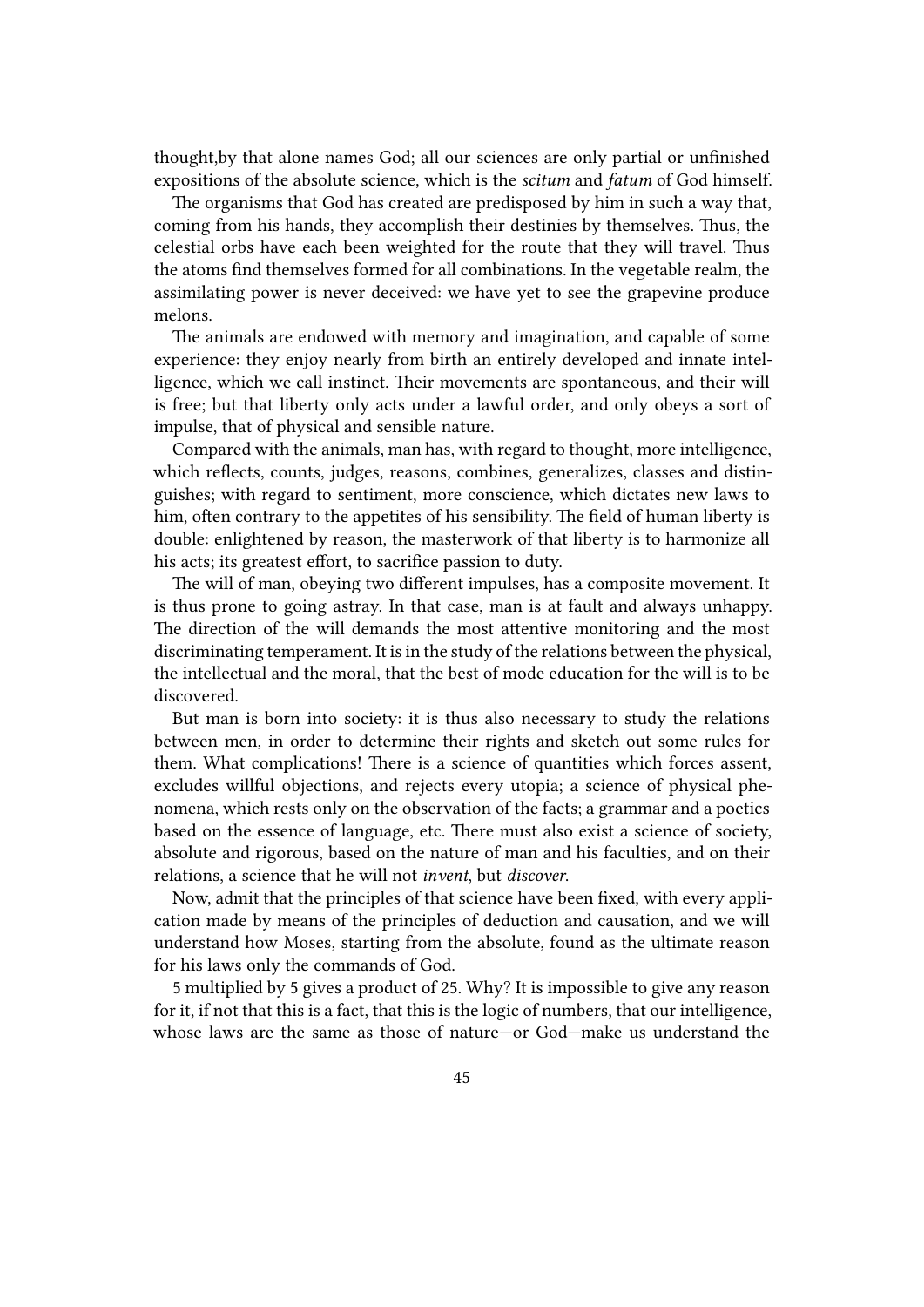thought,by that alone names God; all our sciences are only partial or unfinished expositions of the absolute science, which is the *scitum* and *fatum* of God himself.

The organisms that God has created are predisposed by him in such a way that, coming from his hands, they accomplish their destinies by themselves. Thus, the celestial orbs have each been weighted for the route that they will travel. Thus the atoms find themselves formed for all combinations. In the vegetable realm, the assimilating power is never deceived: we have yet to see the grapevine produce melons.

The animals are endowed with memory and imagination, and capable of some experience: they enjoy nearly from birth an entirely developed and innate intelligence, which we call instinct. Their movements are spontaneous, and their will is free; but that liberty only acts under a lawful order, and only obeys a sort of impulse, that of physical and sensible nature.

Compared with the animals, man has, with regard to thought, more intelligence, which reflects, counts, judges, reasons, combines, generalizes, classes and distinguishes; with regard to sentiment, more conscience, which dictates new laws to him, often contrary to the appetites of his sensibility. The field of human liberty is double: enlightened by reason, the masterwork of that liberty is to harmonize all his acts; its greatest effort, to sacrifice passion to duty.

The will of man, obeying two different impulses, has a composite movement. It is thus prone to going astray. In that case, man is at fault and always unhappy. The direction of the will demands the most attentive monitoring and the most discriminating temperament. It is in the study of the relations between the physical, the intellectual and the moral, that the best of mode education for the will is to be discovered.

But man is born into society: it is thus also necessary to study the relations between men, in order to determine their rights and sketch out some rules for them. What complications! There is a science of quantities which forces assent, excludes willful objections, and rejects every utopia; a science of physical phenomena, which rests only on the observation of the facts; a grammar and a poetics based on the essence of language, etc. There must also exist a science of society, absolute and rigorous, based on the nature of man and his faculties, and on their relations, a science that he will not *invent*, but *discover*.

Now, admit that the principles of that science have been fixed, with every application made by means of the principles of deduction and causation, and we will understand how Moses, starting from the absolute, found as the ultimate reason for his laws only the commands of God.

5 multiplied by 5 gives a product of 25. Why? It is impossible to give any reason for it, if not that this is a fact, that this is the logic of numbers, that our intelligence, whose laws are the same as those of nature—or God—make us understand the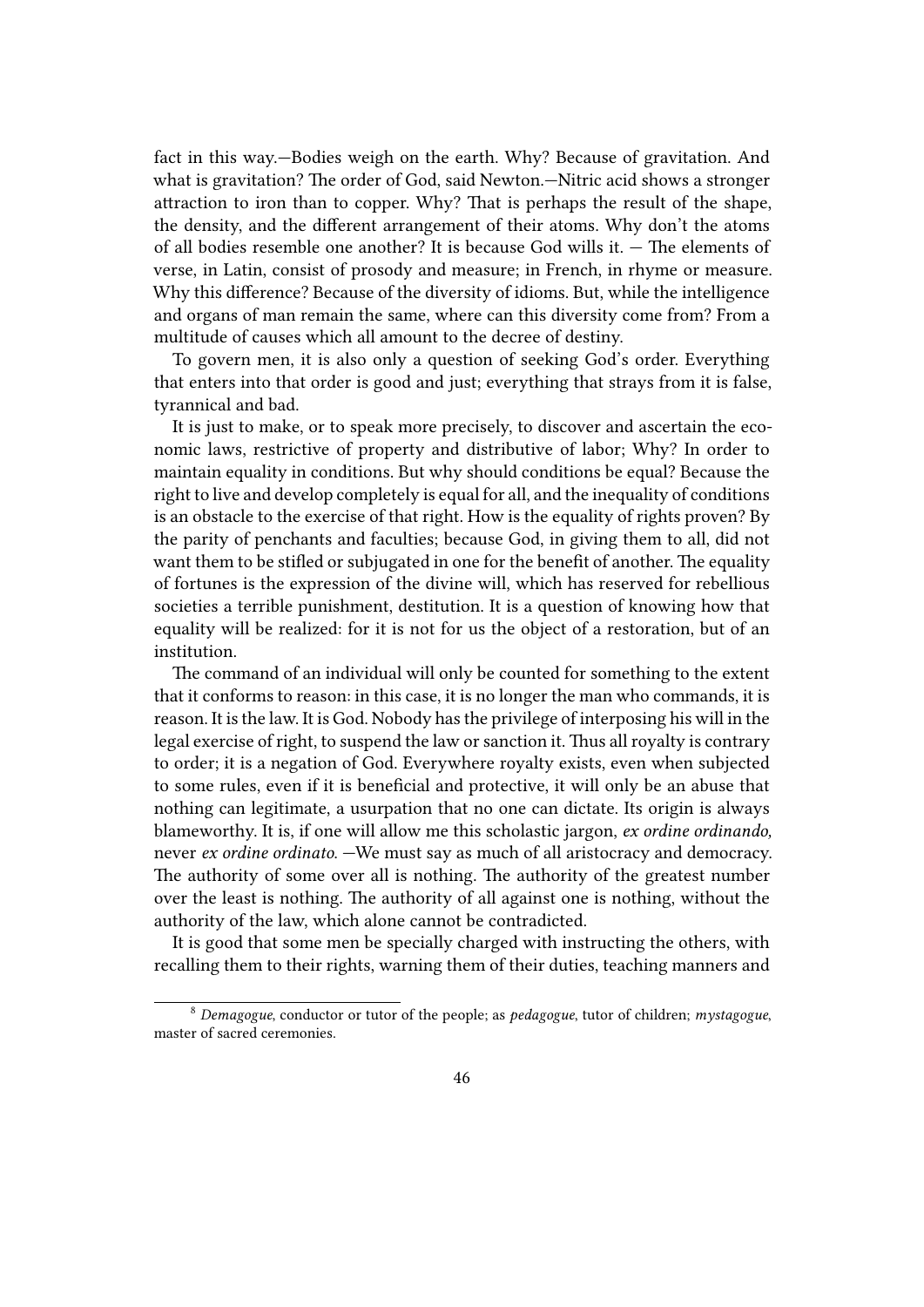fact in this way.—Bodies weigh on the earth. Why? Because of gravitation. And what is gravitation? The order of God, said Newton.—Nitric acid shows a stronger attraction to iron than to copper. Why? That is perhaps the result of the shape, the density, and the different arrangement of their atoms. Why don't the atoms of all bodies resemble one another? It is because God wills it. — The elements of verse, in Latin, consist of prosody and measure; in French, in rhyme or measure. Why this difference? Because of the diversity of idioms. But, while the intelligence and organs of man remain the same, where can this diversity come from? From a multitude of causes which all amount to the decree of destiny.

To govern men, it is also only a question of seeking God's order. Everything that enters into that order is good and just; everything that strays from it is false, tyrannical and bad.

It is just to make, or to speak more precisely, to discover and ascertain the economic laws, restrictive of property and distributive of labor; Why? In order to maintain equality in conditions. But why should conditions be equal? Because the right to live and develop completely is equal for all, and the inequality of conditions is an obstacle to the exercise of that right. How is the equality of rights proven? By the parity of penchants and faculties; because God, in giving them to all, did not want them to be stifled or subjugated in one for the benefit of another. The equality of fortunes is the expression of the divine will, which has reserved for rebellious societies a terrible punishment, destitution. It is a question of knowing how that equality will be realized: for it is not for us the object of a restoration, but of an institution.

The command of an individual will only be counted for something to the extent that it conforms to reason: in this case, it is no longer the man who commands, it is reason. It is the law. It is God. Nobody has the privilege of interposing his will in the legal exercise of right, to suspend the law or sanction it. Thus all royalty is contrary to order; it is a negation of God. Everywhere royalty exists, even when subjected to some rules, even if it is beneficial and protective, it will only be an abuse that nothing can legitimate, a usurpation that no one can dictate. Its origin is always blameworthy. It is, if one will allow me this scholastic jargon, *ex ordine ordinando,* never *ex ordine ordinato*. —We must say as much of all aristocracy and democracy. The authority of some over all is nothing. The authority of the greatest number over the least is nothing. The authority of all against one is nothing, without the authority of the law, which alone cannot be contradicted.

It is good that some men be specially charged with instructing the others, with recalling them to their rights, warning them of their duties, teaching manners and

<sup>8</sup> *Demagogue*, conductor or tutor of the people; as *pedagogue*, tutor of children; *mystagogue*, master of sacred ceremonies.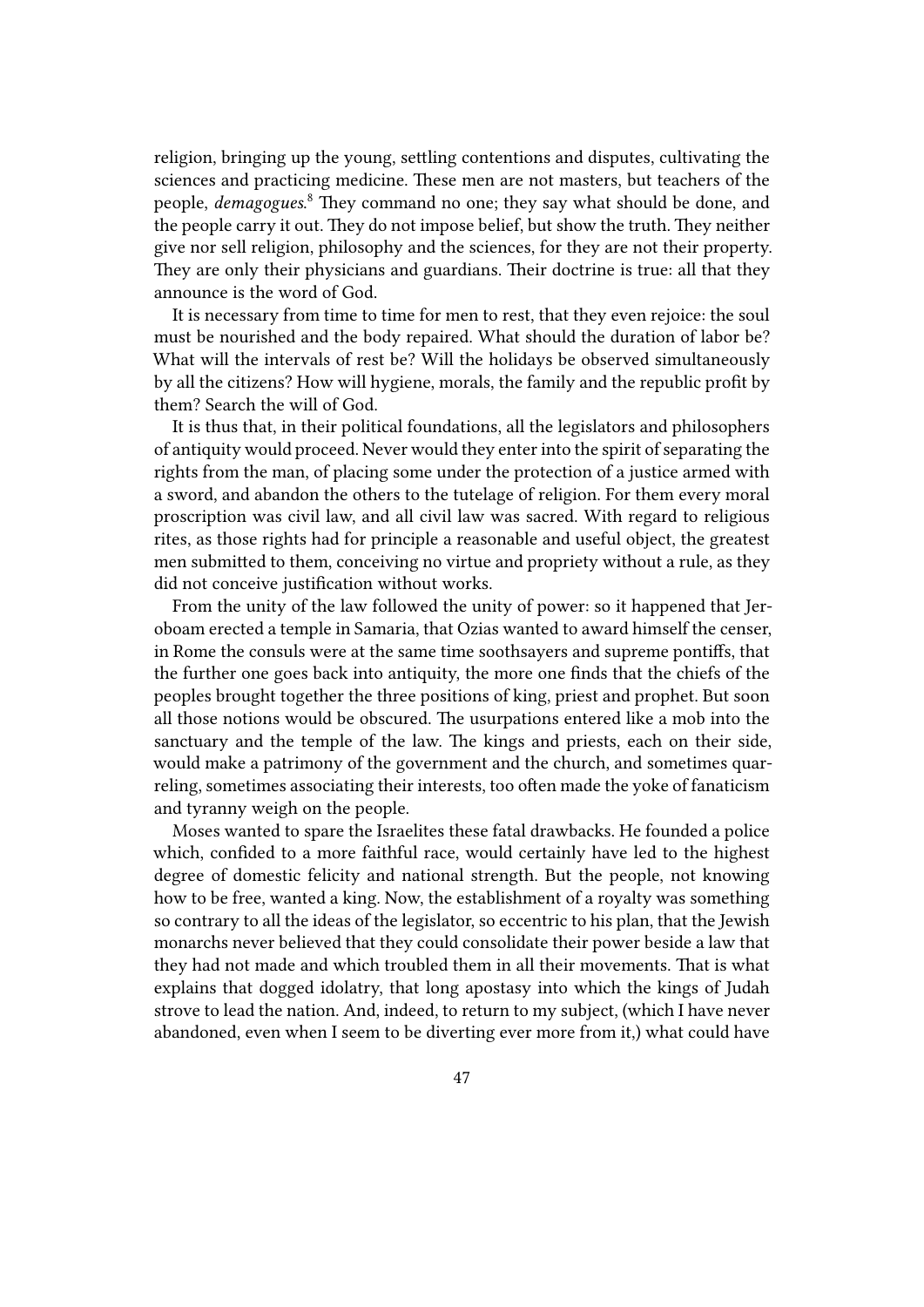religion, bringing up the young, settling contentions and disputes, cultivating the sciences and practicing medicine. These men are not masters, but teachers of the people, *demagogues*. <sup>8</sup> They command no one; they say what should be done, and the people carry it out. They do not impose belief, but show the truth. They neither give nor sell religion, philosophy and the sciences, for they are not their property. They are only their physicians and guardians. Their doctrine is true: all that they announce is the word of God.

It is necessary from time to time for men to rest, that they even rejoice: the soul must be nourished and the body repaired. What should the duration of labor be? What will the intervals of rest be? Will the holidays be observed simultaneously by all the citizens? How will hygiene, morals, the family and the republic profit by them? Search the will of God.

It is thus that, in their political foundations, all the legislators and philosophers of antiquity would proceed. Never would they enter into the spirit of separating the rights from the man, of placing some under the protection of a justice armed with a sword, and abandon the others to the tutelage of religion. For them every moral proscription was civil law, and all civil law was sacred. With regard to religious rites, as those rights had for principle a reasonable and useful object, the greatest men submitted to them, conceiving no virtue and propriety without a rule, as they did not conceive justification without works.

From the unity of the law followed the unity of power: so it happened that Jeroboam erected a temple in Samaria, that Ozias wanted to award himself the censer, in Rome the consuls were at the same time soothsayers and supreme pontiffs, that the further one goes back into antiquity, the more one finds that the chiefs of the peoples brought together the three positions of king, priest and prophet. But soon all those notions would be obscured. The usurpations entered like a mob into the sanctuary and the temple of the law. The kings and priests, each on their side, would make a patrimony of the government and the church, and sometimes quarreling, sometimes associating their interests, too often made the yoke of fanaticism and tyranny weigh on the people.

Moses wanted to spare the Israelites these fatal drawbacks. He founded a police which, confided to a more faithful race, would certainly have led to the highest degree of domestic felicity and national strength. But the people, not knowing how to be free, wanted a king. Now, the establishment of a royalty was something so contrary to all the ideas of the legislator, so eccentric to his plan, that the Jewish monarchs never believed that they could consolidate their power beside a law that they had not made and which troubled them in all their movements. That is what explains that dogged idolatry, that long apostasy into which the kings of Judah strove to lead the nation. And, indeed, to return to my subject, (which I have never abandoned, even when I seem to be diverting ever more from it,) what could have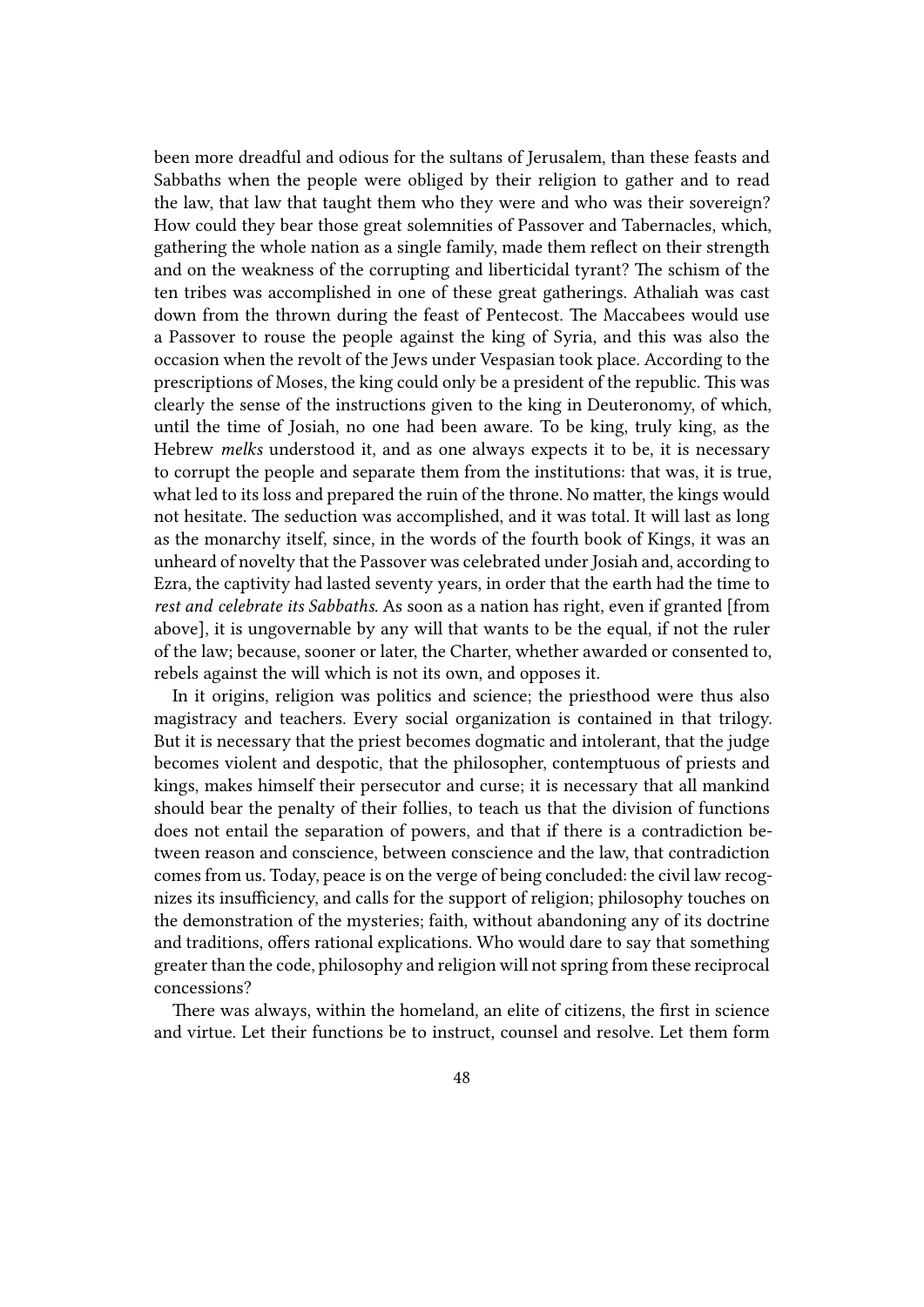been more dreadful and odious for the sultans of Jerusalem, than these feasts and Sabbaths when the people were obliged by their religion to gather and to read the law, that law that taught them who they were and who was their sovereign? How could they bear those great solemnities of Passover and Tabernacles, which, gathering the whole nation as a single family, made them reflect on their strength and on the weakness of the corrupting and liberticidal tyrant? The schism of the ten tribes was accomplished in one of these great gatherings. Athaliah was cast down from the thrown during the feast of Pentecost. The Maccabees would use a Passover to rouse the people against the king of Syria, and this was also the occasion when the revolt of the Jews under Vespasian took place. According to the prescriptions of Moses, the king could only be a president of the republic. This was clearly the sense of the instructions given to the king in Deuteronomy, of which, until the time of Josiah, no one had been aware. To be king, truly king, as the Hebrew *melks* understood it, and as one always expects it to be, it is necessary to corrupt the people and separate them from the institutions: that was, it is true, what led to its loss and prepared the ruin of the throne. No matter, the kings would not hesitate. The seduction was accomplished, and it was total. It will last as long as the monarchy itself, since, in the words of the fourth book of Kings, it was an unheard of novelty that the Passover was celebrated under Josiah and, according to Ezra, the captivity had lasted seventy years, in order that the earth had the time to *rest and celebrate its Sabbaths*. As soon as a nation has right, even if granted [from above], it is ungovernable by any will that wants to be the equal, if not the ruler of the law; because, sooner or later, the Charter, whether awarded or consented to, rebels against the will which is not its own, and opposes it.

In it origins, religion was politics and science; the priesthood were thus also magistracy and teachers. Every social organization is contained in that trilogy. But it is necessary that the priest becomes dogmatic and intolerant, that the judge becomes violent and despotic, that the philosopher, contemptuous of priests and kings, makes himself their persecutor and curse; it is necessary that all mankind should bear the penalty of their follies, to teach us that the division of functions does not entail the separation of powers, and that if there is a contradiction between reason and conscience, between conscience and the law, that contradiction comes from us. Today, peace is on the verge of being concluded: the civil law recognizes its insufficiency, and calls for the support of religion; philosophy touches on the demonstration of the mysteries; faith, without abandoning any of its doctrine and traditions, offers rational explications. Who would dare to say that something greater than the code, philosophy and religion will not spring from these reciprocal concessions?

There was always, within the homeland, an elite of citizens, the first in science and virtue. Let their functions be to instruct, counsel and resolve. Let them form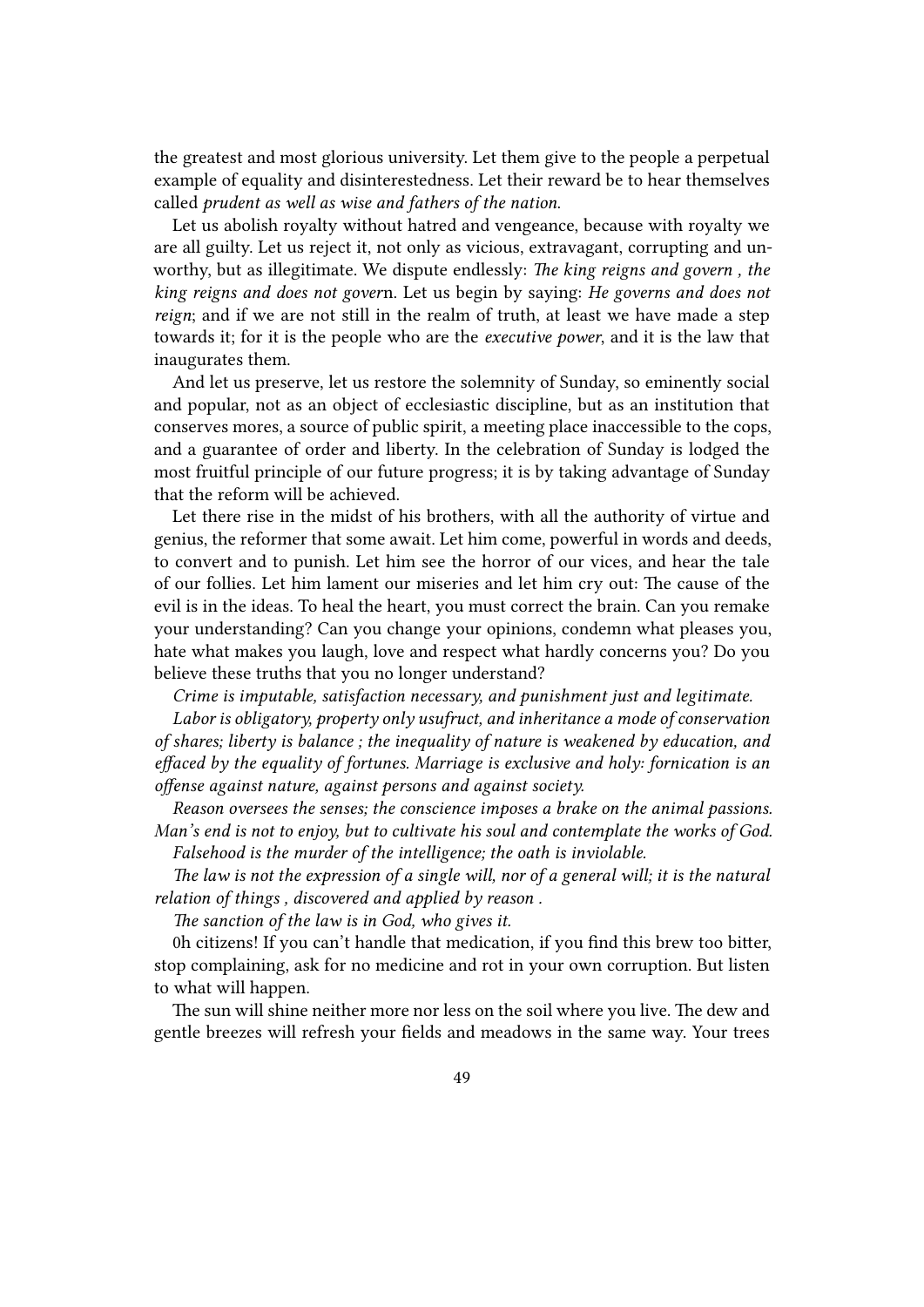the greatest and most glorious university. Let them give to the people a perpetual example of equality and disinterestedness. Let their reward be to hear themselves called *prudent as well as wise and fathers of the nation*.

Let us abolish royalty without hatred and vengeance, because with royalty we are all guilty. Let us reject it, not only as vicious, extravagant, corrupting and unworthy, but as illegitimate. We dispute endlessly: *The king reigns and govern , the king reigns and does not gover*n. Let us begin by saying: *He governs and does not reign*; and if we are not still in the realm of truth, at least we have made a step towards it; for it is the people who are the *executive power*, and it is the law that inaugurates them.

And let us preserve, let us restore the solemnity of Sunday, so eminently social and popular, not as an object of ecclesiastic discipline, but as an institution that conserves mores, a source of public spirit, a meeting place inaccessible to the cops, and a guarantee of order and liberty. In the celebration of Sunday is lodged the most fruitful principle of our future progress; it is by taking advantage of Sunday that the reform will be achieved.

Let there rise in the midst of his brothers, with all the authority of virtue and genius, the reformer that some await. Let him come, powerful in words and deeds, to convert and to punish. Let him see the horror of our vices, and hear the tale of our follies. Let him lament our miseries and let him cry out: The cause of the evil is in the ideas. To heal the heart, you must correct the brain. Can you remake your understanding? Can you change your opinions, condemn what pleases you, hate what makes you laugh, love and respect what hardly concerns you? Do you believe these truths that you no longer understand?

*Crime is imputable, satisfaction necessary, and punishment just and legitimate.*

*Labor is obligatory, property only usufruct, and inheritance a mode of conservation of shares; liberty is balance ; the inequality of nature is weakened by education, and effaced by the equality of fortunes. Marriage is exclusive and holy: fornication is an offense against nature, against persons and against society.*

*Reason oversees the senses; the conscience imposes a brake on the animal passions. Man's end is not to enjoy, but to cultivate his soul and contemplate the works of God. Falsehood is the murder of the intelligence; the oath is inviolable.*

*The law is not the expression of a single will, nor of a general will; it is the natural relation of things , discovered and applied by reason .*

*The sanction of the law is in God, who gives it.*

0h citizens! If you can't handle that medication, if you find this brew too bitter, stop complaining, ask for no medicine and rot in your own corruption. But listen to what will happen.

The sun will shine neither more nor less on the soil where you live. The dew and gentle breezes will refresh your fields and meadows in the same way. Your trees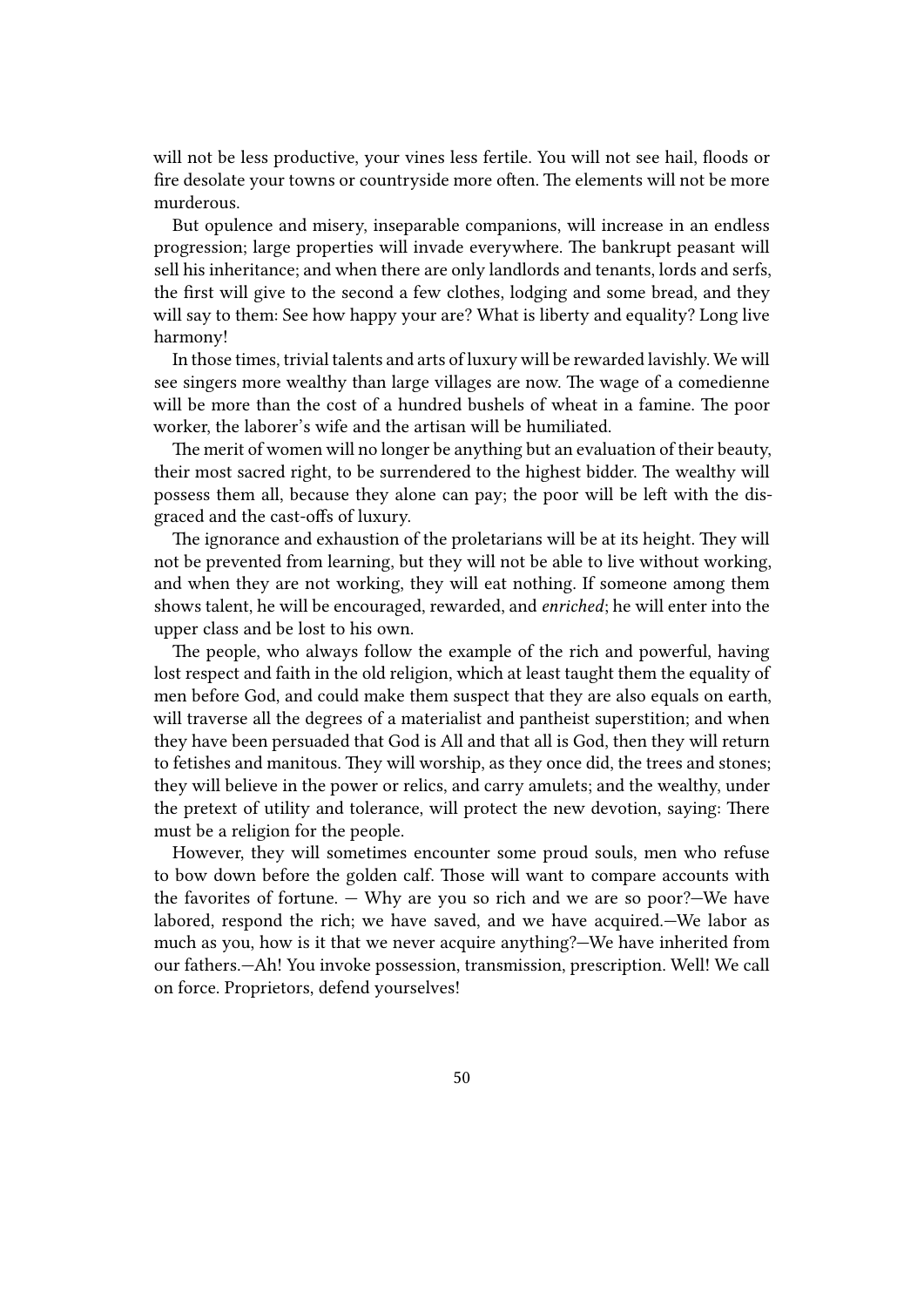will not be less productive, your vines less fertile. You will not see hail, floods or fire desolate your towns or countryside more often. The elements will not be more murderous.

But opulence and misery, inseparable companions, will increase in an endless progression; large properties will invade everywhere. The bankrupt peasant will sell his inheritance; and when there are only landlords and tenants, lords and serfs, the first will give to the second a few clothes, lodging and some bread, and they will say to them: See how happy your are? What is liberty and equality? Long live harmony!

In those times, trivial talents and arts of luxury will be rewarded lavishly. We will see singers more wealthy than large villages are now. The wage of a comedienne will be more than the cost of a hundred bushels of wheat in a famine. The poor worker, the laborer's wife and the artisan will be humiliated.

The merit of women will no longer be anything but an evaluation of their beauty, their most sacred right, to be surrendered to the highest bidder. The wealthy will possess them all, because they alone can pay; the poor will be left with the disgraced and the cast-offs of luxury.

The ignorance and exhaustion of the proletarians will be at its height. They will not be prevented from learning, but they will not be able to live without working, and when they are not working, they will eat nothing. If someone among them shows talent, he will be encouraged, rewarded, and *enriched*; he will enter into the upper class and be lost to his own.

The people, who always follow the example of the rich and powerful, having lost respect and faith in the old religion, which at least taught them the equality of men before God, and could make them suspect that they are also equals on earth, will traverse all the degrees of a materialist and pantheist superstition; and when they have been persuaded that God is All and that all is God, then they will return to fetishes and manitous. They will worship, as they once did, the trees and stones; they will believe in the power or relics, and carry amulets; and the wealthy, under the pretext of utility and tolerance, will protect the new devotion, saying: There must be a religion for the people.

However, they will sometimes encounter some proud souls, men who refuse to bow down before the golden calf. Those will want to compare accounts with the favorites of fortune. — Why are you so rich and we are so poor?—We have labored, respond the rich; we have saved, and we have acquired.—We labor as much as you, how is it that we never acquire anything?—We have inherited from our fathers.—Ah! You invoke possession, transmission, prescription. Well! We call on force. Proprietors, defend yourselves!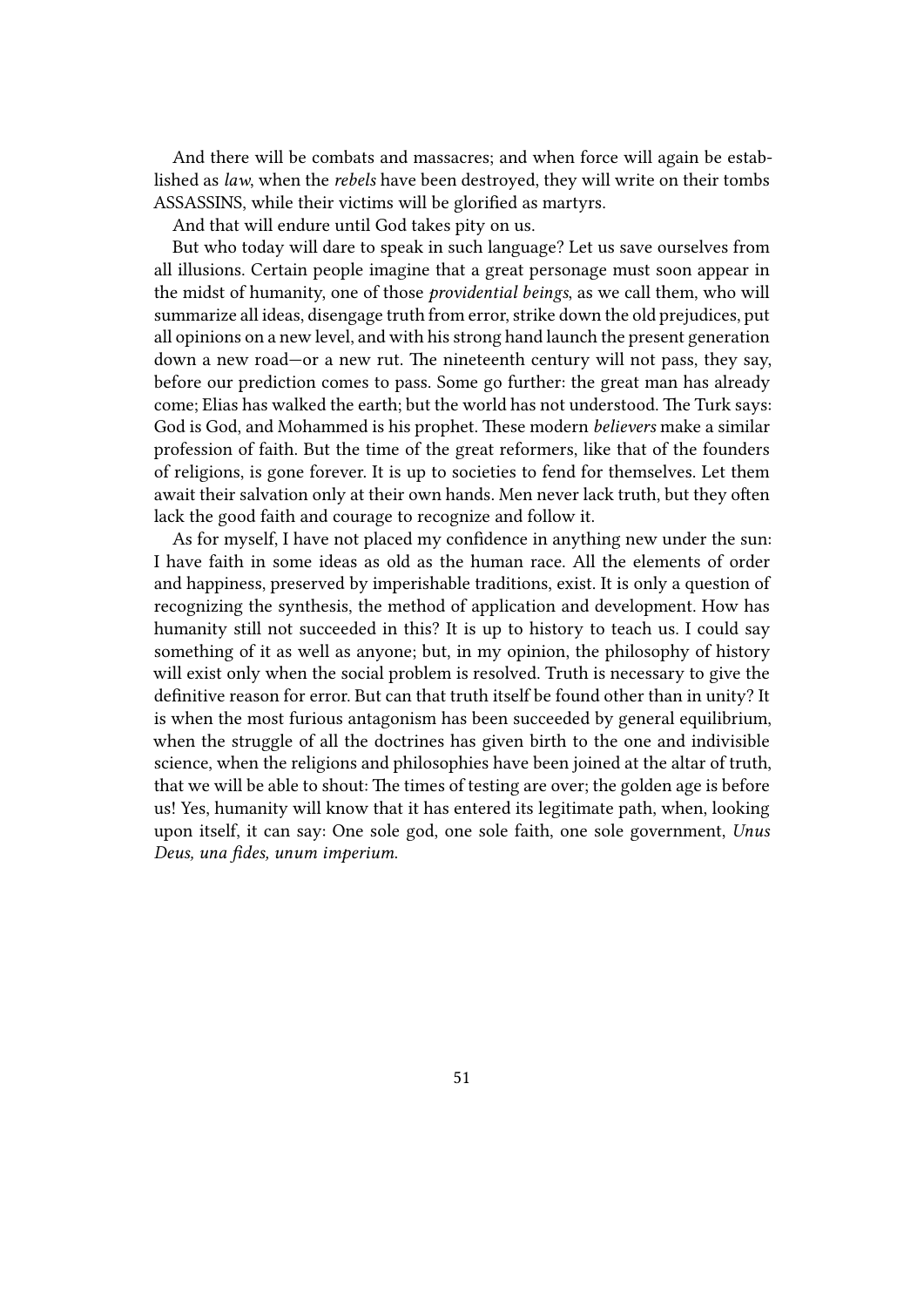And there will be combats and massacres; and when force will again be established as *law*, when the *rebels* have been destroyed, they will write on their tombs ASSASSINS, while their victims will be glorified as martyrs.

And that will endure until God takes pity on us.

But who today will dare to speak in such language? Let us save ourselves from all illusions. Certain people imagine that a great personage must soon appear in the midst of humanity, one of those *providential beings*, as we call them, who will summarize all ideas, disengage truth from error, strike down the old prejudices, put all opinions on a new level, and with his strong hand launch the present generation down a new road—or a new rut. The nineteenth century will not pass, they say, before our prediction comes to pass. Some go further: the great man has already come; Elias has walked the earth; but the world has not understood. The Turk says: God is God, and Mohammed is his prophet. These modern *believers* make a similar profession of faith. But the time of the great reformers, like that of the founders of religions, is gone forever. It is up to societies to fend for themselves. Let them await their salvation only at their own hands. Men never lack truth, but they often lack the good faith and courage to recognize and follow it.

As for myself, I have not placed my confidence in anything new under the sun: I have faith in some ideas as old as the human race. All the elements of order and happiness, preserved by imperishable traditions, exist. It is only a question of recognizing the synthesis, the method of application and development. How has humanity still not succeeded in this? It is up to history to teach us. I could say something of it as well as anyone; but, in my opinion, the philosophy of history will exist only when the social problem is resolved. Truth is necessary to give the definitive reason for error. But can that truth itself be found other than in unity? It is when the most furious antagonism has been succeeded by general equilibrium, when the struggle of all the doctrines has given birth to the one and indivisible science, when the religions and philosophies have been joined at the altar of truth, that we will be able to shout: The times of testing are over; the golden age is before us! Yes, humanity will know that it has entered its legitimate path, when, looking upon itself, it can say: One sole god, one sole faith, one sole government, *Unus Deus, una fides, unum imperium*.